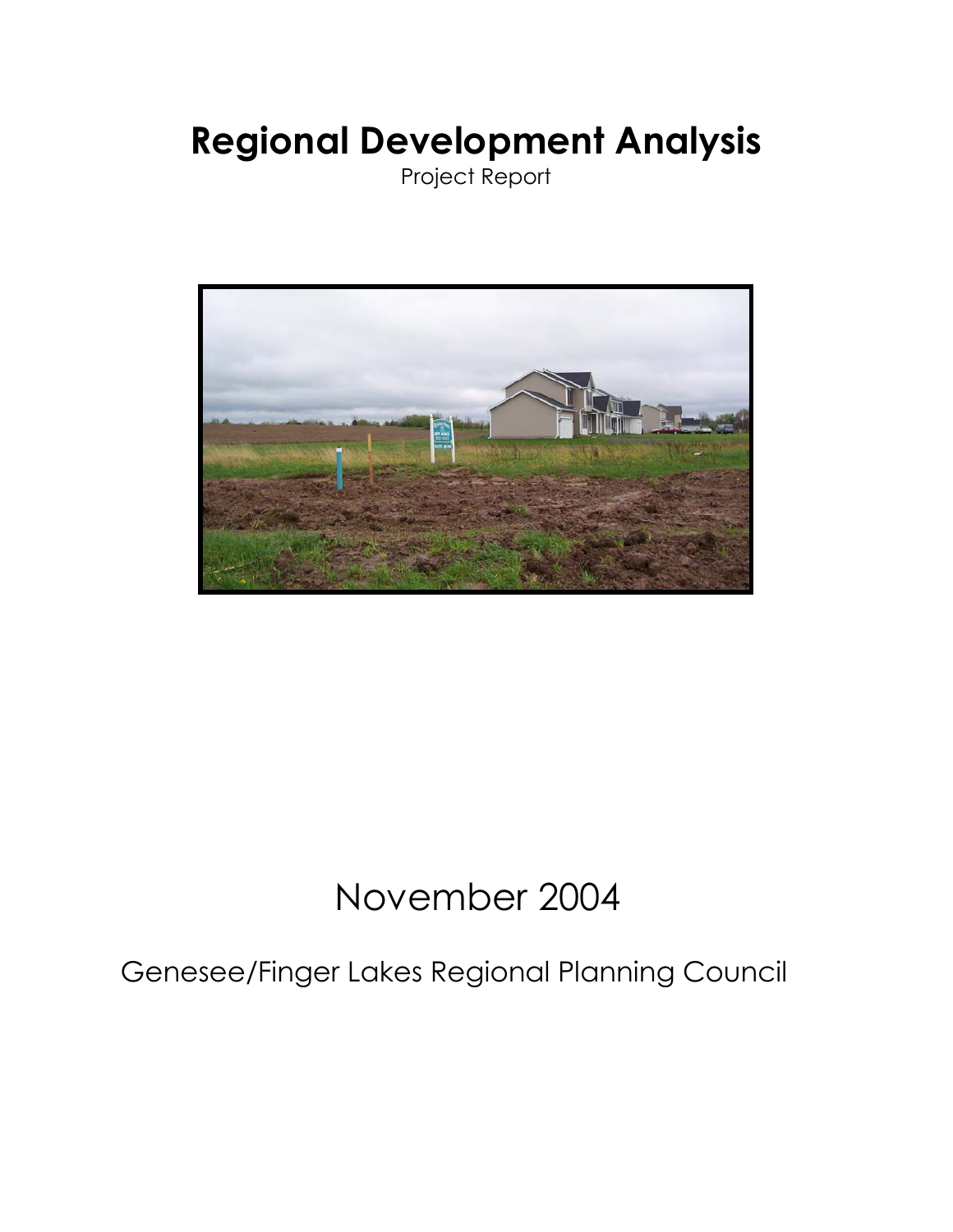# **Regional Development Analysis**

Project Report



# November 2004

# Genesee/Finger Lakes Regional Planning Council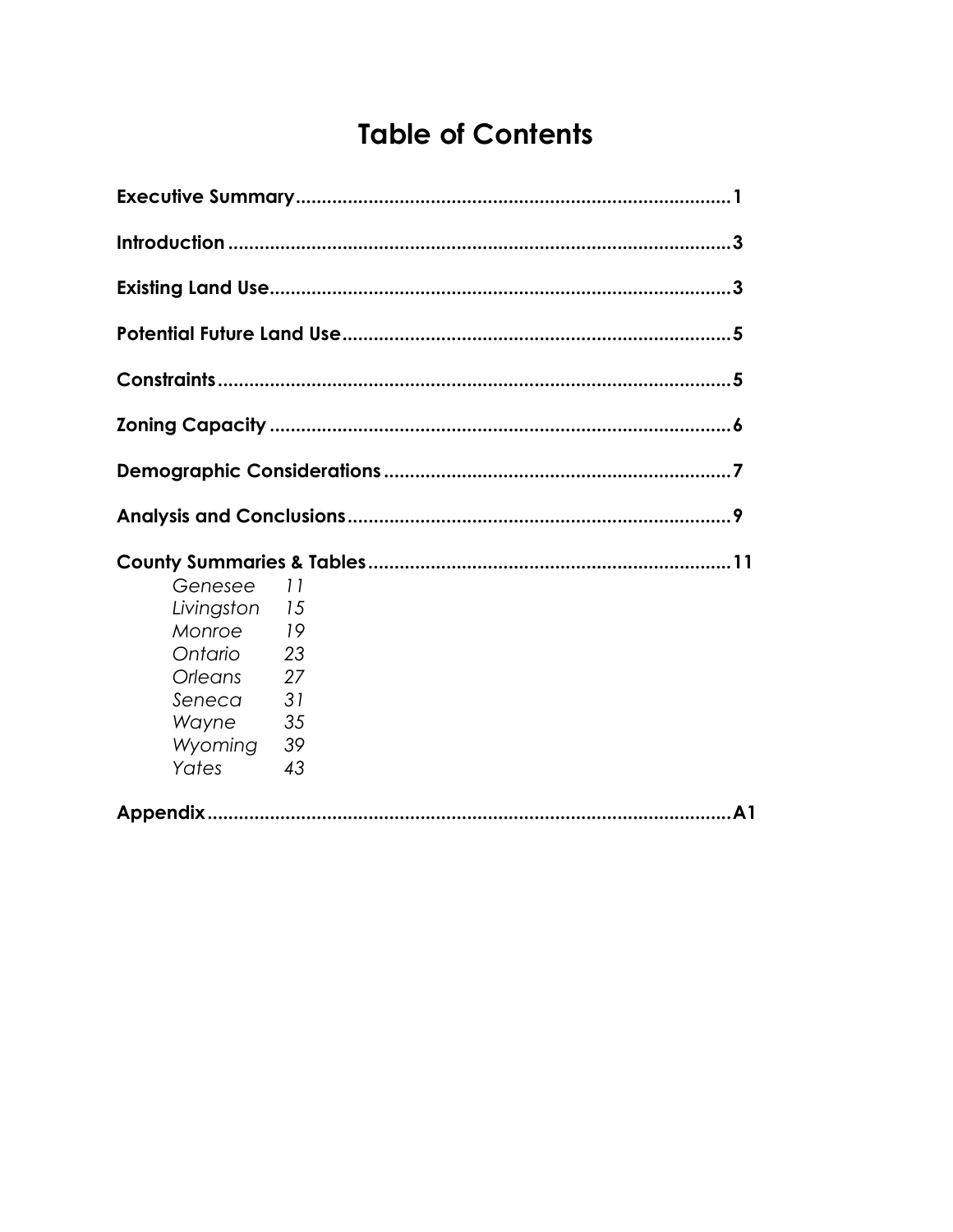# **Table of Contents**

| Genesee<br>Livingston 15<br>Monroe<br>Ontario<br><b>Orleans</b><br>Seneca<br>Wayne<br>Wyoming<br>Yates | -11<br>19<br>-23<br>27<br>31<br>35<br>- 39<br>43 |     |
|--------------------------------------------------------------------------------------------------------|--------------------------------------------------|-----|
|                                                                                                        |                                                  | .A1 |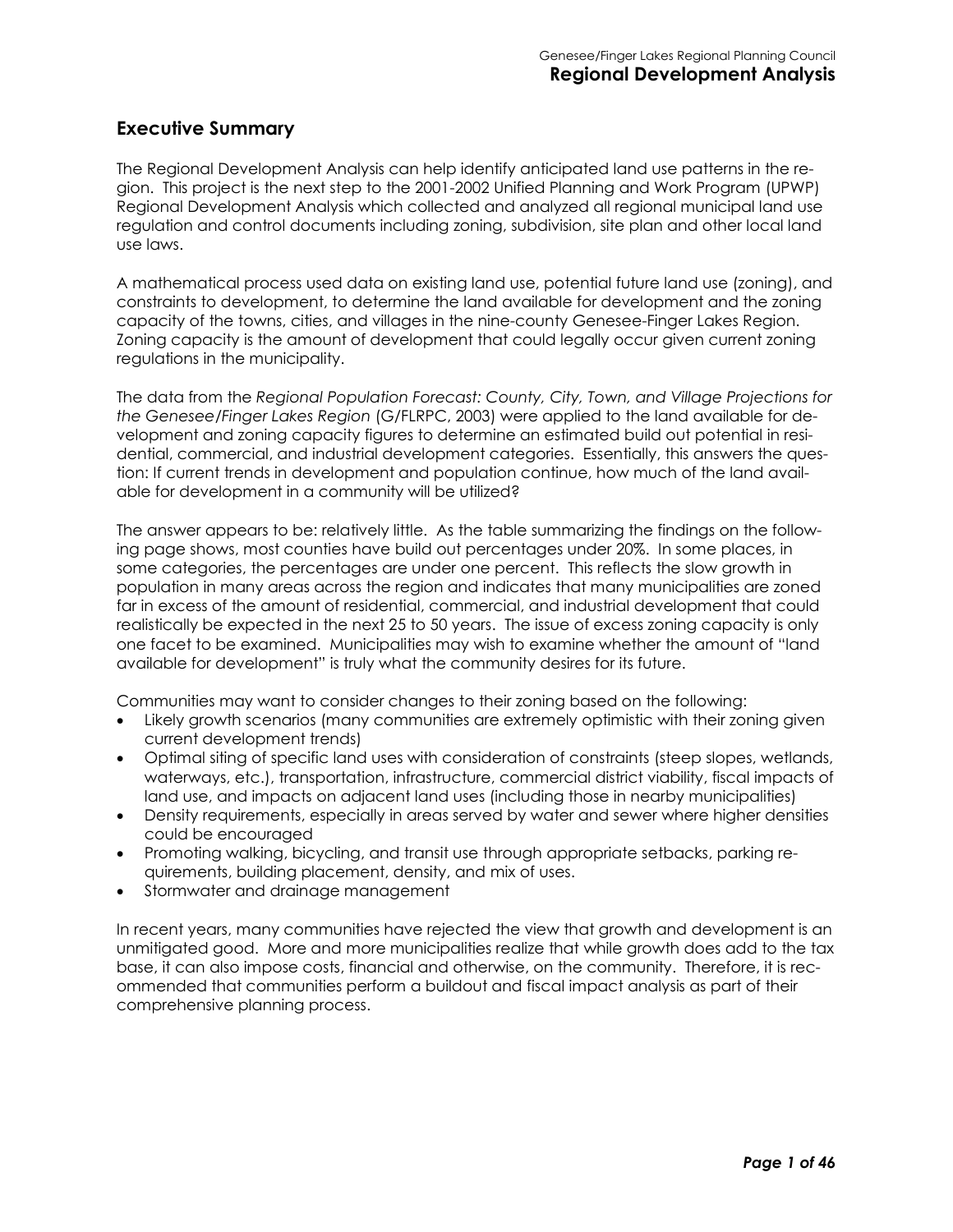#### **Executive Summary**

The Regional Development Analysis can help identify anticipated land use patterns in the region. This project is the next step to the 2001-2002 Unified Planning and Work Program (UPWP) Regional Development Analysis which collected and analyzed all regional municipal land use regulation and control documents including zoning, subdivision, site plan and other local land use laws.

A mathematical process used data on existing land use, potential future land use (zoning), and constraints to development, to determine the land available for development and the zoning capacity of the towns, cities, and villages in the nine-county Genesee-Finger Lakes Region. Zoning capacity is the amount of development that could legally occur given current zoning regulations in the municipality.

The data from the *Regional Population Forecast: County, City, Town, and Village Projections for the Genesee/Finger Lakes Region* (G/FLRPC, 2003) were applied to the land available for development and zoning capacity figures to determine an estimated build out potential in residential, commercial, and industrial development categories. Essentially, this answers the question: If current trends in development and population continue, how much of the land available for development in a community will be utilized?

The answer appears to be: relatively little. As the table summarizing the findings on the following page shows, most counties have build out percentages under 20%. In some places, in some categories, the percentages are under one percent. This reflects the slow growth in population in many areas across the region and indicates that many municipalities are zoned far in excess of the amount of residential, commercial, and industrial development that could realistically be expected in the next 25 to 50 years. The issue of excess zoning capacity is only one facet to be examined. Municipalities may wish to examine whether the amount of "land available for development" is truly what the community desires for its future.

Communities may want to consider changes to their zoning based on the following:

- Likely growth scenarios (many communities are extremely optimistic with their zoning given current development trends)
- Optimal siting of specific land uses with consideration of constraints (steep slopes, wetlands, waterways, etc.), transportation, infrastructure, commercial district viability, fiscal impacts of land use, and impacts on adjacent land uses (including those in nearby municipalities)
- Density requirements, especially in areas served by water and sewer where higher densities could be encouraged
- Promoting walking, bicycling, and transit use through appropriate setbacks, parking requirements, building placement, density, and mix of uses.
- Stormwater and drainage management

In recent years, many communities have rejected the view that growth and development is an unmitigated good. More and more municipalities realize that while growth does add to the tax base, it can also impose costs, financial and otherwise, on the community. Therefore, it is recommended that communities perform a buildout and fiscal impact analysis as part of their comprehensive planning process.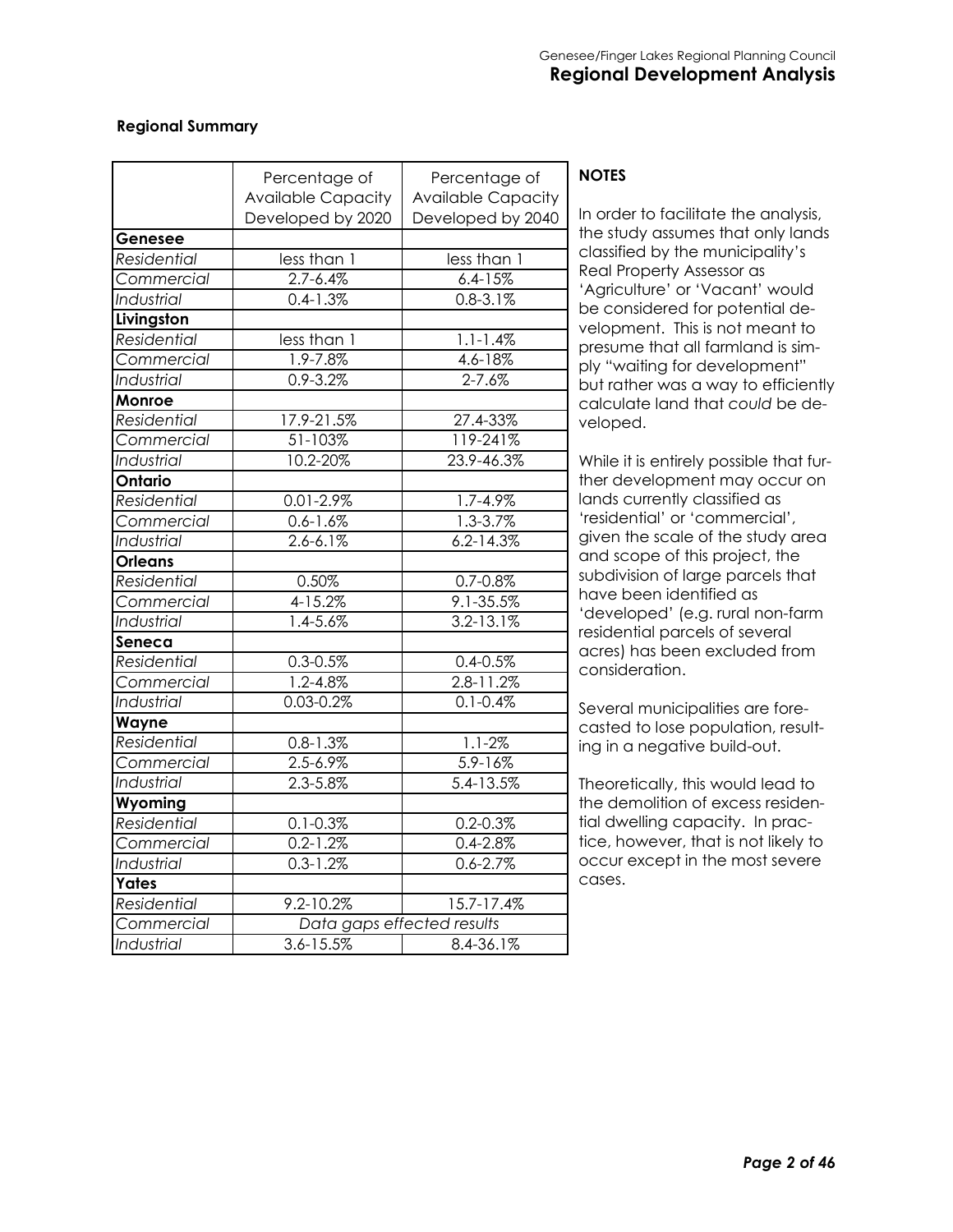#### **Regional Summary**

|                    | Percentage of<br><b>Available Capacity</b> | Percentage of<br><b>Available Capacity</b> |
|--------------------|--------------------------------------------|--------------------------------------------|
|                    | Developed by 2020                          | Developed by 2040                          |
| Genesee            |                                            |                                            |
| Residential        | less than 1                                | less than 1                                |
| Commercial         | $2.7 - 6.4%$                               | $6.4 - 15%$                                |
| Industrial         | $0.4 - 1.3%$                               | $0.8 - 3.1%$                               |
| Livingston         |                                            |                                            |
| Residential        | less than 1                                | $1.1 - 1.4\%$                              |
| Commercial         | 1.9-7.8%                                   | 4.6-18%                                    |
| Industrial         | $0.9 - 3.2%$                               | $2 - 7.6%$                                 |
| Monroe             |                                            |                                            |
| Residential        | 17.9-21.5%                                 | 27.4-33%                                   |
| Commercial         | 51-103%                                    | 119-241%                                   |
| Industrial         | 10.2-20%                                   | 23.9-46.3%                                 |
| <b>Ontario</b>     |                                            |                                            |
| Residential        | $0.01 - 2.9%$                              | 1.7-4.9%                                   |
| Commercial         | $0.6 - 1.6\%$                              | 1.3-3.7%                                   |
| Industrial         | $2.6 - 6.1\%$                              | $6.2 - 14.3\%$                             |
| <b>Orleans</b>     |                                            |                                            |
| Residential        | 0.50%                                      | $0.7 - 0.8\%$                              |
| Commercial         | 4-15.2%                                    | 9.1-35.5%                                  |
| <b>Industrial</b>  | $1.4 - 5.6%$                               | $3.2 - 13.1\%$                             |
| Seneca             |                                            |                                            |
| <b>Residential</b> | $0.3 - 0.5%$                               | $0.4 - 0.5%$                               |
| Commercial         | 1.2-4.8%                                   | 2.8-11.2%                                  |
| Industrial         | $0.03 - 0.2%$                              | $0.1 - 0.4%$                               |
| Wayne              |                                            |                                            |
| <b>Residential</b> | $0.8 - 1.3%$                               | $1.1 - 2%$                                 |
| Commercial         | $2.5 - 6.9%$                               | $5.9 - 16%$                                |
| Industrial         | 2.3-5.8%                                   | 5.4-13.5%                                  |
| Wyoming            |                                            |                                            |
| Residential        | $0.1 - 0.3%$                               | $0.2 - 0.3%$                               |
| Commercial         | $0.2 - 1.2%$                               | $0.4 - 2.8\%$                              |
| Industrial         | $0.3 - 1.2%$                               | $0.6 - 2.7%$                               |
| Yates              |                                            |                                            |
| Residential        | 9.2-10.2%                                  | 15.7-17.4%                                 |
| Commercial         | Data gaps effected results                 |                                            |
| Industrial         | $3.6 - 15.5%$                              | 8.4-36.1%                                  |

#### **NOTES**

In order to facilitate the analysis, the study assumes that only lands classified by the municipality's Real Property Assessor as 'Agriculture' or 'Vacant' would be considered for potential development. This is not meant to presume that all farmland is simply "waiting for development" but rather was a way to efficiently calculate land that *could* be developed.

While it is entirely possible that further development may occur on lands currently classified as 'residential' or 'commercial', given the scale of the study area and scope of this project, the subdivision of large parcels that have been identified as 'developed' (e.g. rural non-farm residential parcels of several acres) has been excluded from consideration.

Several municipalities are forecasted to lose population, resulting in a negative build-out.

Theoretically, this would lead to the demolition of excess residential dwelling capacity. In practice, however, that is not likely to occur except in the most severe cases.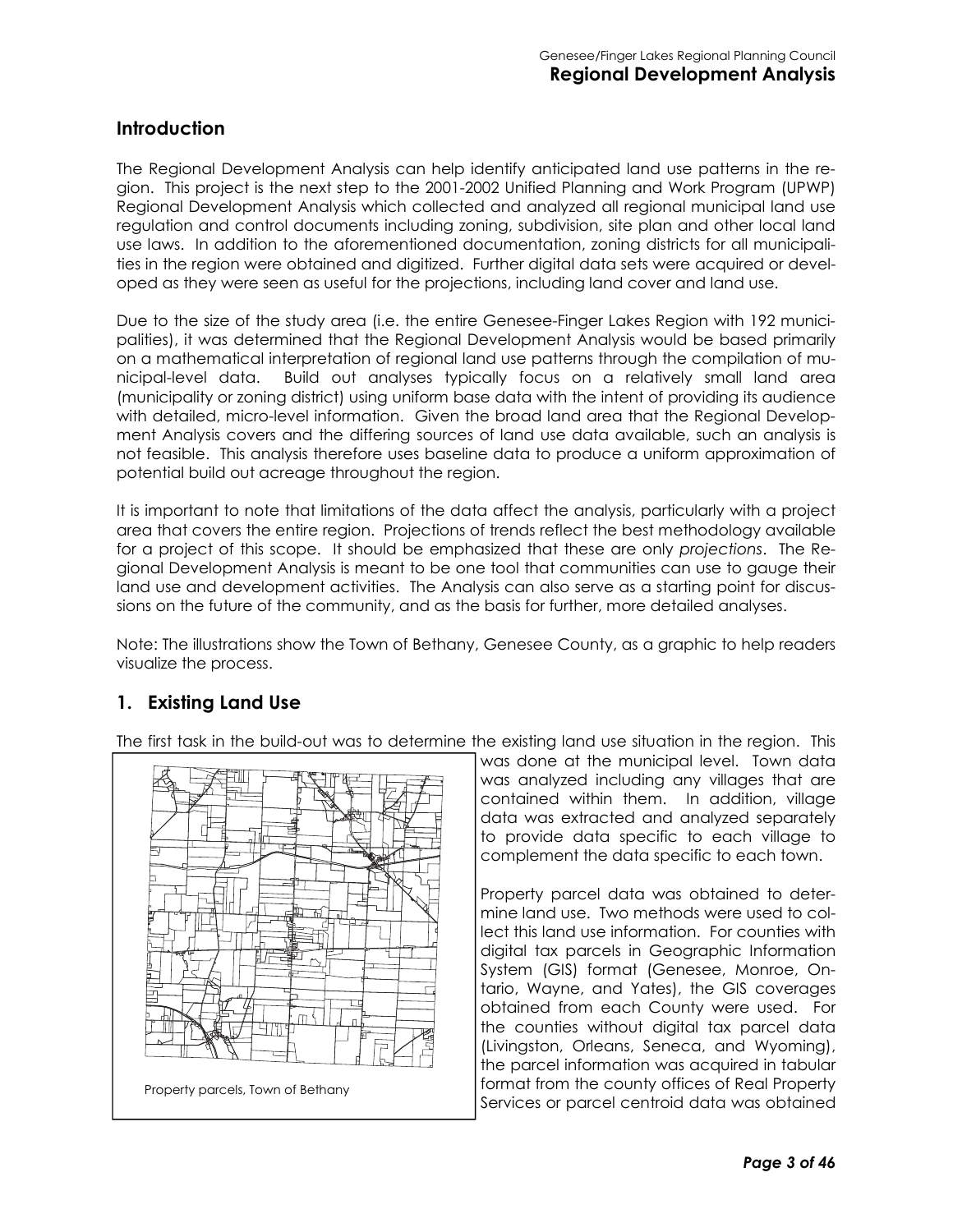#### **Introduction**

The Regional Development Analysis can help identify anticipated land use patterns in the region. This project is the next step to the 2001-2002 Unified Planning and Work Program (UPWP) Regional Development Analysis which collected and analyzed all regional municipal land use regulation and control documents including zoning, subdivision, site plan and other local land use laws. In addition to the aforementioned documentation, zoning districts for all municipalities in the region were obtained and digitized. Further digital data sets were acquired or developed as they were seen as useful for the projections, including land cover and land use.

Due to the size of the study area (i.e. the entire Genesee-Finger Lakes Region with 192 municipalities), it was determined that the Regional Development Analysis would be based primarily on a mathematical interpretation of regional land use patterns through the compilation of municipal-level data. Build out analyses typically focus on a relatively small land area (municipality or zoning district) using uniform base data with the intent of providing its audience with detailed, micro-level information. Given the broad land area that the Regional Development Analysis covers and the differing sources of land use data available, such an analysis is not feasible. This analysis therefore uses baseline data to produce a uniform approximation of potential build out acreage throughout the region.

It is important to note that limitations of the data affect the analysis, particularly with a project area that covers the entire region. Projections of trends reflect the best methodology available for a project of this scope. It should be emphasized that these are only *projections*. The Regional Development Analysis is meant to be one tool that communities can use to gauge their land use and development activities. The Analysis can also serve as a starting point for discussions on the future of the community, and as the basis for further, more detailed analyses.

Note: The illustrations show the Town of Bethany, Genesee County, as a graphic to help readers visualize the process.

# **1. Existing Land Use**

The first task in the build-out was to determine the existing land use situation in the region. This



was done at the municipal level. Town data was analyzed including any villages that are contained within them. In addition, village data was extracted and analyzed separately to provide data specific to each village to complement the data specific to each town.

Property parcel data was obtained to determine land use. Two methods were used to collect this land use information. For counties with digital tax parcels in Geographic Information System (GIS) format (Genesee, Monroe, Ontario, Wayne, and Yates), the GIS coverages obtained from each County were used. For the counties without digital tax parcel data (Livingston, Orleans, Seneca, and Wyoming), the parcel information was acquired in tabular format from the county offices of Real Property Services or parcel centroid data was obtained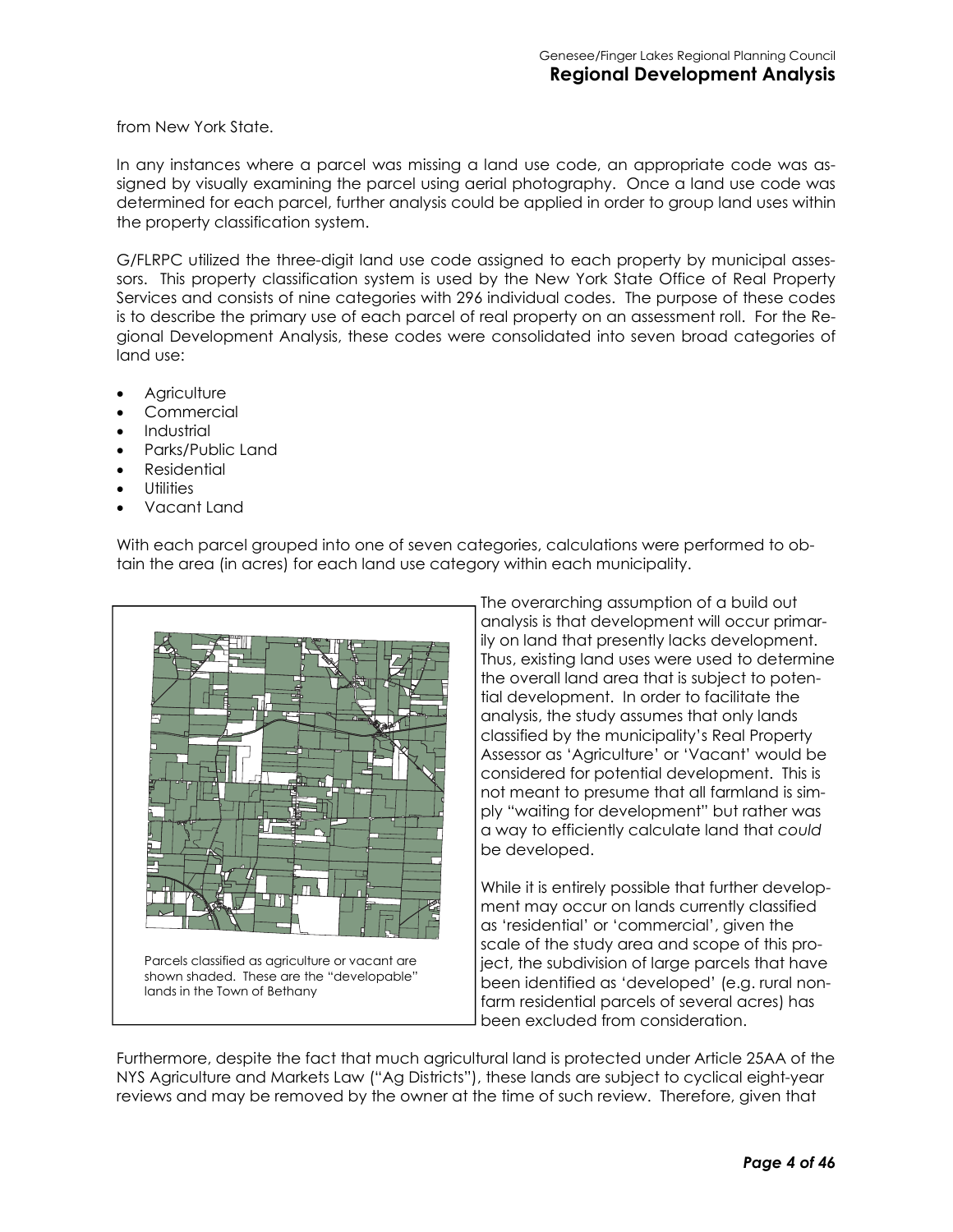from New York State.

In any instances where a parcel was missing a land use code, an appropriate code was assigned by visually examining the parcel using aerial photography. Once a land use code was determined for each parcel, further analysis could be applied in order to group land uses within the property classification system.

G/FLRPC utilized the three-digit land use code assigned to each property by municipal assessors. This property classification system is used by the New York State Office of Real Property Services and consists of nine categories with 296 individual codes. The purpose of these codes is to describe the primary use of each parcel of real property on an assessment roll. For the Regional Development Analysis, these codes were consolidated into seven broad categories of land use:

- **Agriculture**
- **Commercial**
- **Industrial**
- Parks/Public Land
- Residential
- **Utilities**
- Vacant Land

With each parcel grouped into one of seven categories, calculations were performed to obtain the area (in acres) for each land use category within each municipality.



The overarching assumption of a build out analysis is that development will occur primarily on land that presently lacks development. Thus, existing land uses were used to determine the overall land area that is subject to potential development. In order to facilitate the analysis, the study assumes that only lands classified by the municipality's Real Property Assessor as 'Agriculture' or 'Vacant' would be considered for potential development. This is not meant to presume that all farmland is simply "waiting for development" but rather was a way to efficiently calculate land that *could*  be developed.

While it is entirely possible that further development may occur on lands currently classified as 'residential' or 'commercial', given the scale of the study area and scope of this project, the subdivision of large parcels that have been identified as 'developed' (e.g. rural nonfarm residential parcels of several acres) has been excluded from consideration.

Furthermore, despite the fact that much agricultural land is protected under Article 25AA of the NYS Agriculture and Markets Law ("Ag Districts"), these lands are subject to cyclical eight-year reviews and may be removed by the owner at the time of such review. Therefore, given that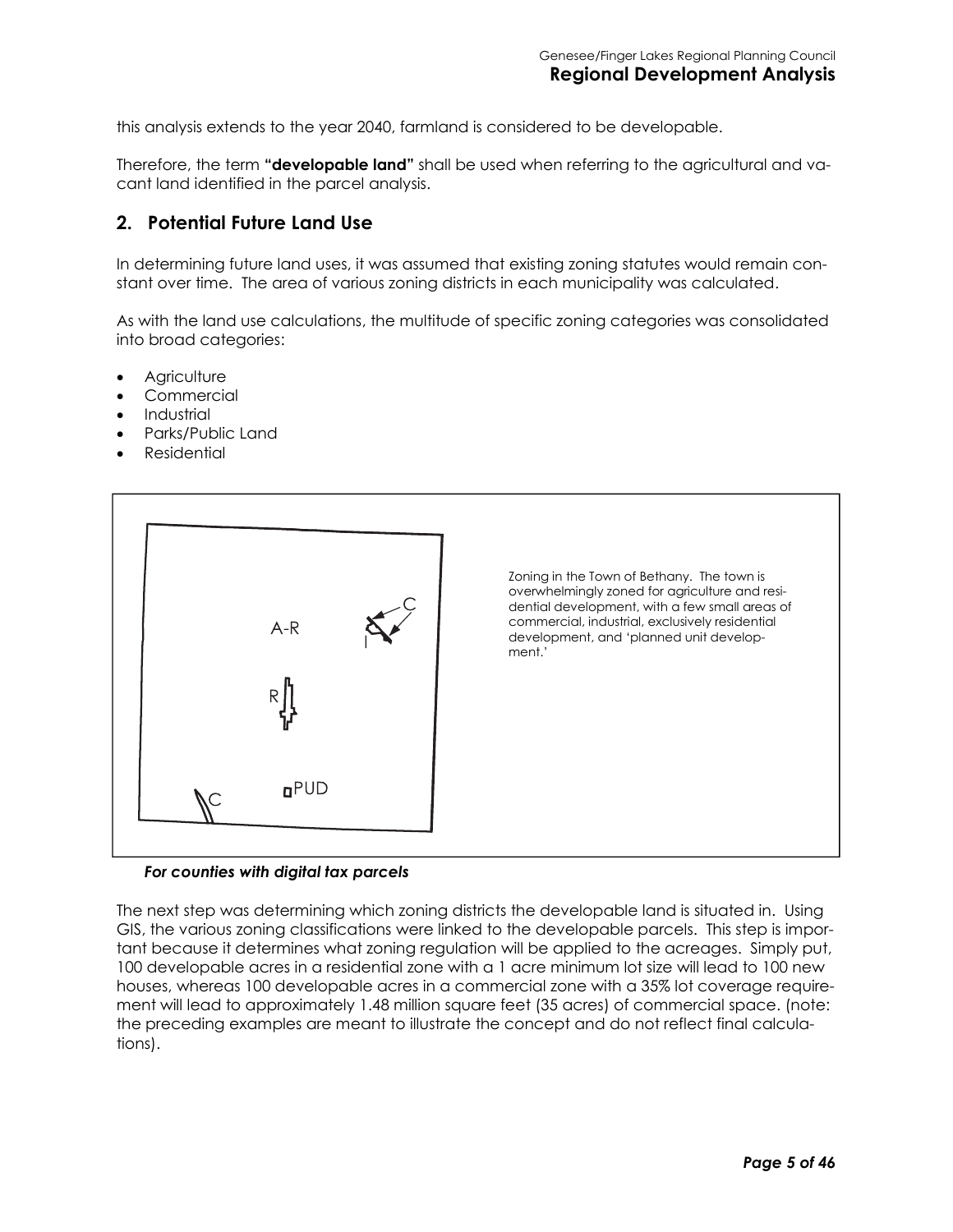this analysis extends to the year 2040, farmland is considered to be developable.

Therefore, the term **"developable land"** shall be used when referring to the agricultural and vacant land identified in the parcel analysis.

#### **2. Potential Future Land Use**

In determining future land uses, it was assumed that existing zoning statutes would remain constant over time. The area of various zoning districts in each municipality was calculated.

As with the land use calculations, the multitude of specific zoning categories was consolidated into broad categories:

- **Agriculture**
- **Commercial**
- **Industrial**
- Parks/Public Land
- **Residential**



#### *For counties with digital tax parcels*

The next step was determining which zoning districts the developable land is situated in. Using GIS, the various zoning classifications were linked to the developable parcels. This step is important because it determines what zoning regulation will be applied to the acreages. Simply put, 100 developable acres in a residential zone with a 1 acre minimum lot size will lead to 100 new houses, whereas 100 developable acres in a commercial zone with a 35% lot coverage requirement will lead to approximately 1.48 million square feet (35 acres) of commercial space. (note: the preceding examples are meant to illustrate the concept and do not reflect final calculations).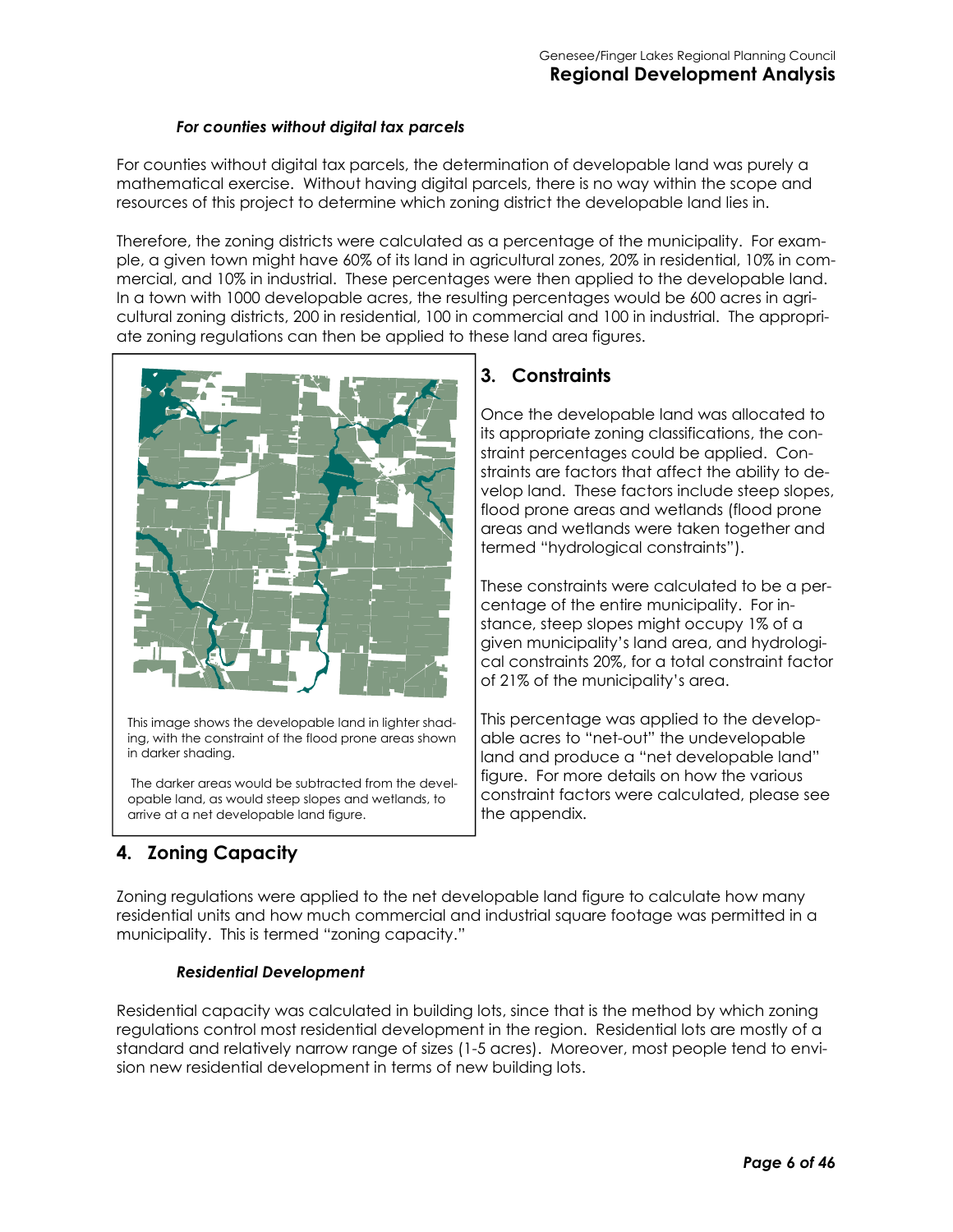#### *For counties without digital tax parcels*

For counties without digital tax parcels, the determination of developable land was purely a mathematical exercise. Without having digital parcels, there is no way within the scope and resources of this project to determine which zoning district the developable land lies in.

Therefore, the zoning districts were calculated as a percentage of the municipality. For example, a given town might have 60% of its land in agricultural zones, 20% in residential, 10% in commercial, and 10% in industrial. These percentages were then applied to the developable land. In a town with 1000 developable acres, the resulting percentages would be 600 acres in agricultural zoning districts, 200 in residential, 100 in commercial and 100 in industrial. The appropriate zoning regulations can then be applied to these land area figures.



This image shows the developable land in lighter shading, with the constraint of the flood prone areas shown in darker shading.

 The darker areas would be subtracted from the developable land, as would steep slopes and wetlands, to arrive at a net developable land figure.

# **3. Constraints**

Once the developable land was allocated to its appropriate zoning classifications, the constraint percentages could be applied. Constraints are factors that affect the ability to develop land. These factors include steep slopes, flood prone areas and wetlands (flood prone areas and wetlands were taken together and termed "hydrological constraints").

These constraints were calculated to be a percentage of the entire municipality. For instance, steep slopes might occupy 1% of a given municipality's land area, and hydrological constraints 20%, for a total constraint factor of 21% of the municipality's area.

This percentage was applied to the developable acres to "net-out" the undevelopable land and produce a "net developable land" figure. For more details on how the various constraint factors were calculated, please see the appendix.

# **4. Zoning Capacity**

Zoning regulations were applied to the net developable land figure to calculate how many residential units and how much commercial and industrial square footage was permitted in a municipality. This is termed "zoning capacity."

#### *Residential Development*

Residential capacity was calculated in building lots, since that is the method by which zoning regulations control most residential development in the region. Residential lots are mostly of a standard and relatively narrow range of sizes (1-5 acres). Moreover, most people tend to envision new residential development in terms of new building lots.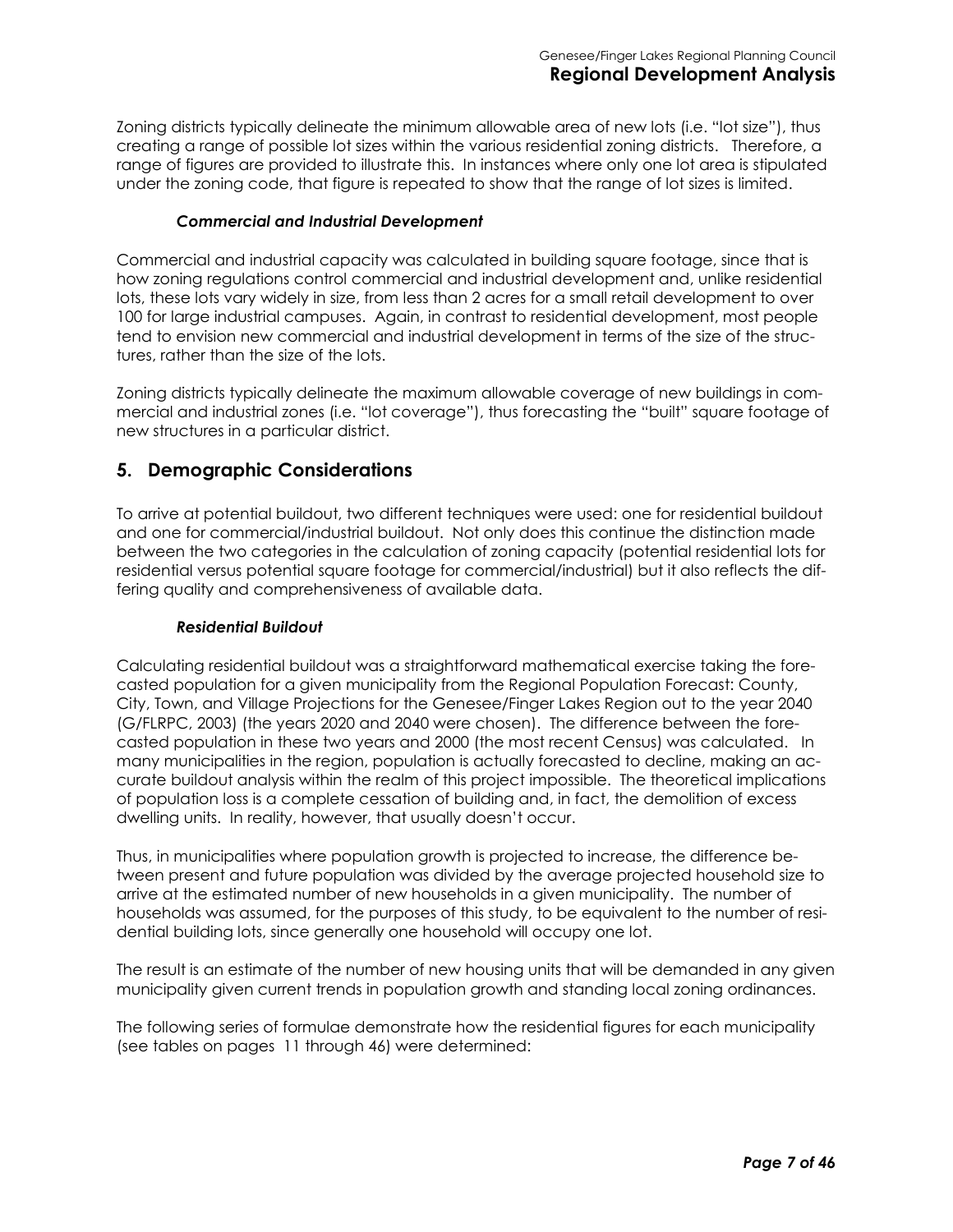Zoning districts typically delineate the minimum allowable area of new lots (i.e. "lot size"), thus creating a range of possible lot sizes within the various residential zoning districts. Therefore, a range of figures are provided to illustrate this. In instances where only one lot area is stipulated under the zoning code, that figure is repeated to show that the range of lot sizes is limited.

#### *Commercial and Industrial Development*

Commercial and industrial capacity was calculated in building square footage, since that is how zoning regulations control commercial and industrial development and, unlike residential lots, these lots vary widely in size, from less than 2 acres for a small retail development to over 100 for large industrial campuses. Again, in contrast to residential development, most people tend to envision new commercial and industrial development in terms of the size of the structures, rather than the size of the lots.

Zoning districts typically delineate the maximum allowable coverage of new buildings in commercial and industrial zones (i.e. "lot coverage"), thus forecasting the "built" square footage of new structures in a particular district.

#### **5. Demographic Considerations**

To arrive at potential buildout, two different techniques were used: one for residential buildout and one for commercial/industrial buildout. Not only does this continue the distinction made between the two categories in the calculation of zoning capacity (potential residential lots for residential versus potential square footage for commercial/industrial) but it also reflects the differing quality and comprehensiveness of available data.

#### *Residential Buildout*

Calculating residential buildout was a straightforward mathematical exercise taking the forecasted population for a given municipality from the Regional Population Forecast: County, City, Town, and Village Projections for the Genesee/Finger Lakes Region out to the year 2040 (G/FLRPC, 2003) (the years 2020 and 2040 were chosen). The difference between the forecasted population in these two years and 2000 (the most recent Census) was calculated. In many municipalities in the region, population is actually forecasted to decline, making an accurate buildout analysis within the realm of this project impossible. The theoretical implications of population loss is a complete cessation of building and, in fact, the demolition of excess dwelling units. In reality, however, that usually doesn't occur.

Thus, in municipalities where population growth is projected to increase, the difference between present and future population was divided by the average projected household size to arrive at the estimated number of new households in a given municipality. The number of households was assumed, for the purposes of this study, to be equivalent to the number of residential building lots, since generally one household will occupy one lot.

The result is an estimate of the number of new housing units that will be demanded in any given municipality given current trends in population growth and standing local zoning ordinances.

The following series of formulae demonstrate how the residential figures for each municipality (see tables on pages 11 through 46) were determined: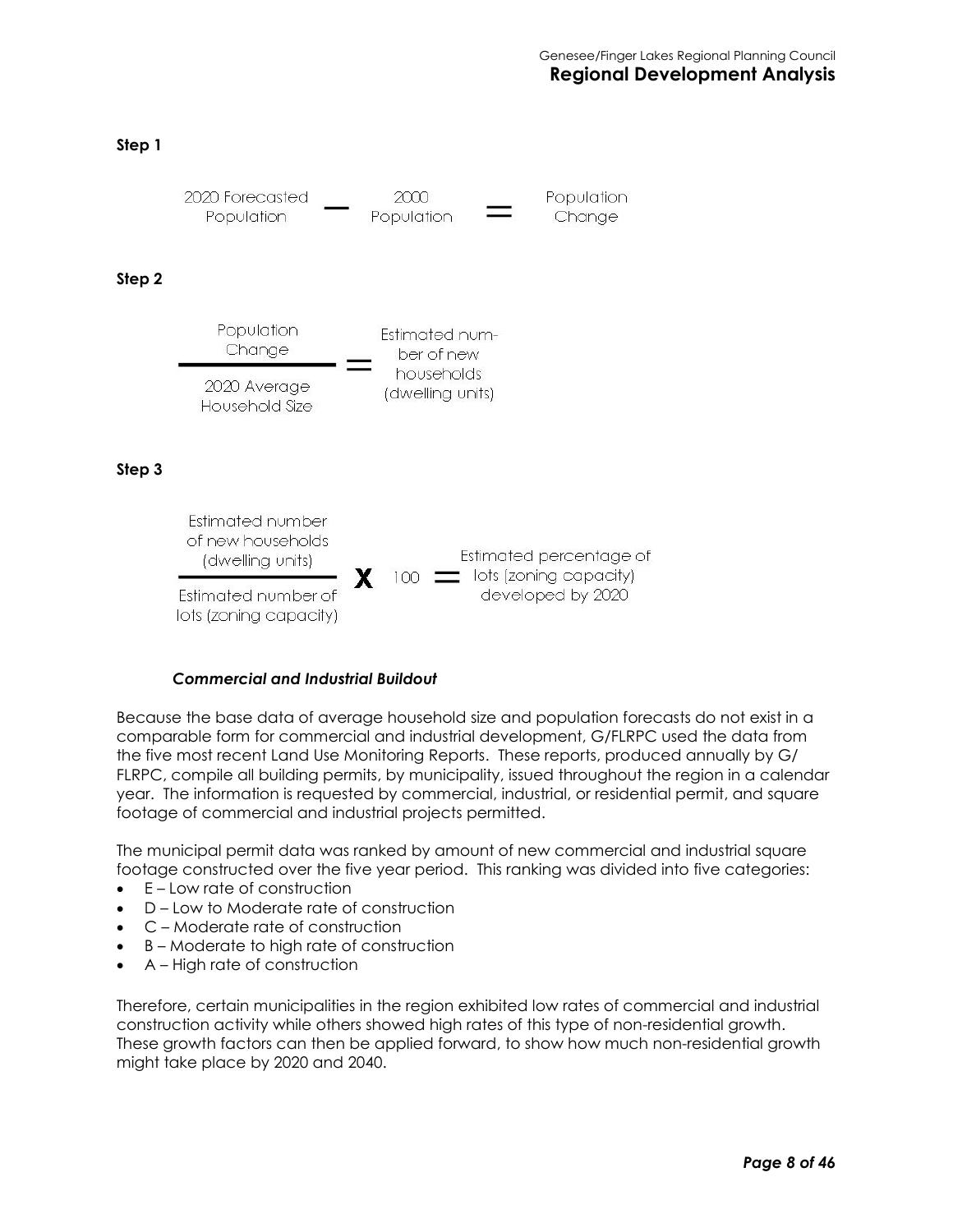#### **Step 1**



#### *Commercial and Industrial Buildout*

Because the base data of average household size and population forecasts do not exist in a comparable form for commercial and industrial development, G/FLRPC used the data from the five most recent Land Use Monitoring Reports. These reports, produced annually by G/ FLRPC, compile all building permits, by municipality, issued throughout the region in a calendar year. The information is requested by commercial, industrial, or residential permit, and square footage of commercial and industrial projects permitted.

The municipal permit data was ranked by amount of new commercial and industrial square footage constructed over the five year period. This ranking was divided into five categories:

- E Low rate of construction
- D Low to Moderate rate of construction
- C Moderate rate of construction
- B Moderate to high rate of construction
- A High rate of construction

Therefore, certain municipalities in the region exhibited low rates of commercial and industrial construction activity while others showed high rates of this type of non-residential growth. These growth factors can then be applied forward, to show how much non-residential growth might take place by 2020 and 2040.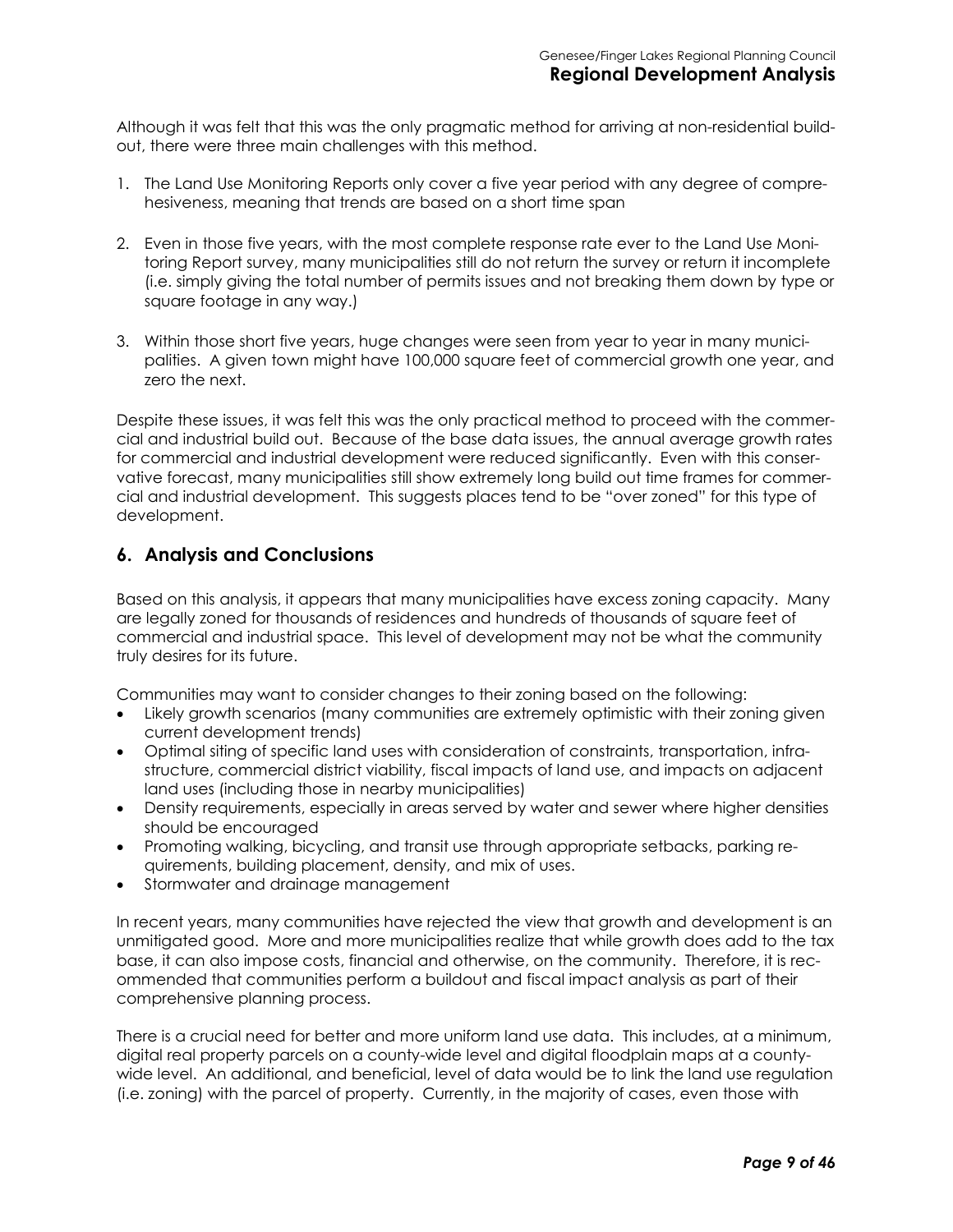Although it was felt that this was the only pragmatic method for arriving at non-residential buildout, there were three main challenges with this method.

- 1. The Land Use Monitoring Reports only cover a five year period with any degree of comprehesiveness, meaning that trends are based on a short time span
- 2. Even in those five years, with the most complete response rate ever to the Land Use Monitoring Report survey, many municipalities still do not return the survey or return it incomplete (i.e. simply giving the total number of permits issues and not breaking them down by type or square footage in any way.)
- 3. Within those short five years, huge changes were seen from year to year in many municipalities. A given town might have 100,000 square feet of commercial growth one year, and zero the next.

Despite these issues, it was felt this was the only practical method to proceed with the commercial and industrial build out. Because of the base data issues, the annual average growth rates for commercial and industrial development were reduced significantly. Even with this conservative forecast, many municipalities still show extremely long build out time frames for commercial and industrial development. This suggests places tend to be "over zoned" for this type of development.

#### **6. Analysis and Conclusions**

Based on this analysis, it appears that many municipalities have excess zoning capacity. Many are legally zoned for thousands of residences and hundreds of thousands of square feet of commercial and industrial space. This level of development may not be what the community truly desires for its future.

Communities may want to consider changes to their zoning based on the following:

- Likely growth scenarios (many communities are extremely optimistic with their zoning given current development trends)
- Optimal siting of specific land uses with consideration of constraints, transportation, infrastructure, commercial district viability, fiscal impacts of land use, and impacts on adjacent land uses (including those in nearby municipalities)
- Density requirements, especially in areas served by water and sewer where higher densities should be encouraged
- Promoting walking, bicycling, and transit use through appropriate setbacks, parking requirements, building placement, density, and mix of uses.
- Stormwater and drainage management

In recent years, many communities have rejected the view that growth and development is an unmitigated good. More and more municipalities realize that while growth does add to the tax base, it can also impose costs, financial and otherwise, on the community. Therefore, it is recommended that communities perform a buildout and fiscal impact analysis as part of their comprehensive planning process.

There is a crucial need for better and more uniform land use data. This includes, at a minimum, digital real property parcels on a county-wide level and digital floodplain maps at a countywide level. An additional, and beneficial, level of data would be to link the land use regulation (i.e. zoning) with the parcel of property. Currently, in the majority of cases, even those with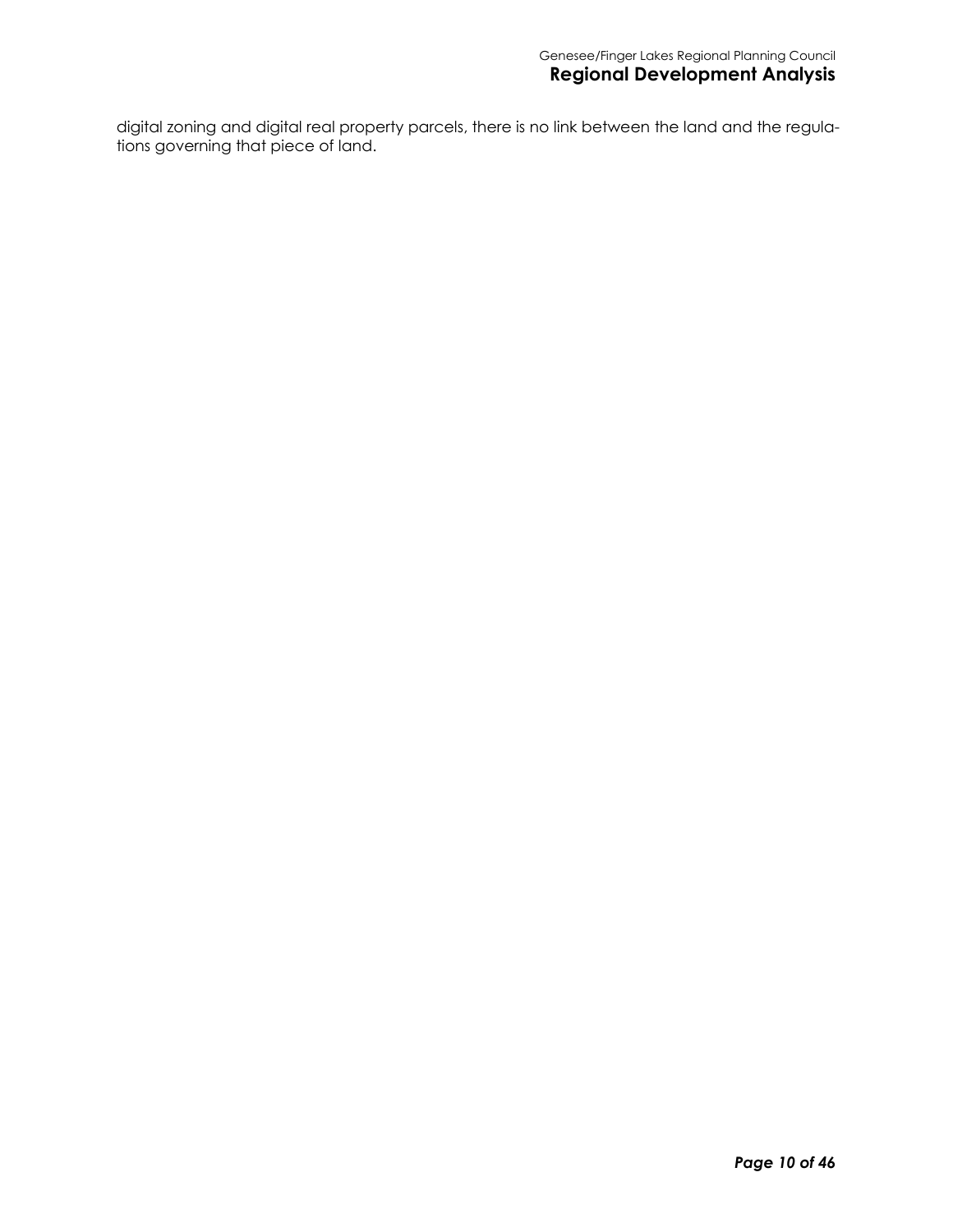digital zoning and digital real property parcels, there is no link between the land and the regulations governing that piece of land.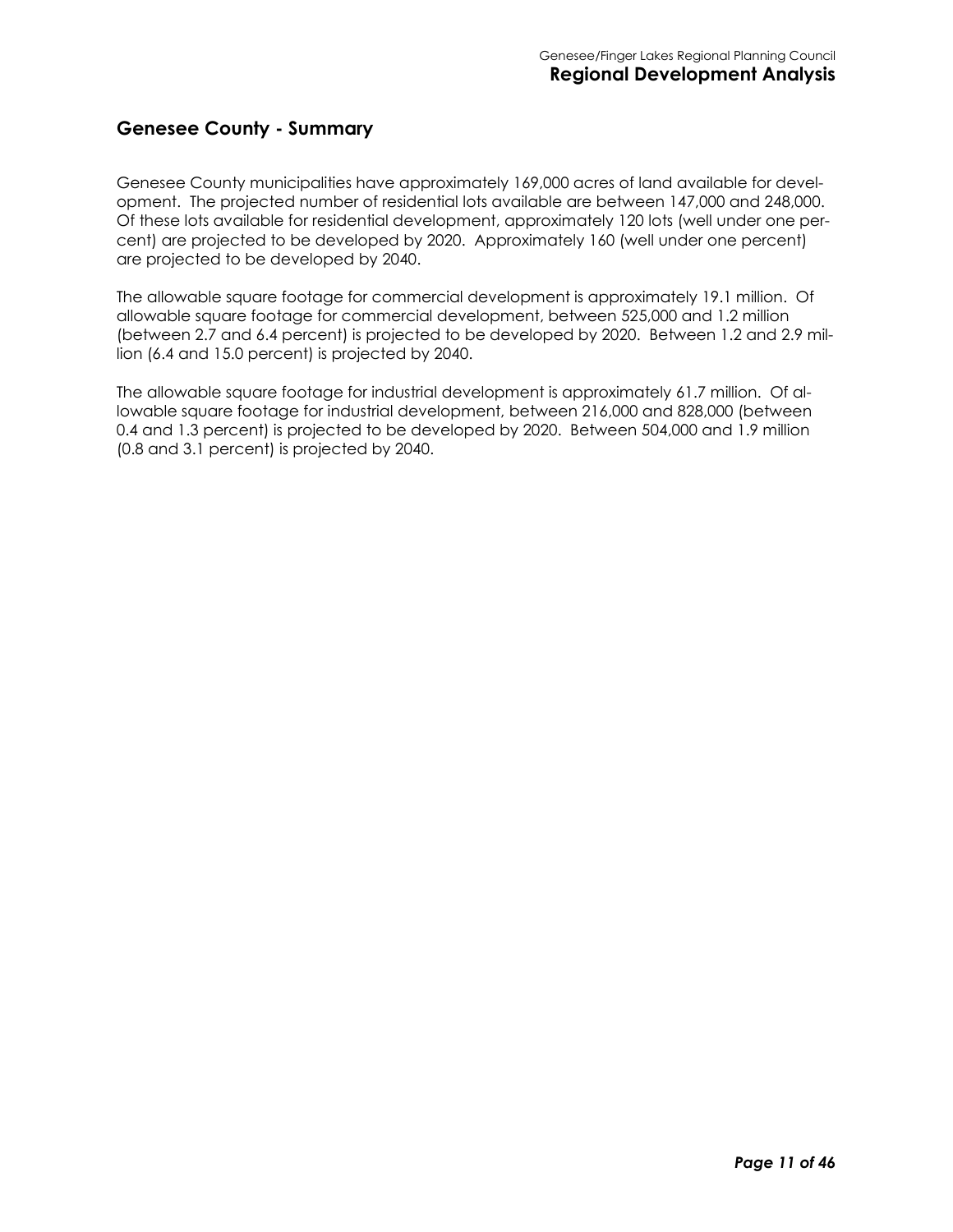#### **Genesee County - Summary**

Genesee County municipalities have approximately 169,000 acres of land available for development. The projected number of residential lots available are between 147,000 and 248,000. Of these lots available for residential development, approximately 120 lots (well under one percent) are projected to be developed by 2020. Approximately 160 (well under one percent) are projected to be developed by 2040.

The allowable square footage for commercial development is approximately 19.1 million. Of allowable square footage for commercial development, between 525,000 and 1.2 million (between 2.7 and 6.4 percent) is projected to be developed by 2020. Between 1.2 and 2.9 million (6.4 and 15.0 percent) is projected by 2040.

The allowable square footage for industrial development is approximately 61.7 million. Of allowable square footage for industrial development, between 216,000 and 828,000 (between 0.4 and 1.3 percent) is projected to be developed by 2020. Between 504,000 and 1.9 million (0.8 and 3.1 percent) is projected by 2040.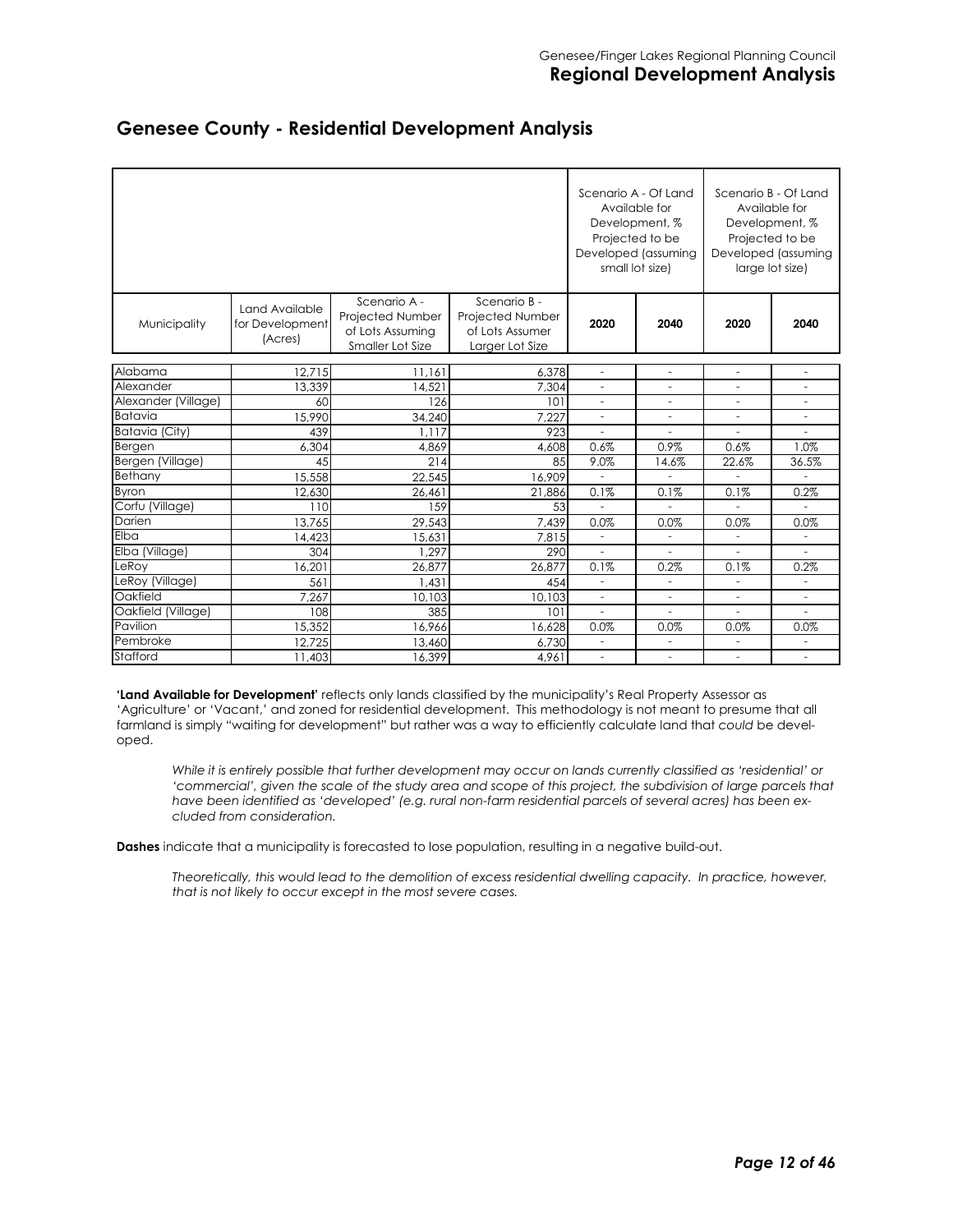|                     |                                              | Scenario A - Of Land<br>Development, %<br>Projected to be<br>Developed (assuming<br>small lot size) | Available for                                                          | Scenario B - Of Land<br>Available for<br>Development, %<br>Projected to be<br>Developed (assuming<br>large lot size) |                                            |                                            |                               |
|---------------------|----------------------------------------------|-----------------------------------------------------------------------------------------------------|------------------------------------------------------------------------|----------------------------------------------------------------------------------------------------------------------|--------------------------------------------|--------------------------------------------|-------------------------------|
| Municipality        | Land Available<br>for Development<br>(Acres) | Scenario A -<br>Projected Number<br>of Lots Assuming<br>Smaller Lot Size                            | Scenario B -<br>Projected Number<br>of Lots Assumer<br>Larger Lot Size | 2020                                                                                                                 | 2040                                       | 2020                                       | 2040                          |
| Alabama             | 12.715                                       |                                                                                                     |                                                                        |                                                                                                                      |                                            |                                            |                               |
| Alexander           | 13.339                                       | 11,161<br>14,521                                                                                    | 6,378<br>7,304                                                         | $\overline{\phantom{a}}$<br>$\overline{\phantom{a}}$                                                                 | $\overline{\phantom{0}}$<br>$\overline{a}$ | $\overline{\phantom{a}}$<br>$\overline{a}$ | $\overline{\phantom{0}}$<br>٠ |
| Alexander (Village) | 60                                           | 126                                                                                                 | 101                                                                    | $\overline{\phantom{m}}$                                                                                             |                                            |                                            |                               |
| <b>Batavia</b>      | 15,990                                       | 34.240                                                                                              | 7.227                                                                  | ٠                                                                                                                    | ÷.                                         | ٠                                          | ۳                             |
| Batavia (City)      | 439                                          | 1.117                                                                                               | 923                                                                    | ä,                                                                                                                   |                                            |                                            |                               |
| Bergen              | 6,304                                        | 4,869                                                                                               | 4,608                                                                  | 0.6%                                                                                                                 | 0.9%                                       | 0.6%                                       | 1.0%                          |
| Bergen (Village)    | 45                                           | 214                                                                                                 | 85                                                                     | 9.0%                                                                                                                 | 14.6%                                      | 22.6%                                      | 36.5%                         |
| Bethany             | 15,558                                       | 22,545                                                                                              | 16,909                                                                 |                                                                                                                      |                                            |                                            |                               |
| Byron               | 12,630                                       | 26,461                                                                                              | 21,886                                                                 | 0.1%                                                                                                                 | 0.1%                                       | 0.1%                                       | 0.2%                          |
| Corfu (Village)     | 110                                          | 159                                                                                                 | 53                                                                     |                                                                                                                      | $\overline{a}$                             |                                            | ٠                             |
| Darien              | 13,765                                       | 29.543                                                                                              | 7.439                                                                  | 0.0%                                                                                                                 | 0.0%                                       | 0.0%                                       | 0.0%                          |
| Elba                | 14,423                                       | 15,631                                                                                              | 7,815                                                                  |                                                                                                                      |                                            |                                            |                               |
| Elba (Village)      | 304                                          | 1.297                                                                                               | 290                                                                    |                                                                                                                      |                                            |                                            |                               |
| LeRoy               | 16,201                                       | 26.877                                                                                              | 26.877                                                                 | 0.1%                                                                                                                 | 0.2%                                       | 0.1%                                       | 0.2%                          |
| LeRoy (Village)     | 561                                          | 1.431                                                                                               | 454                                                                    | $\overline{\phantom{a}}$                                                                                             | $\overline{a}$                             |                                            |                               |
| Oakfield            | 7,267                                        | 10,103                                                                                              | 10,103                                                                 | $\sim$                                                                                                               | ÷,                                         | ÷.                                         | ÷                             |
| Oakfield (Village)  | 108                                          | 385                                                                                                 | 101                                                                    | $\bar{a}$                                                                                                            |                                            | $\overline{a}$                             | ÷,                            |
| Pavilion            | 15,352                                       | 16,966                                                                                              | 16,628                                                                 | 0.0%                                                                                                                 | 0.0%                                       | 0.0%                                       | 0.0%                          |
| Pembroke            | 12,725                                       | 13,460                                                                                              | 6,730                                                                  | ÷.                                                                                                                   |                                            |                                            |                               |
| Stafford            | 11,403                                       | 16,399                                                                                              | 4,961                                                                  | $\sim$                                                                                                               |                                            | $\equiv$                                   | ٠                             |

#### **Genesee County - Residential Development Analysis**

**'Land Available for Development'** reflects only lands classified by the municipality's Real Property Assessor as 'Agriculture' or 'Vacant,' and zoned for residential development. This methodology is not meant to presume that all farmland is simply "waiting for development" but rather was a way to efficiently calculate land that *could* be developed.

*While it is entirely possible that further development may occur on lands currently classified as 'residential' or*  'commercial', given the scale of the study area and scope of this project, the subdivision of large parcels that *have been identified as 'developed' (e.g. rural non-farm residential parcels of several acres) has been excluded from consideration.* 

**Dashes** indicate that a municipality is forecasted to lose population, resulting in a negative build-out.

*Theoretically, this would lead to the demolition of excess residential dwelling capacity. In practice, however, that is not likely to occur except in the most severe cases.*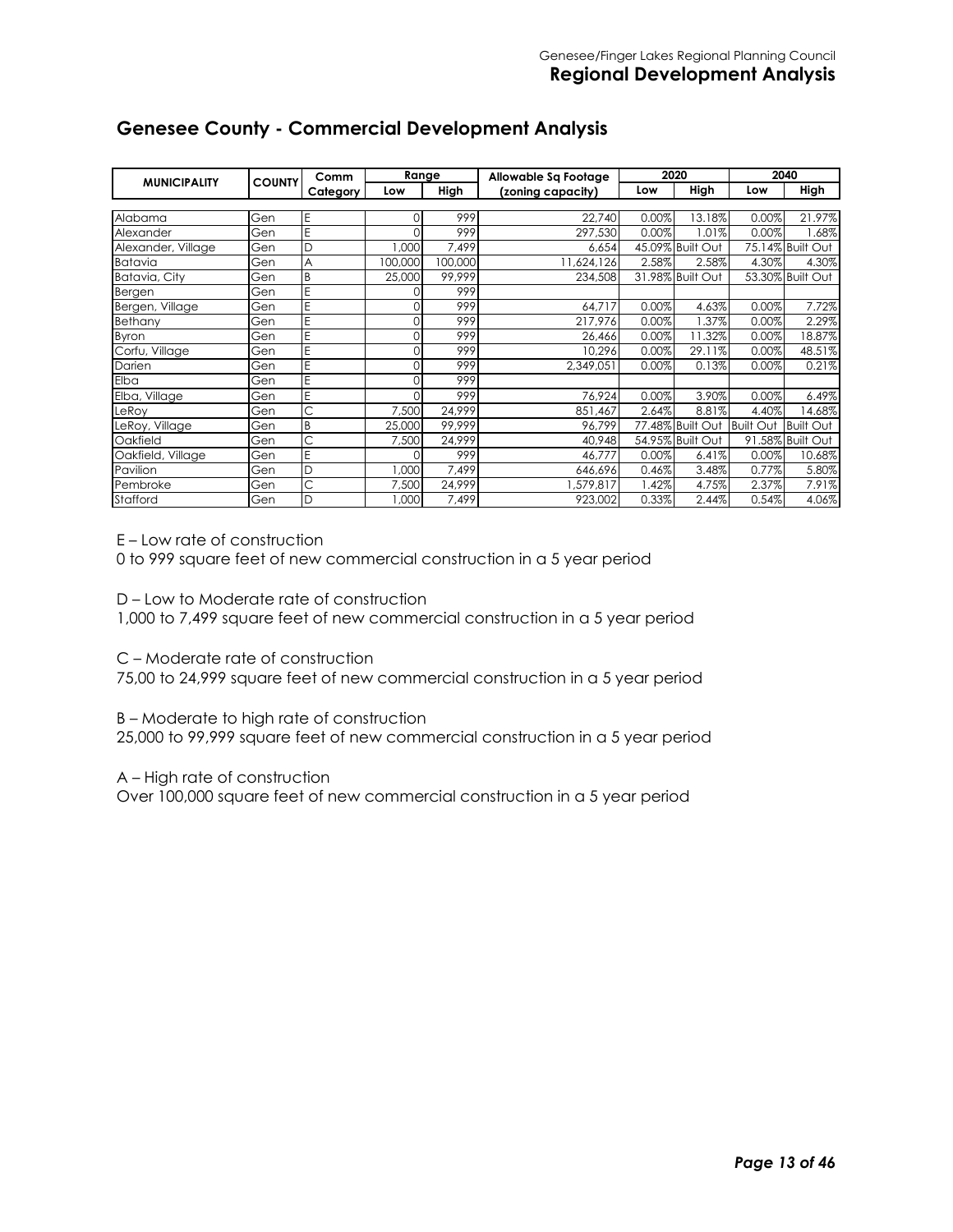|                     | <b>COUNTY</b> | Comm     | Range    |         | Allowable Sa Footage |       | 2040<br>2020     |                  |                  |
|---------------------|---------------|----------|----------|---------|----------------------|-------|------------------|------------------|------------------|
| <b>MUNICIPALITY</b> |               | Category | Low      | High    | (zoning capacity)    | Low   | High             | Low              | High             |
|                     |               |          |          |         |                      |       |                  |                  |                  |
| Alabama             | Gen           | E        | $\Omega$ | 999     | 22,740               | 0.00% | 3.18%            | 0.00%            | 21.97%           |
| Alexander           | Gen           | E        |          | 999     | 297,530              | 0.00% | .01%             | 0.00%            | .68%             |
| Alexander, Village  | Gen           | D        | ,000     | 7,499   | 6,654                |       | 45.09% Built Out |                  | 75.14% Built Out |
| Batavia             | Gen           | A        | 100,000  | 000,000 | 11,624,126           | 2.58% | 2.58%            | 4.30%            | 4.30%            |
| Batavia, City       | Gen           | B        | 25,000   | 99.999  | 234,508              |       | 31.98% Built Out |                  | 53.30% Built Out |
| <b>Bergen</b>       | Gen           | E        |          | 999     |                      |       |                  |                  |                  |
| Bergen, Village     | Gen           | E        | 0        | 999     | 64,717               | 0.00% | 4.63%            | 0.00%            | 7.72%            |
| Bethany             | Gen           | E        |          | 999     | 217,976              | 0.00% | $.37\%$          | 0.00%            | 2.29%            |
| Byron               | Gen           | E        | $\Omega$ | 999     | 26,466               | 0.00% | 1.32%            | 0.00%            | 18.87%           |
| Corfu, Village      | Gen           | Ë        | 0        | 999     | 10,296               | 0.00% | 29.11%           | 0.00%            | 48.51%           |
| Darien              | Gen           | E        |          | 999     | 2,349,051            | 0.00% | 0.13%            | 0.00%            | 0.21%            |
| Elba                | Gen           | E        | 0        | 999     |                      |       |                  |                  |                  |
| Elba, Village       | Gen           | E        | $\Omega$ | 999     | 76.924               | 0.00% | 3.90%            | 0.00%            | 6.49%            |
| LeRoy               | Gen           | C        | 7,500    | 24,999  | 851,467              | 2.64% | 8.81%            | 4.40%            | 14.68%           |
| LeRoy, Village      | Gen           | B        | 25,000   | 99,999  | 96,799               |       | 77.48% Built Out | <b>Built Out</b> | <b>Built Out</b> |
| Oakfield            | Gen           | C        | 7,500    | 24,999  | 40,948               |       | 54.95% Built Out |                  | 91.58% Built Out |
| Oakfield, Village   | Gen           | E        | $\Omega$ | 999     | 46,777               | 0.00% | 6.41%            | 0.00%            | 10.68%           |
| Pavilion            | Gen           | D        | ,000     | 7,499   | 646,696              | 0.46% | 3.48%            | 0.77%            | 5.80%            |
| Pembroke            | Gen           | C        | 7,500    | 24,999  | ,579,817             | 1.42% | 4.75%            | 2.37%            | 7.91%            |
| Stafford            | Gen           | D        | ,000     | 7,499   | 923,002              | 0.33% | 2.44%            | 0.54%            | 4.06%            |

#### **Genesee County - Commercial Development Analysis**

E – Low rate of construction

0 to 999 square feet of new commercial construction in a 5 year period

D – Low to Moderate rate of construction

1,000 to 7,499 square feet of new commercial construction in a 5 year period

C – Moderate rate of construction

75,00 to 24,999 square feet of new commercial construction in a 5 year period

B – Moderate to high rate of construction

25,000 to 99,999 square feet of new commercial construction in a 5 year period

A – High rate of construction

Over 100,000 square feet of new commercial construction in a 5 year period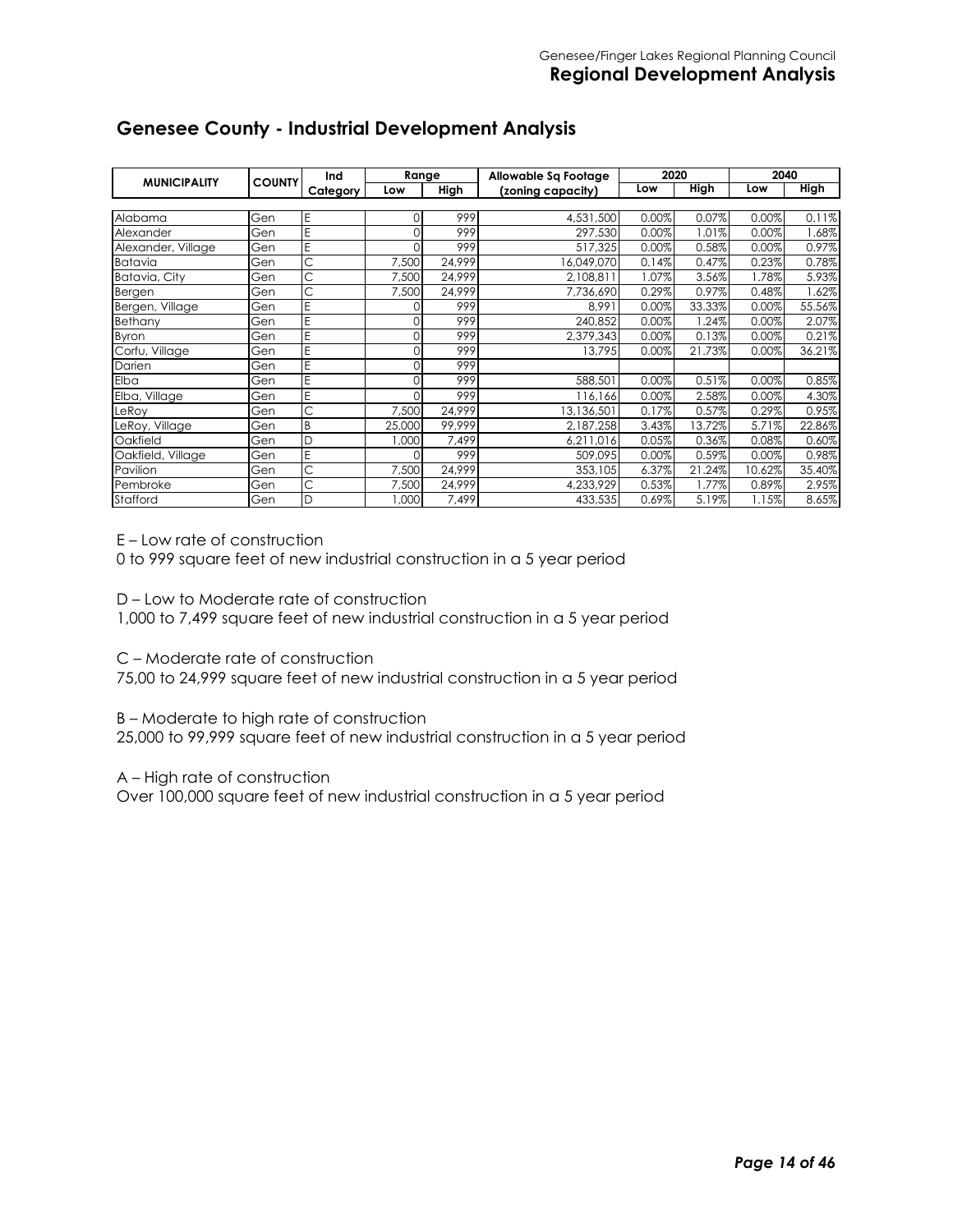| <b>MUNICIPALITY</b> | <b>COUNTY</b> | Ind      | Range    |        | Allowable Sq Footage | 2020  |             | 2040   |             |
|---------------------|---------------|----------|----------|--------|----------------------|-------|-------------|--------|-------------|
|                     |               | Category | Low      | High   | (zoning capacity)    | Low   | <b>High</b> | Low    | <b>High</b> |
|                     |               |          |          |        |                      |       |             |        |             |
| Alabama             | Gen           | E        | $\Omega$ | 999    | 4,531,500            | 0.00% | 0.07%       | 0.00%  | 0.11%       |
| Alexander           | Gen           | E        | 0        | 999    | 297,530              | 0.00% | .01%        | 0.00%  | .68%        |
| Alexander, Village  | Gen           | E        | O        | 999    | 517,325              | 0.00% | 0.58%       | 0.00%  | 0.97%       |
| Batavia             | Gen           | C        | 7,500    | 24,999 | 16,049,070           | 0.14% | 0.47%       | 0.23%  | 0.78%       |
| Batavia, City       | Gen           | Ċ        | 7,500    | 24.999 | 2,108,811            | 1.07% | 3.56%       | .78%   | 5.93%       |
| <b>Bergen</b>       | Gen           | С        | 7,500    | 24,999 | 7,736,690            | 0.29% | 0.97%       | 0.48%  | .62%        |
| Bergen, Village     | Gen           | E        | $\Omega$ | 999    | 8,991                | 0.00% | 33.33%      | 0.00%  | 55.56%      |
| Bethany             | Gen           | E        | $\Omega$ | 999    | 240,852              | 0.00% | .24%        | 0.00%  | 2.07%       |
| Byron               | Gen           | E        | $\Omega$ | 999    | 2,379,343            | 0.00% | 0.13%       | 0.00%  | 0.21%       |
| Corfu, Village      | Gen           | Ë        | $\Omega$ | 999    | 13.795               | 0.00% | 21.73%      | 0.00%  | 36.21%      |
| Darien              | Gen           | E        | $\Omega$ | 999    |                      |       |             |        |             |
| Elba                | Gen           | E        | 0        | 999    | 588,501              | 0.00% | 0.51%       | 0.00%  | 0.85%       |
| Elba, Village       | Gen           | E        | $\Omega$ | 999    | 116,166              | 0.00% | 2.58%       | 0.00%  | 4.30%       |
| LeRoy               | Gen           | C        | 7,500    | 24,999 | 13,136,501           | 0.17% | 0.57%       | 0.29%  | 0.95%       |
| LeRoy, Village      | Gen           | B        | 25,000   | 99,999 | 2,187,258            | 3.43% | 3.72%       | 5.71%  | 22.86%      |
| Oakfield            | Gen           | D        | 1,000    | 7,499  | 6,211,016            | 0.05% | 0.36%       | 0.08%  | 0.60%       |
| Oakfield, Village   | Gen           | E        | $\Omega$ | 999    | 509,095              | 0.00% | 0.59%       | 0.00%  | 0.98%       |
| Pavilion            | Gen           | C        | 7,500    | 24,999 | 353,105              | 6.37% | 21.24%      | 10.62% | 35.40%      |
| Pembroke            | Gen           | C        | 7,500    | 24,999 | 4,233,929            | 0.53% | $1.77\%$    | 0.89%  | 2.95%       |
| Stafford            | Gen           | D        | ,000     | 7,499  | 433,535              | 0.69% | 5.19%       | 1.15%  | 8.65%       |

#### **Genesee County - Industrial Development Analysis**

E – Low rate of construction

0 to 999 square feet of new industrial construction in a 5 year period

D – Low to Moderate rate of construction

1,000 to 7,499 square feet of new industrial construction in a 5 year period

C – Moderate rate of construction

75,00 to 24,999 square feet of new industrial construction in a 5 year period

B – Moderate to high rate of construction

25,000 to 99,999 square feet of new industrial construction in a 5 year period

A – High rate of construction

Over 100,000 square feet of new industrial construction in a 5 year period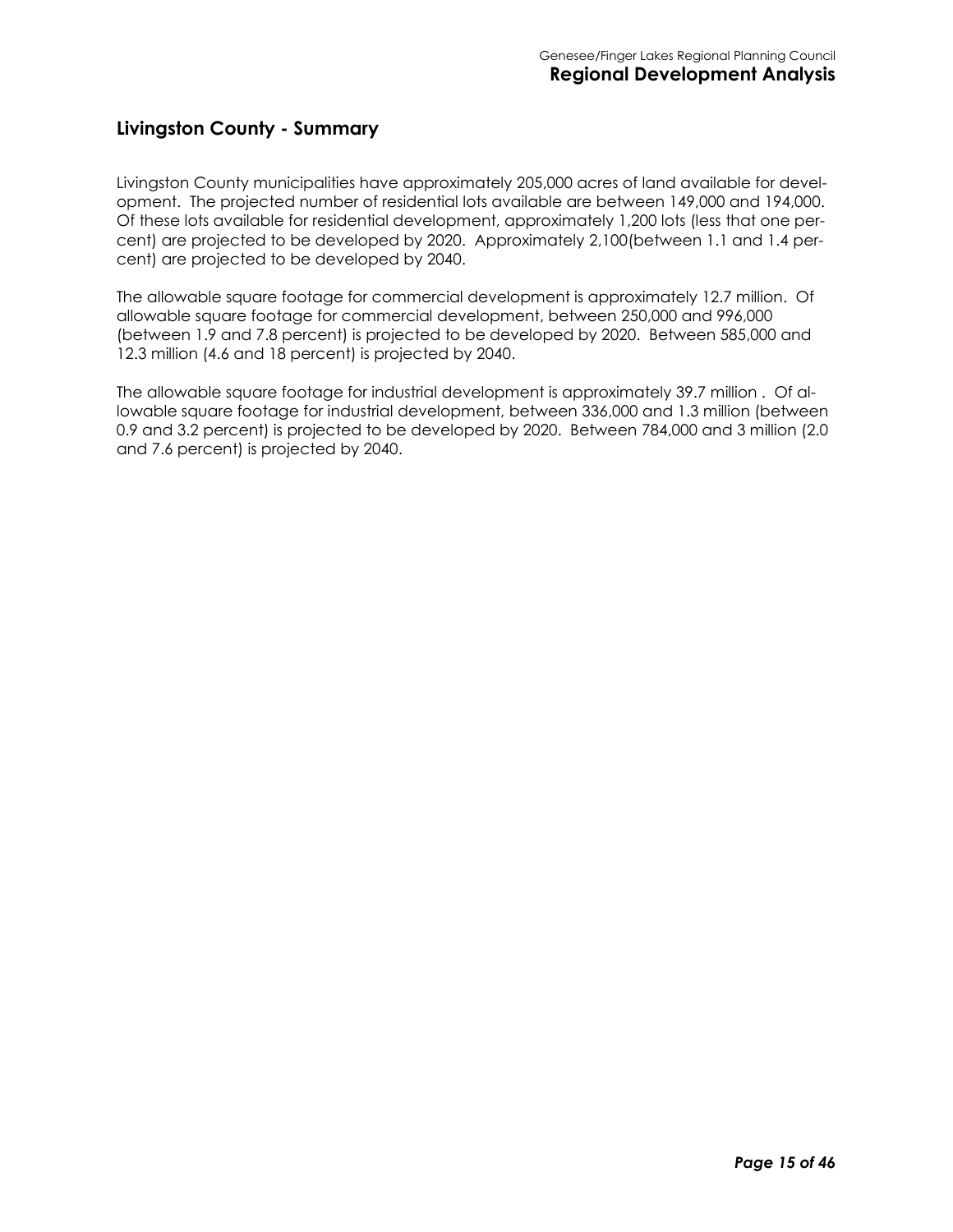#### **Livingston County - Summary**

Livingston County municipalities have approximately 205,000 acres of land available for development. The projected number of residential lots available are between 149,000 and 194,000. Of these lots available for residential development, approximately 1,200 lots (less that one percent) are projected to be developed by 2020. Approximately 2,100(between 1.1 and 1.4 percent) are projected to be developed by 2040.

The allowable square footage for commercial development is approximately 12.7 million. Of allowable square footage for commercial development, between 250,000 and 996,000 (between 1.9 and 7.8 percent) is projected to be developed by 2020. Between 585,000 and 12.3 million (4.6 and 18 percent) is projected by 2040.

The allowable square footage for industrial development is approximately 39.7 million . Of allowable square footage for industrial development, between 336,000 and 1.3 million (between 0.9 and 3.2 percent) is projected to be developed by 2020. Between 784,000 and 3 million (2.0 and 7.6 percent) is projected by 2040.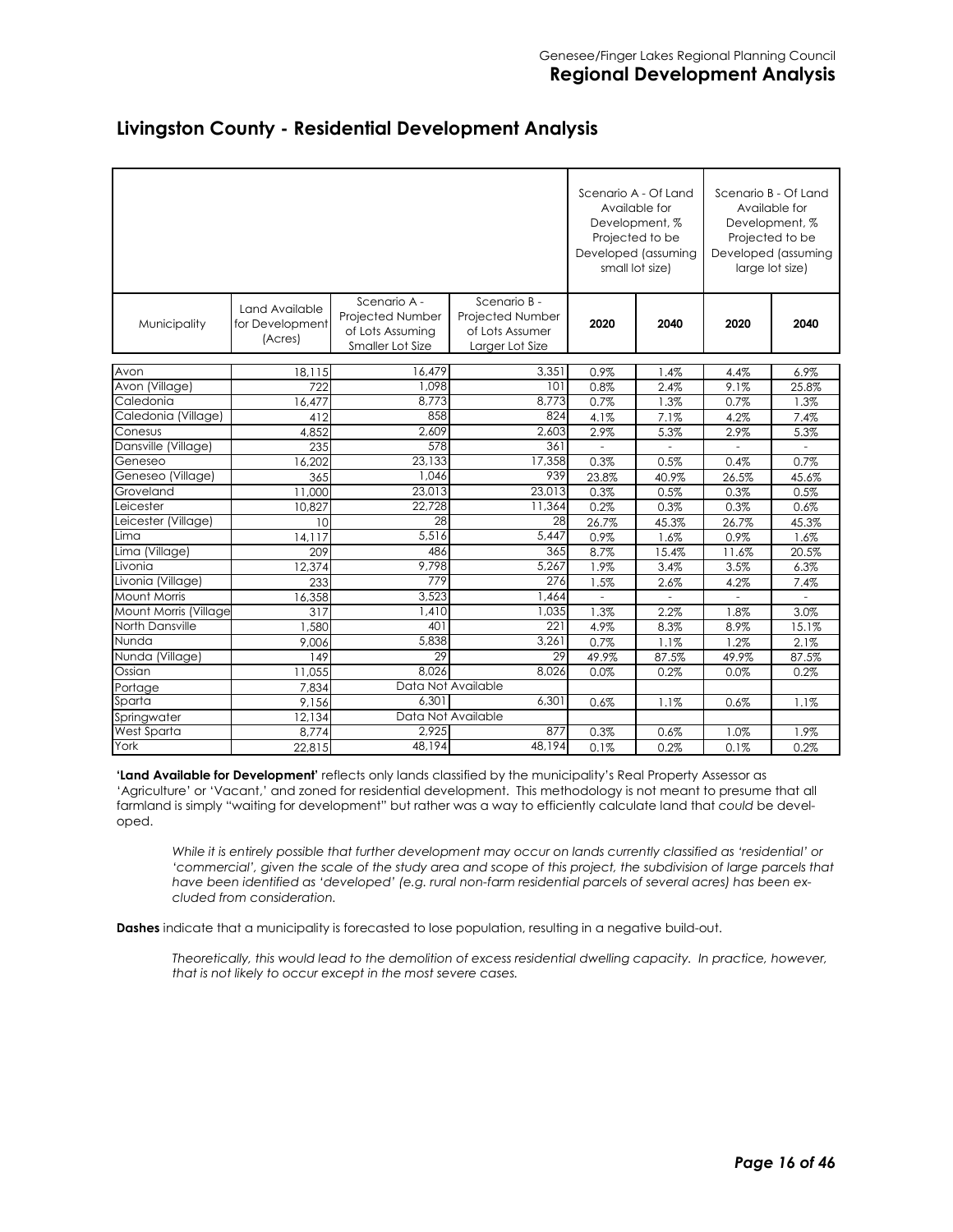|                       |                                              |                                                                          |                                                                               | Scenario A - Of Land<br>Development, %<br>Projected to be<br>Developed (assuming<br>small lot size) | Available for  |                | Scenario B - Of Land<br>Available for<br>Development, %<br>Projected to be<br>Developed (assuming<br>large lot size) |
|-----------------------|----------------------------------------------|--------------------------------------------------------------------------|-------------------------------------------------------------------------------|-----------------------------------------------------------------------------------------------------|----------------|----------------|----------------------------------------------------------------------------------------------------------------------|
| Municipality          | Land Available<br>for Development<br>(Acres) | Scenario A -<br>Projected Number<br>of Lots Assuming<br>Smaller Lot Size | Scenario B -<br><b>Projected Number</b><br>of Lots Assumer<br>Larger Lot Size | 2020                                                                                                | 2040           | 2020           | 2040                                                                                                                 |
| Avon                  | 18,115                                       | 16,479                                                                   | 3,351                                                                         | 0.9%                                                                                                | 1.4%           | 4.4%           | 6.9%                                                                                                                 |
| Avon (Village)        | 722                                          | 1,098                                                                    | 101                                                                           | 0.8%                                                                                                | 2.4%           | 9.1%           | 25.8%                                                                                                                |
| Caledonia             | 16,477                                       | 8,773                                                                    | 8,773                                                                         | 0.7%                                                                                                | 1.3%           | 0.7%           | 1.3%                                                                                                                 |
| Caledonia (Village)   | 412                                          | 858                                                                      | 824                                                                           | 4.1%                                                                                                | 7.1%           | 4.2%           | 7.4%                                                                                                                 |
| Conesus               | 4,852                                        | 2,609                                                                    | 2,603                                                                         | 2.9%                                                                                                | 5.3%           | 2.9%           | 5.3%                                                                                                                 |
| Dansville (Village)   | 235                                          | 578                                                                      | 361                                                                           | ÷.                                                                                                  | $\overline{a}$ | $\overline{a}$ | ÷                                                                                                                    |
| Geneseo               | 16,202                                       | 23,133                                                                   | 17,358                                                                        | 0.3%                                                                                                | 0.5%           | 0.4%           | 0.7%                                                                                                                 |
| Geneseo (Village)     | 365                                          | 1.046                                                                    | 939                                                                           | 23.8%                                                                                               | 40.9%          | 26.5%          | 45.6%                                                                                                                |
| Groveland             | 11,000                                       | 23,013                                                                   | 23,013                                                                        | 0.3%                                                                                                | 0.5%           | 0.3%           | 0.5%                                                                                                                 |
| Leicester             | 10,827                                       | 22,728                                                                   | 11,364                                                                        | 0.2%                                                                                                | 0.3%           | 0.3%           | 0.6%                                                                                                                 |
| Leicester (Village)   | 10                                           | $\overline{28}$                                                          | 28                                                                            | 26.7%                                                                                               | 45.3%          | 26.7%          | 45.3%                                                                                                                |
| Lima                  | 14,117                                       | 5.516                                                                    | 5.447                                                                         | 0.9%                                                                                                | 1.6%           | 0.9%           | 1.6%                                                                                                                 |
| Lima (Village)        | 209                                          | 486                                                                      | 365                                                                           | 8.7%                                                                                                | 15.4%          | 11.6%          | 20.5%                                                                                                                |
| Livonia               | 12,374                                       | 9,798                                                                    | 5,267                                                                         | 1.9%                                                                                                | 3.4%           | 3.5%           | 6.3%                                                                                                                 |
| Livonia (Village)     | 233                                          | 779                                                                      | 276                                                                           | 1.5%                                                                                                | 2.6%           | 4.2%           | 7.4%                                                                                                                 |
| <b>Mount Morris</b>   | 16,358                                       | 3,523                                                                    | 1,464                                                                         | ÷.                                                                                                  | $\overline{a}$ | $\overline{a}$ | ÷.                                                                                                                   |
| Mount Morris (Village | 317                                          | 1,410                                                                    | 1,035                                                                         | 1.3%                                                                                                | 2.2%           | 1.8%           | 3.0%                                                                                                                 |
| North Dansville       | ,580                                         | 401                                                                      | 221                                                                           | 4.9%                                                                                                | 8.3%           | 8.9%           | 15.1%                                                                                                                |
| Nunda                 | 9,006                                        | 5,838                                                                    | 3,261                                                                         | 0.7%                                                                                                | 1.1%           | 1.2%           | 2.1%                                                                                                                 |
| Nunda (Village)       | 149                                          | 29                                                                       | 29                                                                            | 49.9%                                                                                               | 87.5%          | 49.9%          | 87.5%                                                                                                                |
| Ossian                | 11.055                                       | 8.026                                                                    | 8.026                                                                         | 0.0%                                                                                                | 0.2%           | 0.0%           | 0.2%                                                                                                                 |
| Portage               | 7,834                                        |                                                                          | Data Not Available                                                            |                                                                                                     |                |                |                                                                                                                      |
| Sparta                | 9.156                                        | 6,301                                                                    | 6,301                                                                         | 0.6%                                                                                                | 1.1%           | 0.6%           | 1.1%                                                                                                                 |
| Springwater           | 12,134                                       |                                                                          | Data Not Available                                                            |                                                                                                     |                |                |                                                                                                                      |
| West Sparta           | 8,774                                        | 2,925                                                                    | 877                                                                           | 0.3%                                                                                                | 0.6%           | 1.0%           | 1.9%                                                                                                                 |
| York                  | 22.815                                       | 48.194                                                                   | 48.194                                                                        | 0.1%                                                                                                | 0.2%           | 0.1%           | 0.2%                                                                                                                 |

#### **Livingston County - Residential Development Analysis**

**'Land Available for Development'** reflects only lands classified by the municipality's Real Property Assessor as 'Agriculture' or 'Vacant,' and zoned for residential development. This methodology is not meant to presume that all farmland is simply "waiting for development" but rather was a way to efficiently calculate land that *could* be developed.

*While it is entirely possible that further development may occur on lands currently classified as 'residential' or 'commercial', given the scale of the study area and scope of this project, the subdivision of large parcels that have been identified as 'developed' (e.g. rural non-farm residential parcels of several acres) has been excluded from consideration.* 

**Dashes** indicate that a municipality is forecasted to lose population, resulting in a negative build-out.

*Theoretically, this would lead to the demolition of excess residential dwelling capacity. In practice, however, that is not likely to occur except in the most severe cases.*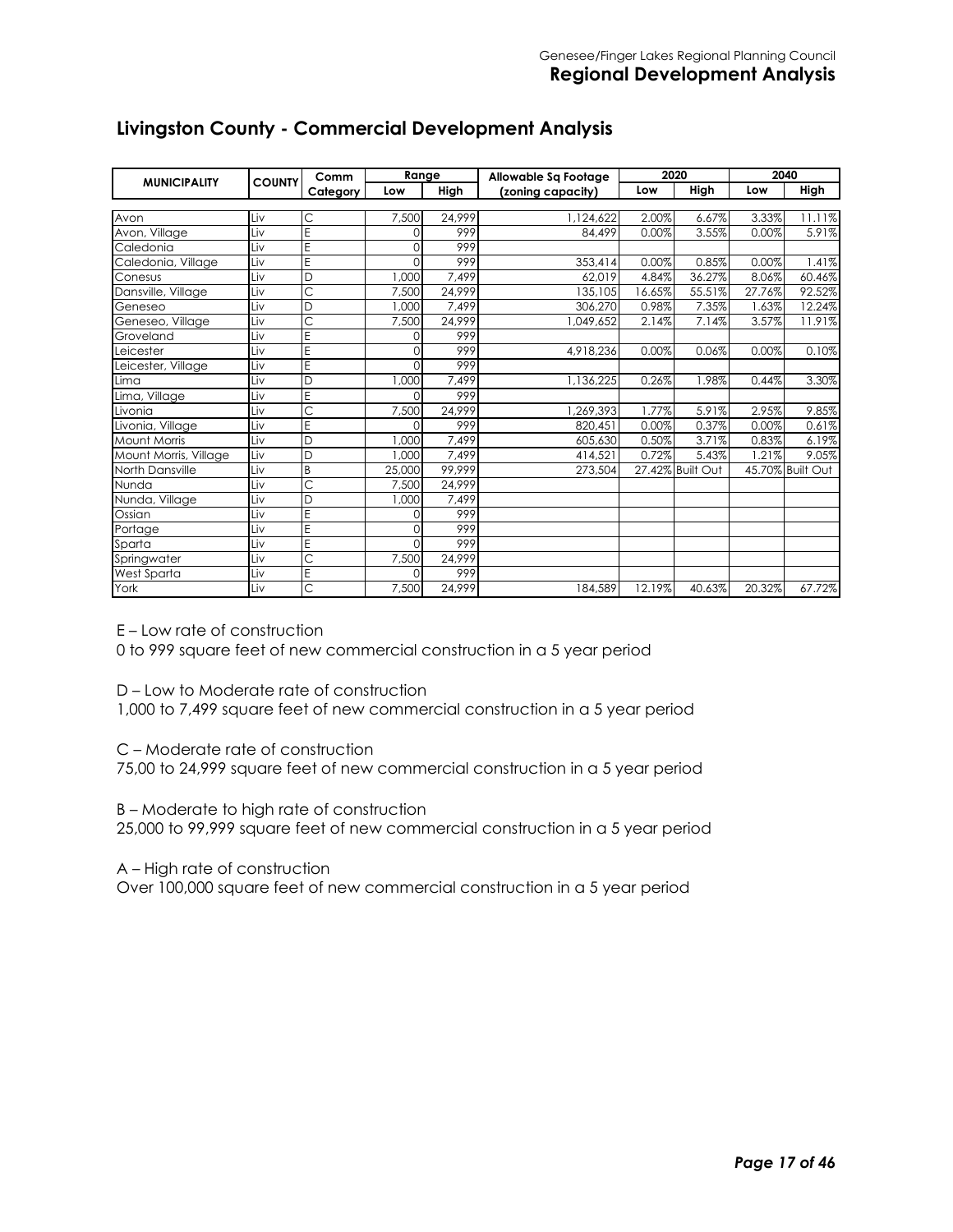| <b>MUNICIPALITY</b>   | <b>COUNTY</b> | Comm                    | Range    |        | Allowable Sq Footage |        | 2020             | 2040   |                  |
|-----------------------|---------------|-------------------------|----------|--------|----------------------|--------|------------------|--------|------------------|
|                       |               | Category                | Low      | High   | (zoning capacity)    | Low    | High             | Low    | High             |
|                       |               |                         |          |        |                      |        |                  |        |                  |
| Avon                  | Liv           | Ċ                       | 7,500    | 24,999 | 1,124,622            | 2.00%  | 6.67%            | 3.33%  | 11.11%           |
| Avon, Village         | Liv           | E                       | $\Omega$ | 999    | 84,499               | 0.00%  | 3.55%            | 0.00%  | 5.91%            |
| Caledonia             | Liv           | E                       | $\Omega$ | 999    |                      |        |                  |        |                  |
| Caledonia, Village    | Liv           | E                       | $\Omega$ | 999    | 353,414              | 0.00%  | 0.85%            | 0.00%  | 1.41%            |
| Conesus               | Liv           | D                       | 1.000    | 7,499  | 62,019               | 4.84%  | 36.27%           | 8.06%  | 60.46%           |
| Dansville, Village    | Liv           | Ċ                       | 7,500    | 24,999 | 135,105              | 16.65% | 55.51%           | 27.76% | 92.52%           |
| Geneseo               | Liv           | D                       | 1,000    | 7,499  | 306,270              | 0.98%  | 7.35%            | 1.63%  | 12.24%           |
| Geneseo, Village      | Liv           | Ć                       | 7,500    | 24,999 | 1,049,652            | 2.14%  | 7.14%            | 3.57%  | 11.91%           |
| Groveland             | Liv           | E                       | 0        | 999    |                      |        |                  |        |                  |
| Leicester             | Liv           | E                       | $\Omega$ | 999    | 4,918,236            | 0.00%  | 0.06%            | 0.00%  | 0.10%            |
| Leicester, Village    | Liv           | E                       | 0        | 999    |                      |        |                  |        |                  |
| Lima                  | Liv           | D                       | 1,000    | 7,499  | 1,136,225            | 0.26%  | 1.98%            | 0.44%  | 3.30%            |
| Lima, Village         | Liv           | E                       | $\Omega$ | 999    |                      |        |                  |        |                  |
| Livonia               | Liv           | $\overline{\text{c}}$   | 7,500    | 24,999 | 1,269,393            | 1.77%  | 5.91%            | 2.95%  | 9.85%            |
| Livonia, Village      | Liv           | E                       | $\Omega$ | 999    | 820,451              | 0.00%  | 0.37%            | 0.00%  | 0.61%            |
| <b>Mount Morris</b>   | Liv           | D                       | 1,000    | 7,499  | 605,630              | 0.50%  | 3.71%            | 0.83%  | 6.19%            |
| Mount Morris, Village | Liv           | D                       | 1,000    | 7.499  | 414,521              | 0.72%  | 5.43%            | 1.21%  | 9.05%            |
| North Dansville       | Liv           | B                       | 25,000   | 99,999 | 273,504              |        | 27.42% Built Out |        | 45.70% Built Out |
| Nunda                 | Liv           | Ċ                       | 7.500    | 24.999 |                      |        |                  |        |                  |
| Nunda, Village        | Liv           | D                       | 1,000    | 7,499  |                      |        |                  |        |                  |
| Ossian                | Liv           | E                       | $\Omega$ | 999    |                      |        |                  |        |                  |
| Portage               | Liv           | E                       | $\Omega$ | 999    |                      |        |                  |        |                  |
| Sparta                | Liv           | E                       | $\Omega$ | 999    |                      |        |                  |        |                  |
| Springwater           | Liv           | $\overline{\mathsf{C}}$ | 7,500    | 24,999 |                      |        |                  |        |                  |
| West Sparta           | Liv           | E                       | $\Omega$ | 999    |                      |        |                  |        |                  |
| York                  | Liv           | Ć                       | 7,500    | 24,999 | 184,589              | 12.19% | 40.63%           | 20.32% | 67.72%           |

# **Livingston County - Commercial Development Analysis**

E – Low rate of construction

0 to 999 square feet of new commercial construction in a 5 year period

D – Low to Moderate rate of construction

1,000 to 7,499 square feet of new commercial construction in a 5 year period

C – Moderate rate of construction

75,00 to 24,999 square feet of new commercial construction in a 5 year period

B – Moderate to high rate of construction

25,000 to 99,999 square feet of new commercial construction in a 5 year period

A – High rate of construction

Over 100,000 square feet of new commercial construction in a 5 year period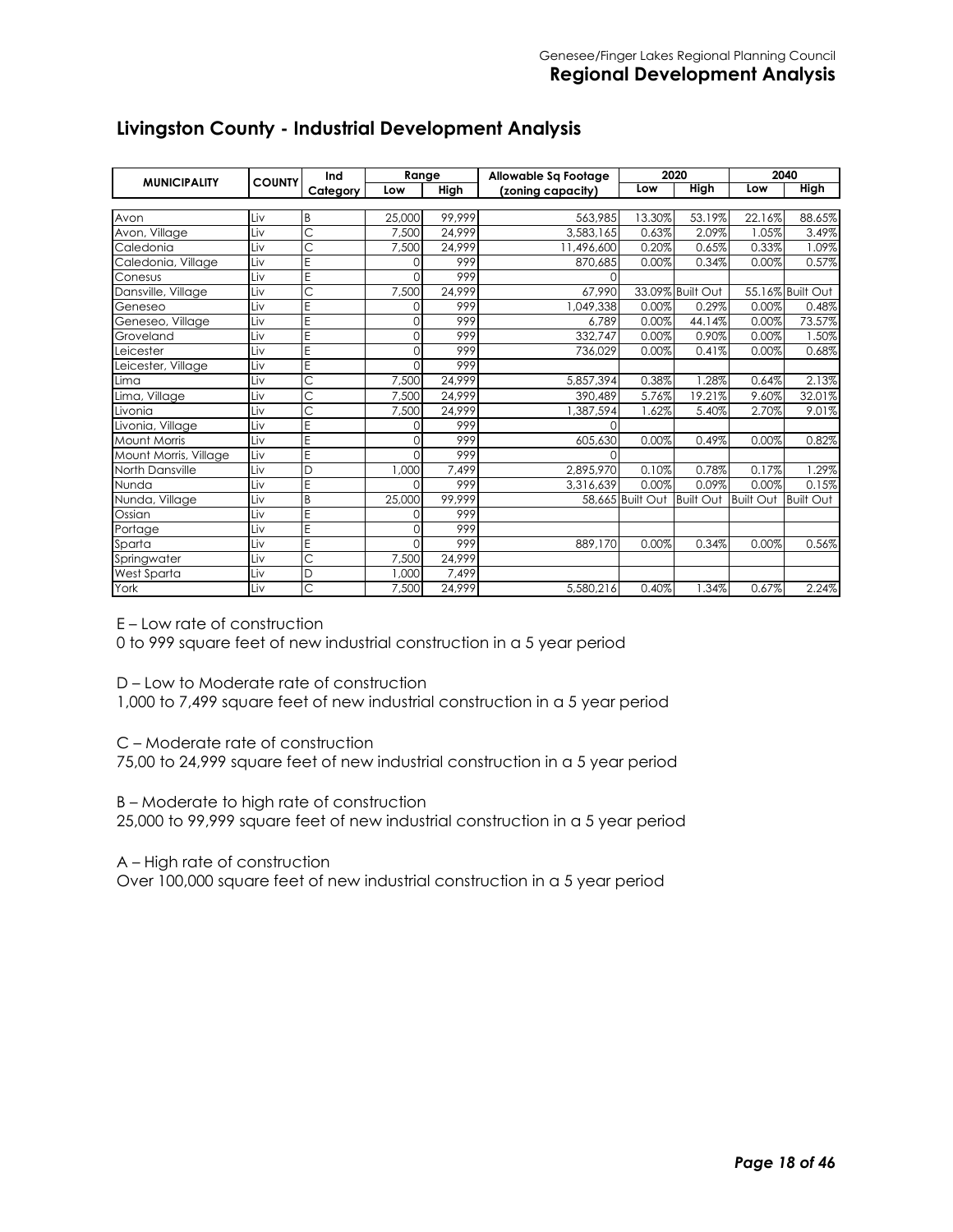| <b>MUNICIPALITY</b>   | <b>COUNTY</b> | Ind      | Range    |        | Allowable Sq Footage |                  | 2020             |                  | 2040             |
|-----------------------|---------------|----------|----------|--------|----------------------|------------------|------------------|------------------|------------------|
|                       |               | Category | Low      | High   | (zoning capacity)    | Low              | <b>High</b>      | Low              | <b>High</b>      |
|                       |               |          |          |        |                      |                  |                  |                  |                  |
| Avon                  | Liv           | B        | 25,000   | 99,999 | 563,985              | 13.30%           | 53.19%           | 22.16%           | 88.65%           |
| Avon, Village         | Liv           | Ċ        | 7.500    | 24,999 | 3.583.165            | 0.63%            | 2.09%            | 1.05%            | 3.49%            |
| Caledonia             | Liv           | Ċ        | 7,500    | 24,999 | 11,496,600           | 0.20%            | 0.65%            | 0.33%            | 1.09%            |
| Caledonia, Village    | Liv           | E        | $\Omega$ | 999    | 870,685              | 0.00%            | 0.34%            | 0.00%            | 0.57%            |
| Conesus               | Liv           | E        | $\Omega$ | 999    | 0                    |                  |                  |                  |                  |
| Dansville, Village    | Liv           | Ć        | 7,500    | 24,999 | 67,990               |                  | 33.09% Built Out |                  | 55.16% Built Out |
| Geneseo               | Liv           | E        | $\Omega$ | 999    | 1,049,338            | 0.00%            | 0.29%            | 0.00%            | 0.48%            |
| Geneseo, Village      | Liv           | E        | 0        | 999    | 6.789                | 0.00%            | 44.14%           | 0.00%            | 73.57%           |
| Groveland             | Liv           | E        | $\Omega$ | 999    | 332.747              | 0.00%            | 0.90%            | 0.00%            | 1.50%            |
| Leicester             | Liv           | E        | $\Omega$ | 999    | 736,029              | 0.00%            | 0.41%            | 0.00%            | 0.68%            |
| Leicester, Village    | Liv           | E        | $\Omega$ | 999    |                      |                  |                  |                  |                  |
| Lima                  | Liv           | Ć        | 7,500    | 24,999 | 5,857,394            | 0.38%            | .28%             | 0.64%            | 2.13%            |
| Lima, Village         | Liv           | C        | 7,500    | 24.999 | 390,489              | 5.76%            | 19.21%           | 9.60%            | 32.01%           |
| Livonia               | Liv           | Ć        | 7,500    | 24.999 | 1,387,594            | .62%             | 5.40%            | 2.70%            | 9.01%            |
| Livonia, Village      | Liv           | E        | $\Omega$ | 999    | $\Omega$             |                  |                  |                  |                  |
| <b>Mount Morris</b>   | Liv           | E        | 0        | 999    | 605,630              | 0.00%            | 0.49%            | 0.00%            | 0.82%            |
| Mount Morris, Village | Liv           | E        | $\Omega$ | 999    | $\Omega$             |                  |                  |                  |                  |
| North Dansville       | Liv           | D        | 1.000    | 7.499  | 2.895.970            | 0.10%            | 0.78%            | 0.17%            | .29%             |
| Nunda                 | Liv           | E        | 0        | 999    | 3,316,639            | 0.00%            | 0.09%            | 0.00%            | 0.15%            |
| Nunda, Village        | Liv           | B        | 25,000   | 99,999 |                      | 58,665 Built Out | <b>Built Out</b> | <b>Built Out</b> | <b>Built Out</b> |
| Ossian                | Liv           | E        | $\Omega$ | 999    |                      |                  |                  |                  |                  |
| Portage               | Liv           | E        | $\Omega$ | 999    |                      |                  |                  |                  |                  |
| Sparta                | Liv           | E        | $\Omega$ | 999    | 889,170              | 0.00%            | 0.34%            | 0.00%            | 0.56%            |
| Springwater           | Liv           | Ć        | 7,500    | 24,999 |                      |                  |                  |                  |                  |
| West Sparta           | Liv           | D        | 1,000    | 7,499  |                      |                  |                  |                  |                  |
| York                  | Liv           | Ć        | 7,500    | 24,999 | 5,580,216            | 0.40%            | .34%             | 0.67%            | 2.24%            |

# **Livingston County - Industrial Development Analysis**

E – Low rate of construction

0 to 999 square feet of new industrial construction in a 5 year period

D – Low to Moderate rate of construction

1,000 to 7,499 square feet of new industrial construction in a 5 year period

C – Moderate rate of construction

75,00 to 24,999 square feet of new industrial construction in a 5 year period

B – Moderate to high rate of construction

25,000 to 99,999 square feet of new industrial construction in a 5 year period

A – High rate of construction

Over 100,000 square feet of new industrial construction in a 5 year period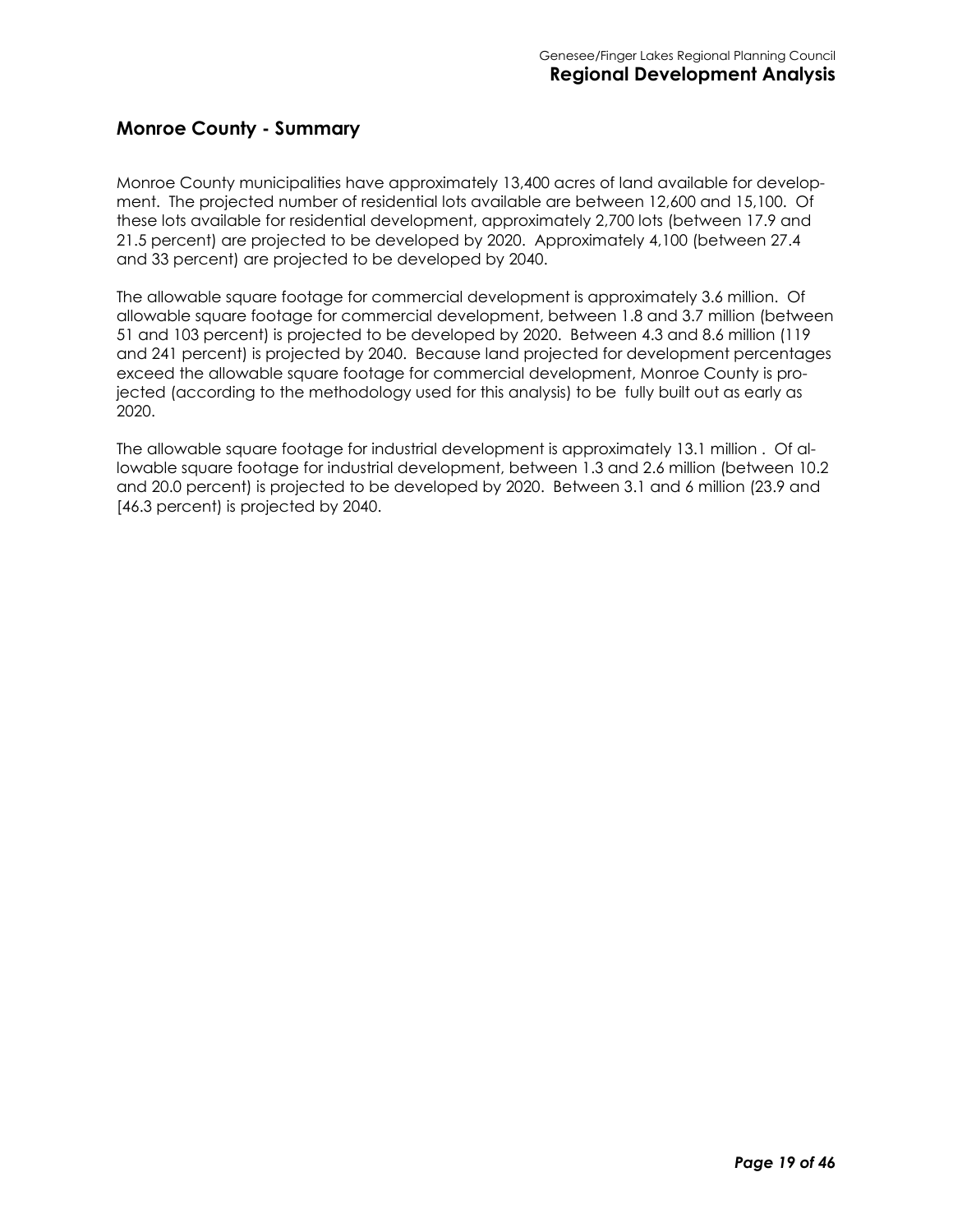#### **Monroe County - Summary**

Monroe County municipalities have approximately 13,400 acres of land available for development. The projected number of residential lots available are between 12,600 and 15,100. Of these lots available for residential development, approximately 2,700 lots (between 17.9 and 21.5 percent) are projected to be developed by 2020. Approximately 4,100 (between 27.4 and 33 percent) are projected to be developed by 2040.

The allowable square footage for commercial development is approximately 3.6 million. Of allowable square footage for commercial development, between 1.8 and 3.7 million (between 51 and 103 percent) is projected to be developed by 2020. Between 4.3 and 8.6 million (119 and 241 percent) is projected by 2040. Because land projected for development percentages exceed the allowable square footage for commercial development, Monroe County is projected (according to the methodology used for this analysis) to be fully built out as early as 2020.

The allowable square footage for industrial development is approximately 13.1 million . Of allowable square footage for industrial development, between 1.3 and 2.6 million (between 10.2 and 20.0 percent) is projected to be developed by 2020. Between 3.1 and 6 million (23.9 and [46.3 percent] is projected by 2040.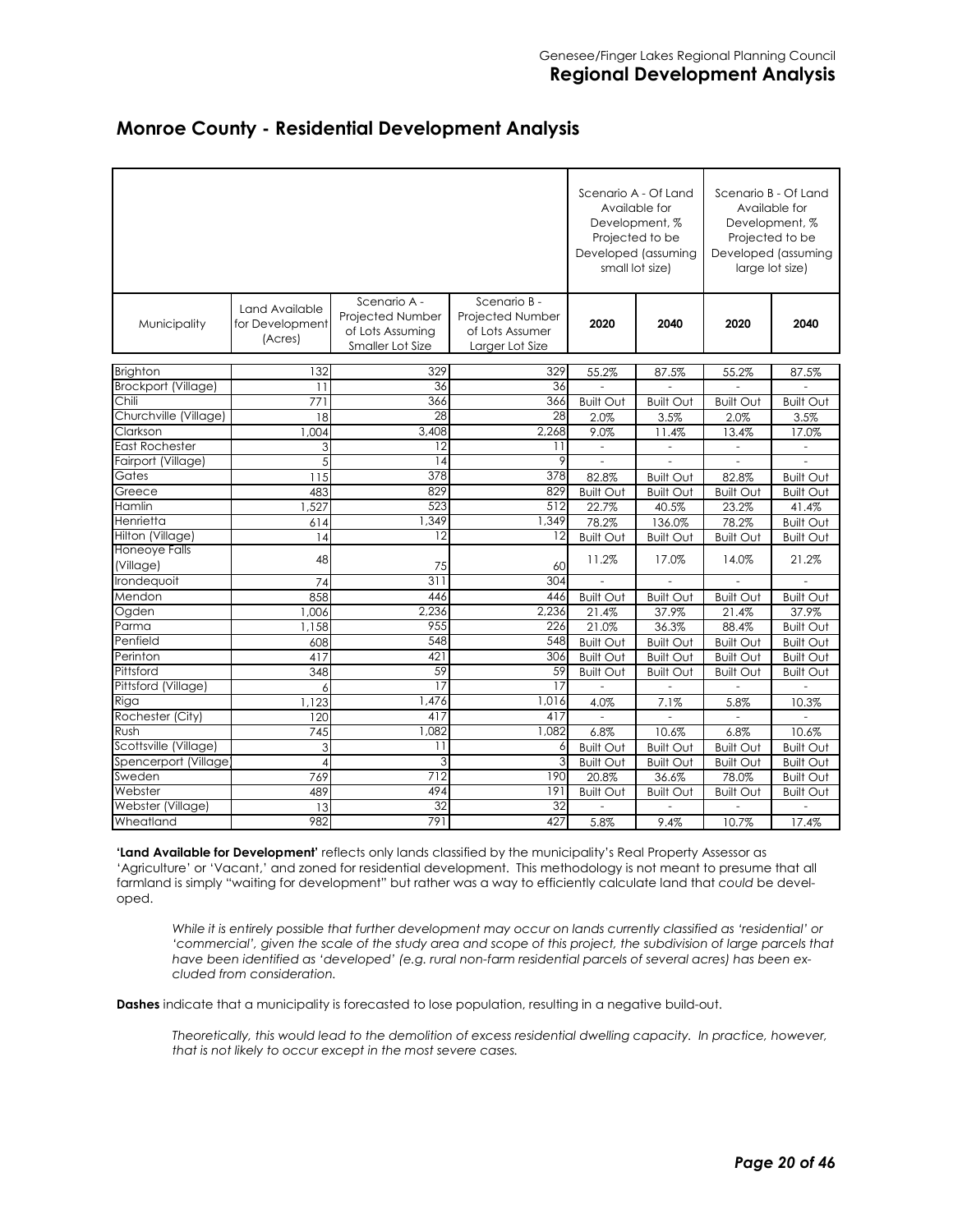|  |  |  | <b>Monroe County - Residential Development Analysis</b> |  |
|--|--|--|---------------------------------------------------------|--|
|--|--|--|---------------------------------------------------------|--|

|                                   |                                              | Scenario A - Of Land<br>Development, %<br>Projected to be<br>Developed (assuming<br>small lot size) | Available for                                                          | Scenario B - Of Land<br>Available for<br>Development, %<br>Projected to be<br>Developed (assuming<br>large lot size) |                          |                          |                          |
|-----------------------------------|----------------------------------------------|-----------------------------------------------------------------------------------------------------|------------------------------------------------------------------------|----------------------------------------------------------------------------------------------------------------------|--------------------------|--------------------------|--------------------------|
| Municipality                      | Land Available<br>for Development<br>(Acres) | Scenario A -<br>Projected Number<br>of Lots Assuming<br>Smaller Lot Size                            | Scenario B -<br>Projected Number<br>of Lots Assumer<br>Larger Lot Size | 2020                                                                                                                 | 2040                     | 2020                     | 2040                     |
| <b>Brighton</b>                   | 132                                          | 329                                                                                                 | 329                                                                    | 55.2%                                                                                                                | 87.5%                    | 55.2%                    | 87.5%                    |
| <b>Brockport (Village)</b>        | 11                                           | 36                                                                                                  | 36                                                                     |                                                                                                                      |                          |                          |                          |
| Chili                             | 771                                          | 366                                                                                                 | 366                                                                    | <b>Built Out</b>                                                                                                     | <b>Built Out</b>         | <b>Built Out</b>         | <b>Built Out</b>         |
| Churchville (Village)             | 18                                           | 28                                                                                                  | 28                                                                     | 2.0%                                                                                                                 | 3.5%                     | 2.0%                     | 3.5%                     |
| Clarkson                          | 1.004                                        | 3.408                                                                                               | 2.268                                                                  | 9.0%                                                                                                                 | 11.4%                    | 13.4%                    | 17.0%                    |
| <b>East Rochester</b>             | 3                                            | 12                                                                                                  | 11                                                                     | $\frac{1}{2}$                                                                                                        | $\overline{\phantom{0}}$ | $\overline{\phantom{a}}$ | $\overline{\phantom{0}}$ |
| Fairport (Village)                | 5                                            | 14                                                                                                  | 9                                                                      | ÷,                                                                                                                   | ÷                        | $\sim$                   | ÷,                       |
| Gates                             | 115                                          | 378                                                                                                 | 378                                                                    | 82.8%                                                                                                                | <b>Built Out</b>         | 82.8%                    | <b>Built Out</b>         |
| Greece                            | 483                                          | 829                                                                                                 | 829                                                                    | <b>Built Out</b>                                                                                                     | <b>Built Out</b>         | <b>Built Out</b>         | <b>Built Out</b>         |
| Hamlin                            | 1,527                                        | 523                                                                                                 | $\overline{512}$                                                       | 22.7%                                                                                                                | 40.5%                    | 23.2%                    | 41.4%                    |
| Henrietta                         | 614                                          | 1,349                                                                                               | 1.349                                                                  | 78.2%                                                                                                                | 136.0%                   | 78.2%                    | <b>Built Out</b>         |
| Hilton (Village)                  | 14                                           | 12                                                                                                  | 12                                                                     | <b>Built Out</b>                                                                                                     | <b>Built Out</b>         | <b>Built Out</b>         | <b>Built Out</b>         |
| <b>Honeove Falls</b><br>(Village) | 48                                           | 75                                                                                                  | 60                                                                     | 11.2%                                                                                                                | 17.0%                    | 14.0%                    | 21.2%                    |
| Irondequoit                       | 74                                           | 311                                                                                                 | 304                                                                    |                                                                                                                      |                          |                          |                          |
| Mendon                            | 858                                          | 446                                                                                                 | 446                                                                    | <b>Built Out</b>                                                                                                     | <b>Built Out</b>         | <b>Built Out</b>         | <b>Built Out</b>         |
| Ogden                             | 1,006                                        | 2,236                                                                                               | 2,236                                                                  | 21.4%                                                                                                                | 37.9%                    | 21.4%                    | 37.9%                    |
| Parma                             | ,158                                         | 955                                                                                                 | 226                                                                    | 21.0%                                                                                                                | 36.3%                    | 88.4%                    | <b>Built Out</b>         |
| Penfield                          | 608                                          | 548                                                                                                 | 548                                                                    | <b>Built Out</b>                                                                                                     | <b>Built Out</b>         | <b>Built Out</b>         | <b>Built Out</b>         |
| Perinton                          | 417                                          | 421                                                                                                 | 306                                                                    | <b>Built Out</b>                                                                                                     | <b>Built Out</b>         | <b>Built Out</b>         | <b>Built Out</b>         |
| Pittsford                         | 348                                          | 59                                                                                                  | 59                                                                     | <b>Built Out</b>                                                                                                     | <b>Built Out</b>         | <b>Built Out</b>         | <b>Built Out</b>         |
| Pittsford (Village)               | 6                                            | 17                                                                                                  | 17                                                                     |                                                                                                                      |                          |                          |                          |
| Riga                              | 1,123                                        | 1.476                                                                                               | 1,016                                                                  | 4.0%                                                                                                                 | 7.1%                     | 5.8%                     | 10.3%                    |
| Rochester (City)                  | 120                                          | 417                                                                                                 | 417                                                                    | ÷,                                                                                                                   | $\overline{a}$           | $\overline{a}$           | ÷,                       |
| Rush                              | 745                                          | 1,082                                                                                               | 1,082                                                                  | 6.8%                                                                                                                 | 10.6%                    | 6.8%                     | 10.6%                    |
| Scottsville (Village)             | 3                                            | $\overline{1}$                                                                                      | 6                                                                      | <b>Built Out</b>                                                                                                     | <b>Built Out</b>         | <b>Built Out</b>         | <b>Built Out</b>         |
| Spencerport (Village              | 4                                            | 3                                                                                                   | 3                                                                      | <b>Built Out</b>                                                                                                     | <b>Built Out</b>         | <b>Built Out</b>         | <b>Built Out</b>         |
| Sweden                            | 769                                          | 712                                                                                                 | 190                                                                    | 20.8%                                                                                                                | 36.6%                    | 78.0%                    | <b>Built Out</b>         |
| Webster                           | 489                                          | 494                                                                                                 | 191                                                                    | <b>Built Out</b>                                                                                                     | <b>Built Out</b>         | <b>Built Out</b>         | <b>Built Out</b>         |
| Webster (Village)                 | 13                                           | $\overline{32}$                                                                                     | 32                                                                     |                                                                                                                      |                          |                          |                          |
| Wheatland                         | 982                                          | 791                                                                                                 | 427                                                                    | 5.8%                                                                                                                 | 9.4%                     | 10.7%                    | 17.4%                    |

**'Land Available for Development'** reflects only lands classified by the municipality's Real Property Assessor as 'Agriculture' or 'Vacant,' and zoned for residential development. This methodology is not meant to presume that all farmland is simply "waiting for development" but rather was a way to efficiently calculate land that *could* be developed.

*While it is entirely possible that further development may occur on lands currently classified as 'residential' or 'commercial', given the scale of the study area and scope of this project, the subdivision of large parcels that have been identified as 'developed' (e.g. rural non-farm residential parcels of several acres) has been excluded from consideration.* 

**Dashes** indicate that a municipality is forecasted to lose population, resulting in a negative build-out.

*Theoretically, this would lead to the demolition of excess residential dwelling capacity. In practice, however, that is not likely to occur except in the most severe cases.*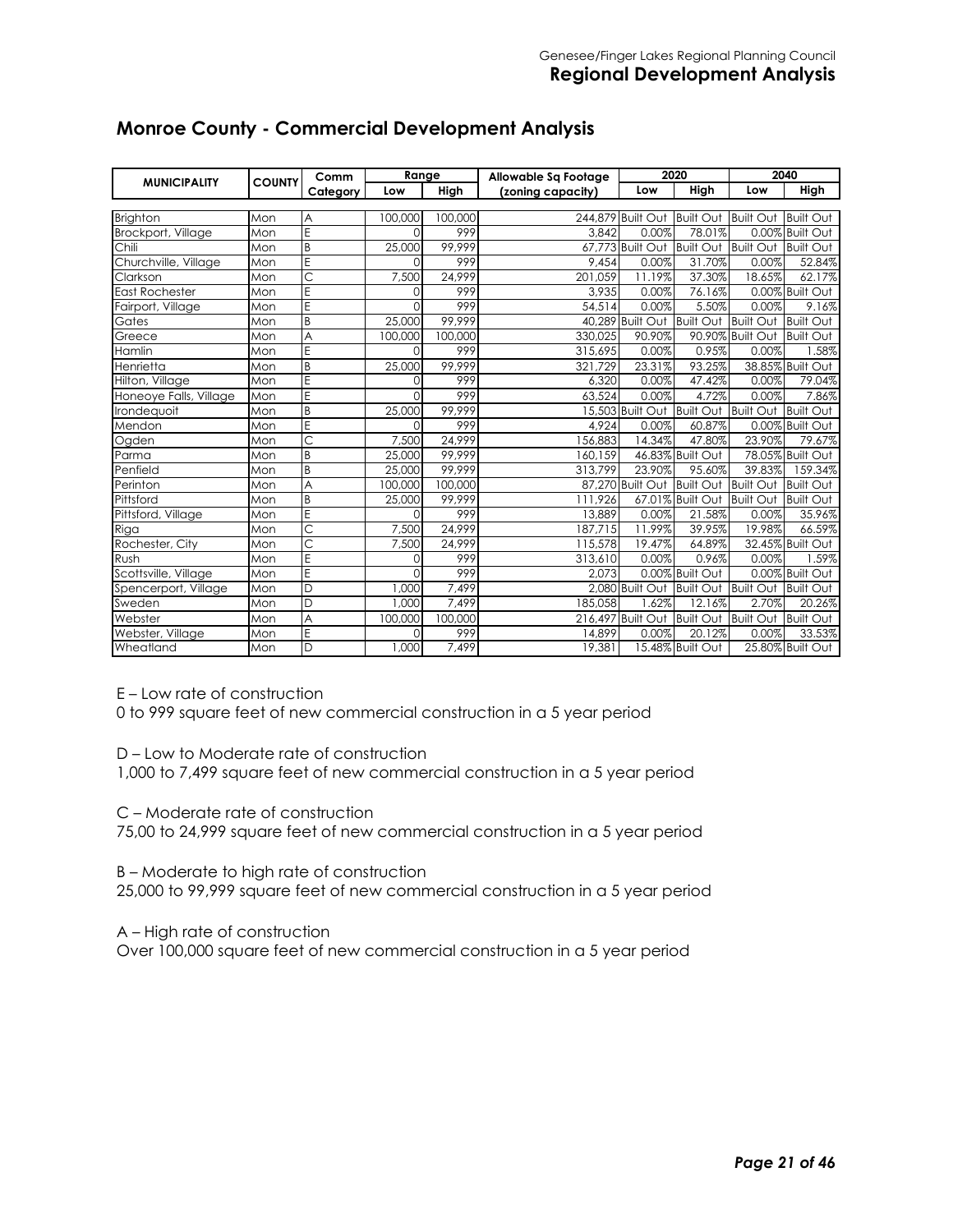| <b>MUNICIPALITY</b>    | <b>COUNTY</b> | Comm                    | Range    |         | Allowable Sq Footage |                                       | 2020                |                  | 2040             |
|------------------------|---------------|-------------------------|----------|---------|----------------------|---------------------------------------|---------------------|------------------|------------------|
|                        |               | Category                | Low      | High    | (zoning capacity)    | Low                                   | High                | Low              | High             |
|                        |               |                         |          |         |                      |                                       |                     |                  |                  |
| <b>Brighton</b>        | Mon           | A                       | 100,000  | 100,000 |                      | 244.879 Built Out                     | Built Out Built Out |                  | <b>Built Out</b> |
| Brockport, Village     | Mon           | E                       | $\Omega$ | 999     | 3.842                | 0.00%                                 | 78.01%              |                  | 0.00% Built Out  |
| Chili                  | Mon           | B                       | 25,000   | 99.999  |                      | $\overline{67,773}$ Built Out         | Built Out Built Out |                  | <b>Built Out</b> |
| Churchville, Village   | Mon           | E                       | 0        | 999     | 9,454                | 0.00%                                 | 31.70%              | 0.00%            | 52.84%           |
| Clarkson               | Mon           | $\overline{\mathsf{C}}$ | 7,500    | 24,999  | 201,059              | 11.19%                                | 37.30%              | 18.65%           | 62.17%           |
| East Rochester         | Mon           | E                       | $\Omega$ | 999     | 3,935                | 0.00%                                 | 76.16%              |                  | 0.00% Built Out  |
| Fairport, Village      | Mon           | Ē                       |          | 999     | 54,514               | 0.00%                                 | 5.50%               | 0.00%            | 9.16%            |
| Gates                  | Mon           | B                       | 25,000   | 99.999  |                      | 40.289 Built Out                      | <b>Built Out</b>    | <b>Built Out</b> | <b>Built Out</b> |
| Greece                 | Mon           | A                       | 100,000  | 100,000 | 330,025              | 90.90%                                |                     | 90.90% Built Out | <b>Built Out</b> |
| Hamlin                 | Mon           | E                       | $\Omega$ | 999     | 315,695              | 0.00%                                 | 0.95%               | 0.00%            | .58%             |
| Henrietta              | Mon           | B                       | 25,000   | 99,999  | 321,729              | 23.31%                                | 93.25%              |                  | 38.85% Built Out |
| Hilton, Village        | Mon           | E                       | 0        | 999     | 6,320                | 0.00%                                 | 47.42%              | 0.00%            | 79.04%           |
| Honeoye Falls, Village | Mon           | $\overline{\mathsf{E}}$ | $\Omega$ | 999     | 63.524               | 0.00%                                 | 4.72%               | 0.00%            | 7.86%            |
| Irondequoit            | Mon           | B                       | 25,000   | 99.999  |                      | 15,503 Built Out                      | Built Out Built Out |                  | <b>Built Out</b> |
| Mendon                 | Mon           | E                       | $\Omega$ | 999     | 4.924                | 0.00%                                 | 60.87%              |                  | 0.00% Built Out  |
| Ogden                  | Mon           | $\overline{\mathsf{C}}$ | 7,500    | 24.999  | 156,883              | 14.34%                                | 47.80%              | 23.90%           | 79.67%           |
| Parma                  | Mon           | B                       | 25,000   | 99,999  | 160,159              |                                       | 46.83% Built Out    |                  | 78.05% Built Out |
| Penfield               | Mon           | B                       | 25,000   | 99.999  | 313.799              | 23.90%                                | 95.60%              | 39.83%           | 159.34%          |
| Perinton               | Mon           | A                       | 100,000  | 100,000 |                      | 87.270 Built Out                      | <b>Built Out</b>    | <b>Built Out</b> | <b>Built Out</b> |
| Pittsford              | Mon           | B                       | 25,000   | 99,999  | 111,926              |                                       | 67.01% Built Out    | <b>Built Out</b> | <b>Built Out</b> |
| Pittsford, Village     | Mon           | E                       | $\Omega$ | 999     | 13.889               | 0.00%                                 | 21.58%              | 0.00%            | 35.96%           |
| Riga                   | Mon           | Ċ                       | 7,500    | 24.999  | 187,715              | 11.99%                                | 39.95%              | 19.98%           | 66.59%           |
| Rochester, City        | Mon           | $\overline{\text{C}}$   | 7,500    | 24,999  | 115,578              | 19.47%                                | 64.89%              |                  | 32.45% Built Out |
| Rush                   | Mon           | $\overline{E}$          | $\Omega$ | 999     | 313,610              | 0.00%                                 | 0.96%               | 0.00%            | 1.59%            |
| Scottsville, Village   | Mon           | E                       | $\Omega$ | 999     | 2.073                |                                       | 0.00% Built Out     |                  | 0.00% Built Out  |
| Spencerport, Village   | Mon           | D                       | 1,000    | 7,499   |                      | 2,080 Built Out Built Out Built Out   |                     |                  | <b>Built Out</b> |
| Sweden                 | Mon           | D                       | 1,000    | 7,499   | 185,058              | 1.62%                                 | 12.16%              | 2.70%            | 20.26%           |
| Webster                | Mon           | A                       | 100,000  | 100,000 |                      | 216,497 Built Out Built Out Built Out |                     |                  | <b>Built Out</b> |
| Webster, Village       | Mon           | E                       | O        | 999     | 14,899               | 0.00%                                 | 20.12%              | 0.00%            | 33.53%           |
| Wheatland              | Mon           | D                       | 1,000    | 7.499   | 19.381               |                                       | 15.48% Built Out    |                  | 25.80% Built Out |

## **Monroe County - Commercial Development Analysis**

E – Low rate of construction

0 to 999 square feet of new commercial construction in a 5 year period

D – Low to Moderate rate of construction

1,000 to 7,499 square feet of new commercial construction in a 5 year period

C – Moderate rate of construction

75,00 to 24,999 square feet of new commercial construction in a 5 year period

B – Moderate to high rate of construction

25,000 to 99,999 square feet of new commercial construction in a 5 year period

A – High rate of construction

Over 100,000 square feet of new commercial construction in a 5 year period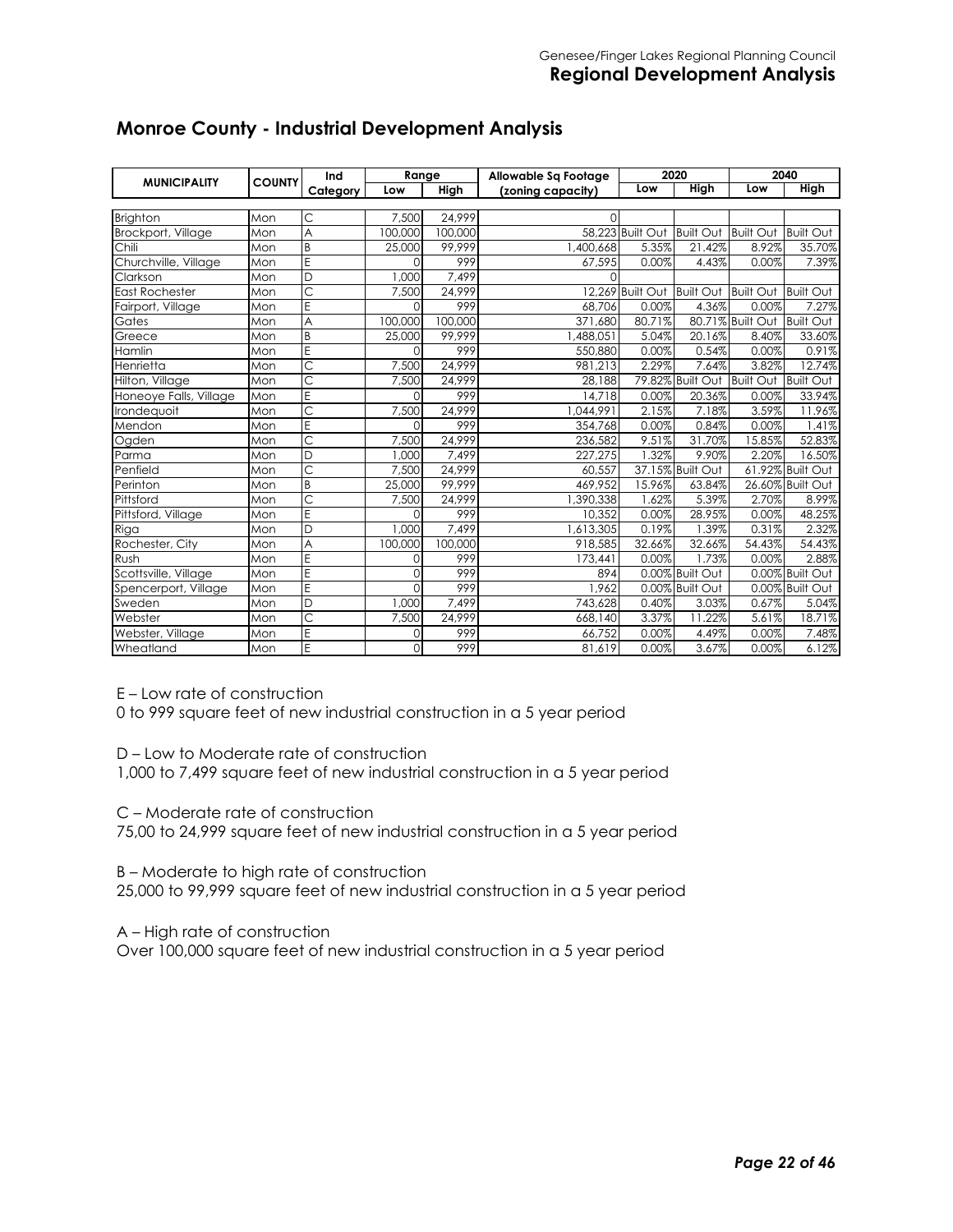| <b>MUNICIPALITY</b>    | <b>COUNTY</b> | Ind            | Range    |         | Allowable Sq Footage   |                            | 2020             |                            | 2040             |
|------------------------|---------------|----------------|----------|---------|------------------------|----------------------------|------------------|----------------------------|------------------|
|                        |               | Category       | Low      | High    | (zoning capacity)      | Low                        | <b>High</b>      | Low                        | <b>High</b>      |
|                        |               |                |          |         |                        |                            |                  |                            |                  |
| <b>Brighton</b>        | Mon           | Ċ              | 7,500    | 24,999  | $\Omega$               |                            |                  |                            |                  |
| Brockport, Village     | Mon           | A              | 100,000  | 100,000 |                        | 58.223 Built Out           | <b>Built Out</b> | <b>Built Out</b>           | <b>Built Out</b> |
| Chili                  | Mon           | B              | 25,000   | 99.999  | 1,400,668              | 5.35%                      | 21.42%           | 8.92%                      | 35.70%           |
| Churchville, Village   | Mon           | E              | $\Omega$ | 999     | 67,595                 | 0.00%                      | 4.43%            | 0.00%                      | 7.39%            |
| Clarkson               | Mon           | D              | 1,000    | 7.499   | $\Omega$               |                            |                  |                            |                  |
| <b>East Rochester</b>  | Mon           | Ċ              | 7,500    | 24,999  |                        | 12,269 Built Out Built Out |                  | Built Out Built Out        |                  |
| Fairport, Village      | Mon           | E              | $\cap$   | 999     | 68.706                 | 0.00%                      | 4.36%            | 0.00%                      | 7.27%            |
| Gates                  | Mon           | A              | 100,000  | 100,000 | 371,680                | 80.71%                     |                  | 80.71% Built Out Built Out |                  |
| Greece                 | Mon           | B              | 25,000   | 99,999  | 1,488,051              | 5.04%                      | 20.16%           | 8.40%                      | 33.60%           |
| Hamlin                 | Mon           | E              | $\Omega$ | 999     | 550,880                | 0.00%                      | 0.54%            | 0.00%                      | 0.91%            |
| Henrietta              | Mon           | C              | 7,500    | 24.999  | 981,213                | 2.29%                      | 7.64%            | 3.82%                      | 12.74%           |
| Hilton, Village        | Mon           | Ċ              | 7,500    | 24.999  | 28,188                 |                            | 79.82% Built Out | Built Out Built Out        |                  |
| Honeoye Falls, Village | Mon           | E              | $\Omega$ | 999     | 14.718                 | 0.00%                      | 20.36%           | 0.00%                      | 33.94%           |
| Irondequoit            | Mon           | Ċ              | 7,500    | 24.999  | 1.044.991              | 2.15%                      | 7.18%            | 3.59%                      | 11.96%           |
| Mendon                 | Mon           | E              | $\Omega$ | 999     | 354,768                | 0.00%                      | 0.84%            | 0.00%                      | 1.41%            |
| Ogden                  | Mon           | C              | 7,500    | 24.999  | 236,582                | 9.51%                      | 31.70%           | 15.85%                     | 52.83%           |
| Parma                  | Mon           | D              | 1.000    | 7,499   | 227.275                | 1.32%                      | 9.90%            | 2.20%                      | 16.50%           |
| Penfield               | Mon           | Ċ              | 7,500    | 24.999  | 60,557                 |                            | 37.15% Built Out |                            | 61.92% Built Out |
| Perinton               | Mon           | B              | 25,000   | 99.999  | 469,952                | 15.96%                     | 63.84%           |                            | 26.60% Built Out |
| Pittsford              | Mon           | Ċ              | 7,500    | 24,999  | 1,390,338              | 1.62%                      | 5.39%            | 2.70%                      | 8.99%            |
| Pittsford, Village     | Mon           | E              | $\Omega$ | 999     | 10,352                 | 0.00%                      | 28.95%           | 0.00%                      | 48.25%           |
| Riga                   | Mon           | D              | 1,000    | 7.499   | $\overline{1,613,305}$ | 0.19%                      | .39%             | 0.31%                      | 2.32%            |
| Rochester, City        | Mon           | A              | 100,000  | 100,000 | 918,585                | 32.66%                     | 32.66%           | 54.43%                     | 54.43%           |
| Rush                   | Mon           | E              | $\Omega$ | 999     | 173,441                | 0.00%                      | 1.73%            | 0.00%                      | 2.88%            |
| Scottsville, Village   | Mon           | E              | $\Omega$ | 999     | 894                    |                            | 0.00% Built Out  |                            | 0.00% Built Out  |
| Spencerport, Village   | Mon           | E              | $\Omega$ | 999     | 1,962                  |                            | 0.00% Built Out  |                            | 0.00% Built Out  |
| Sweden                 | Mon           | D              | 1,000    | 7.499   | 743,628                | 0.40%                      | 3.03%            | 0.67%                      | 5.04%            |
| Webster                | Mon           | $\overline{C}$ | 7,500    | 24,999  | 668,140                | 3.37%                      | 11.22%           | 5.61%                      | 18.71%           |
| Webster, Village       | Mon           | E              | 0        | 999     | 66,752                 | 0.00%                      | 4.49%            | 0.00%                      | 7.48%            |
| Wheatland              | Mon           | E              | $\Omega$ | 999     | 81,619                 | 0.00%                      | 3.67%            | 0.00%                      | 6.12%            |

# **Monroe County - Industrial Development Analysis**

E – Low rate of construction

0 to 999 square feet of new industrial construction in a 5 year period

D – Low to Moderate rate of construction

1,000 to 7,499 square feet of new industrial construction in a 5 year period

C – Moderate rate of construction

75,00 to 24,999 square feet of new industrial construction in a 5 year period

B – Moderate to high rate of construction

25,000 to 99,999 square feet of new industrial construction in a 5 year period

A – High rate of construction

Over 100,000 square feet of new industrial construction in a 5 year period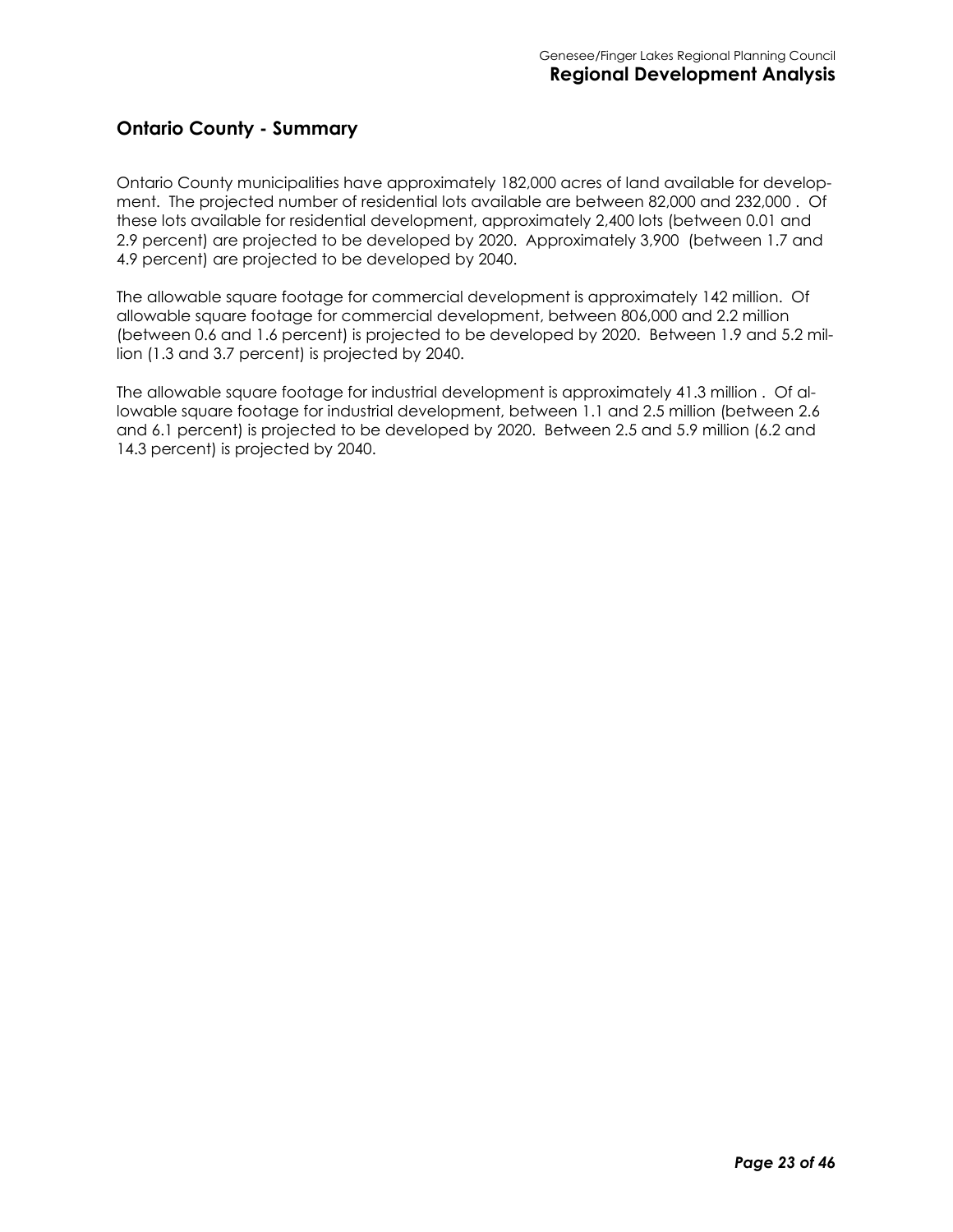#### **Ontario County - Summary**

Ontario County municipalities have approximately 182,000 acres of land available for development. The projected number of residential lots available are between 82,000 and 232,000 . Of these lots available for residential development, approximately 2,400 lots (between 0.01 and 2.9 percent) are projected to be developed by 2020. Approximately 3,900 (between 1.7 and 4.9 percent) are projected to be developed by 2040.

The allowable square footage for commercial development is approximately 142 million. Of allowable square footage for commercial development, between 806,000 and 2.2 million (between 0.6 and 1.6 percent) is projected to be developed by 2020. Between 1.9 and 5.2 million (1.3 and 3.7 percent) is projected by 2040.

The allowable square footage for industrial development is approximately 41.3 million . Of allowable square footage for industrial development, between 1.1 and 2.5 million (between 2.6 and 6.1 percent) is projected to be developed by 2020. Between 2.5 and 5.9 million (6.2 and 14.3 percent) is projected by 2040.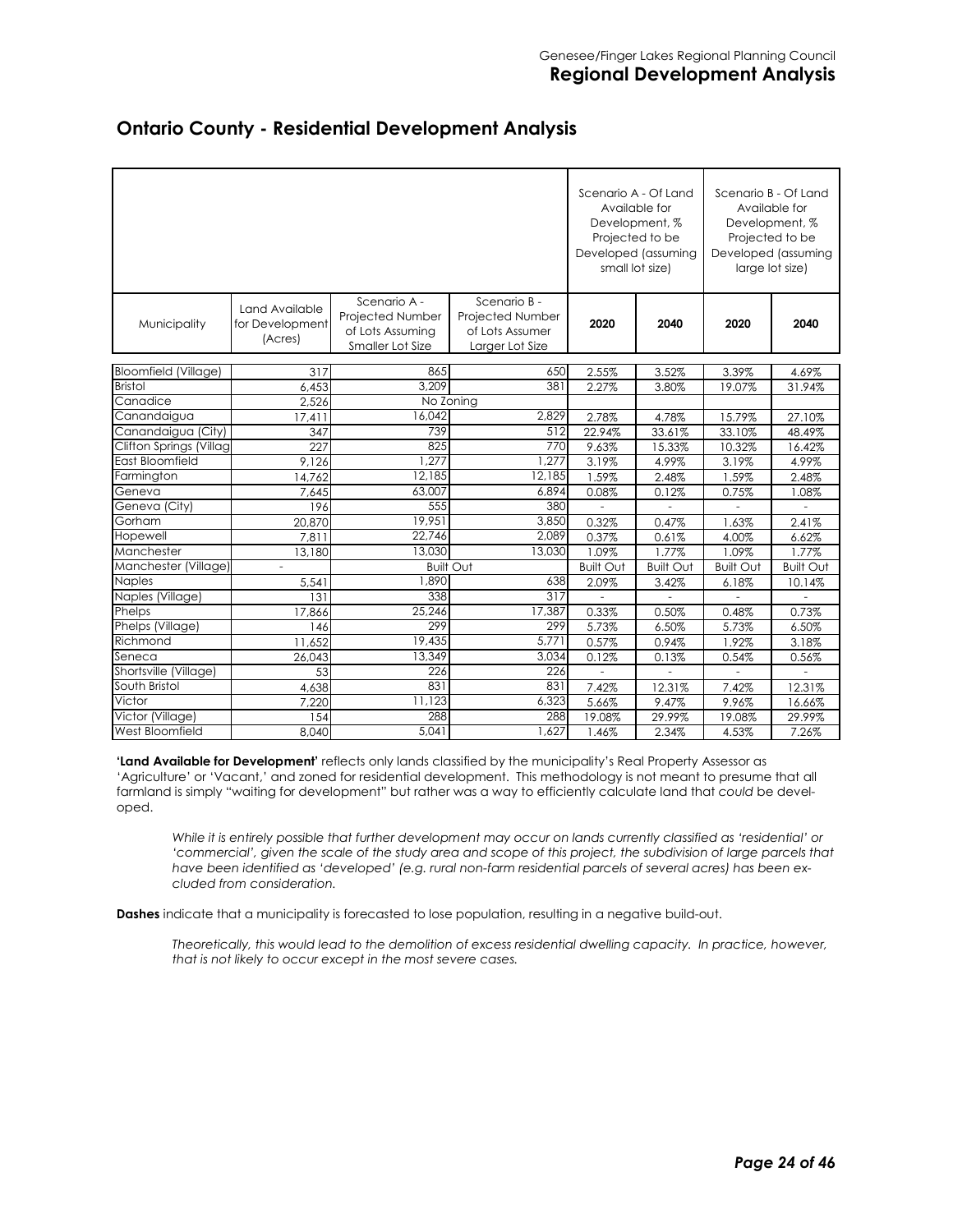|                                               |                                              |                                                                          |                                                                        | Scenario A - Of Land<br>Developed (assuming<br>small lot size) | Available for<br>Development, %<br>Projected to be |                  | Scenario B - Of Land<br>Available for<br>Development, %<br>Projected to be<br>Developed (assuming<br>large lot size) |
|-----------------------------------------------|----------------------------------------------|--------------------------------------------------------------------------|------------------------------------------------------------------------|----------------------------------------------------------------|----------------------------------------------------|------------------|----------------------------------------------------------------------------------------------------------------------|
| Municipality                                  | Land Available<br>for Development<br>(Acres) | Scenario A -<br>Projected Number<br>of Lots Assuming<br>Smaller Lot Size | Scenario B -<br>Projected Number<br>of Lots Assumer<br>Larger Lot Size | 2020                                                           | 2040                                               | 2020             | 2040                                                                                                                 |
|                                               |                                              |                                                                          |                                                                        |                                                                |                                                    |                  |                                                                                                                      |
| <b>Bloomfield (Village)</b><br><b>Bristol</b> | 317                                          | 865<br>3.209                                                             | 650<br>381                                                             | 2.55%                                                          | 3.52%                                              | 3.39%            | 4.69%                                                                                                                |
| Canadice                                      | 6,453                                        |                                                                          | No Zoning                                                              | 2.27%                                                          | 3.80%                                              | 19.07%           | 31.94%                                                                                                               |
| Canandaigua                                   | 2,526                                        | 16,042                                                                   | 2,829                                                                  | 2.78%                                                          | 4.78%                                              | 15.79%           | 27.10%                                                                                                               |
| Canandaigua (City)                            | 17,411<br>347                                | 739                                                                      | 512                                                                    | 22.94%                                                         | 33.61%                                             | 33.10%           | 48.49%                                                                                                               |
| Clifton Springs (Villag                       | 227                                          | 825                                                                      | 770                                                                    | 9.63%                                                          | 15.33%                                             | 10.32%           | 16.42%                                                                                                               |
| East Bloomfield                               | 9,126                                        | 1.277                                                                    | 1.277                                                                  | 3.19%                                                          | 4.99%                                              | 3.19%            | 4.99%                                                                                                                |
| Farmington                                    | 14.762                                       | 12,185                                                                   | 12,185                                                                 | 1.59%                                                          | 2.48%                                              | 1.59%            | 2.48%                                                                                                                |
| Geneva                                        | 7,645                                        | 63,007                                                                   | 6,894                                                                  | 0.08%                                                          | 0.12%                                              | 0.75%            | 1.08%                                                                                                                |
| Geneva (City)                                 | 196                                          | 555                                                                      | 380                                                                    |                                                                |                                                    |                  |                                                                                                                      |
| Gorham                                        | 20,870                                       | 19.951                                                                   | 3.850                                                                  | 0.32%                                                          | 0.47%                                              | 1.63%            | 2.41%                                                                                                                |
| Hopewell                                      | 7.811                                        | 22,746                                                                   | 2,089                                                                  | 0.37%                                                          | 0.61%                                              | 4.00%            | 6.62%                                                                                                                |
| Manchester                                    | 13,180                                       | 13,030                                                                   | 13,030                                                                 | 1.09%                                                          | 1.77%                                              | 1.09%            | 1.77%                                                                                                                |
| Manchester (Village)                          |                                              |                                                                          | <b>Built Out</b>                                                       | <b>Built Out</b>                                               | <b>Built Out</b>                                   | <b>Built Out</b> | <b>Built Out</b>                                                                                                     |
| <b>Naples</b>                                 | 5,541                                        | 1.890                                                                    | 638                                                                    | 2.09%                                                          | 3.42%                                              | 6.18%            | 10.14%                                                                                                               |
| Naples (Village)                              | 131                                          | 338                                                                      | 317                                                                    |                                                                |                                                    |                  |                                                                                                                      |
| Phelps                                        | 17,866                                       | 25.246                                                                   | 17,387                                                                 | 0.33%                                                          | 0.50%                                              | 0.48%            | 0.73%                                                                                                                |
| Phelps (Village)                              | 146                                          | 299                                                                      | 299                                                                    | 5.73%                                                          | 6.50%                                              | 5.73%            | 6.50%                                                                                                                |
| Richmond                                      | 11,652                                       | 19,435                                                                   | 5.771                                                                  | 0.57%                                                          | 0.94%                                              | 1.92%            | 3.18%                                                                                                                |
| Seneca                                        | 26,043                                       | 13,349                                                                   | 3,034                                                                  | 0.12%                                                          | 0.13%                                              | 0.54%            | 0.56%                                                                                                                |
| Shortsville (Village)                         | 53                                           | 226                                                                      | 226                                                                    |                                                                |                                                    |                  |                                                                                                                      |
| South Bristol                                 | 4,638                                        | 831                                                                      | 831                                                                    | 7.42%                                                          | 12.31%                                             | 7.42%            | 12.31%                                                                                                               |
| Victor                                        | 7.220                                        | 11,123                                                                   | 6,323                                                                  | 5.66%                                                          | 9.47%                                              | 9.96%            | 16.66%                                                                                                               |
| Victor (Village)                              | 154                                          | 288                                                                      | 288                                                                    | 19.08%                                                         | 29.99%                                             | 19.08%           | 29.99%                                                                                                               |
| West Bloomfield                               | 8,040                                        | 5,041                                                                    | 1.627                                                                  | 1.46%                                                          | 2.34%                                              | 4.53%            | 7.26%                                                                                                                |

#### **Ontario County - Residential Development Analysis**

**'Land Available for Development'** reflects only lands classified by the municipality's Real Property Assessor as 'Agriculture' or 'Vacant,' and zoned for residential development. This methodology is not meant to presume that all farmland is simply "waiting for development" but rather was a way to efficiently calculate land that *could* be developed.

*While it is entirely possible that further development may occur on lands currently classified as 'residential' or 'commercial', given the scale of the study area and scope of this project, the subdivision of large parcels that have been identified as 'developed' (e.g. rural non-farm residential parcels of several acres) has been excluded from consideration.* 

**Dashes** indicate that a municipality is forecasted to lose population, resulting in a negative build-out.

*Theoretically, this would lead to the demolition of excess residential dwelling capacity. In practice, however, that is not likely to occur except in the most severe cases.*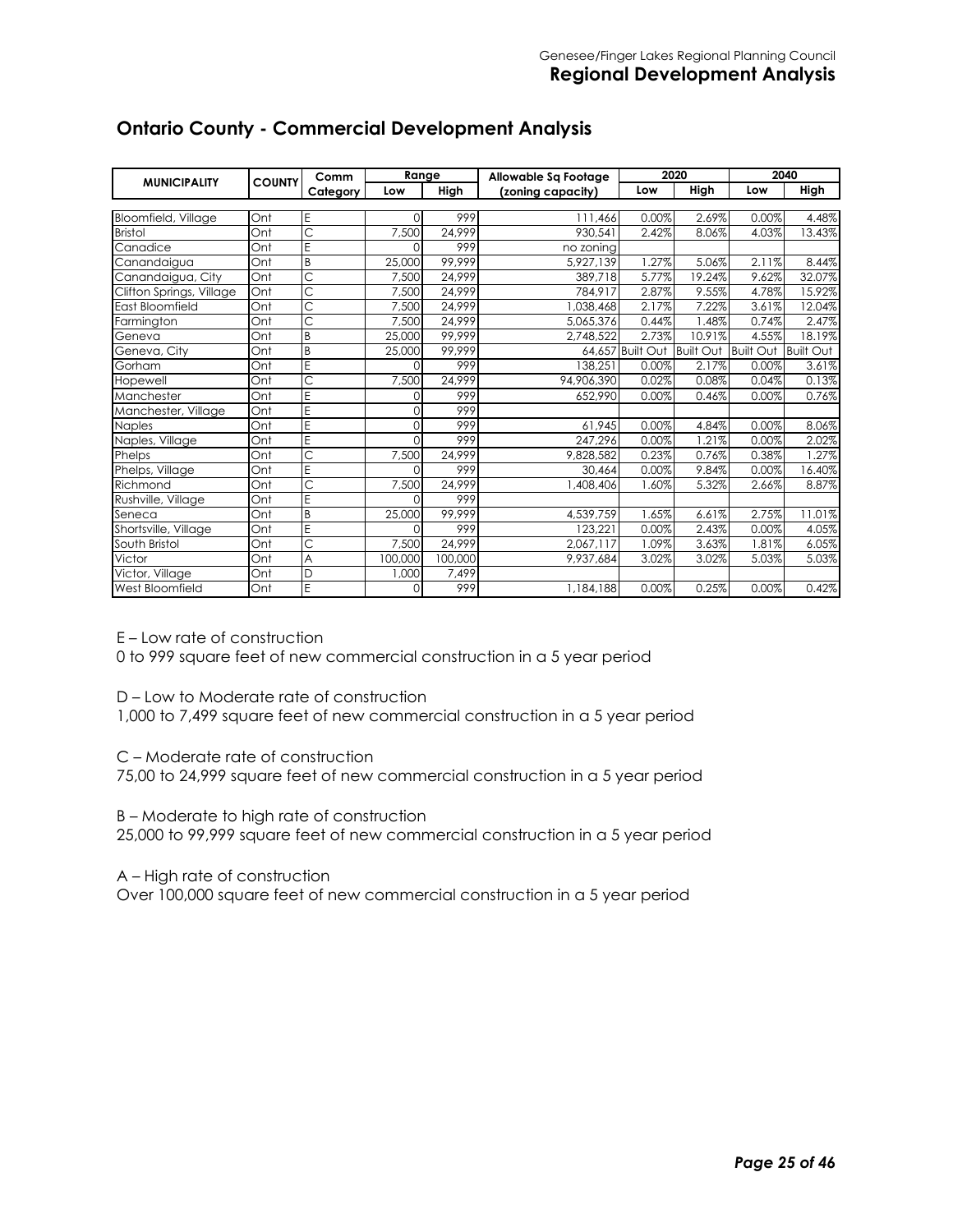|                          |     | Range<br>Comm<br><b>COUNTY</b> |          | Allowable Sq Footage |                   | 2020             | 2040             |                     |        |
|--------------------------|-----|--------------------------------|----------|----------------------|-------------------|------------------|------------------|---------------------|--------|
| <b>MUNICIPALITY</b>      |     | Category                       | Low      | High                 | (zoning capacity) | Low              | High             | Low                 | High   |
|                          |     |                                |          |                      |                   |                  |                  |                     |        |
| Bloomfield, Village      | Ont | E                              | $\Omega$ | 999                  | 111,466           | 0.00%            | 2.69%            | 0.00%               | 4.48%  |
| <b>Bristol</b>           | Ont | Ċ                              | 7,500    | 24,999               | 930,541           | 2.42%            | 8.06%            | 4.03%               | 13.43% |
| Canadice                 | Ont | Ë                              | $\Omega$ | 999                  | no zoning         |                  |                  |                     |        |
| Canandaigua              | Ont | B                              | 25,000   | 99,999               | 5.927.139         | 1.27%            | 5.06%            | 2.11%               | 8.44%  |
| Canandaigua, City        | Ont | Ć                              | 7,500    | 24.999               | 389.718           | 5.77%            | 19.24%           | 9.62%               | 32.07% |
| Clifton Springs, Village | Ont | $\overline{\text{C}}$          | 7,500    | 24,999               | 784.917           | 2.87%            | 9.55%            | 4.78%               | 15.92% |
| East Bloomfield          | Ont | $\overline{\text{C}}$          | 7,500    | 24.999               | 1,038,468         | 2.17%            | 7.22%            | 3.61%               | 12.04% |
| Farmington               | Ont | Ć                              | 7,500    | 24,999               | 5,065,376         | 0.44%            | .48%             | 0.74%               | 2.47%  |
| Geneva                   | Ont | B                              | 25,000   | 99.999               | 2,748,522         | 2.73%            | 10.91%           | 4.55%               | 18.19% |
| Geneva, City             | Ont | B                              | 25,000   | 99,999               |                   | 64,657 Built Out | <b>Built Out</b> | Built Out Built Out |        |
| Gorham                   | Ont | E                              | $\Omega$ | 999                  | 138,251           | 0.00%            | 2.17%            | 0.00%               | 3.61%  |
| Hopewell                 | Ont | Ć                              | 7,500    | 24,999               | 94.906.390        | 0.02%            | 0.08%            | 0.04%               | 0.13%  |
| Manchester               | Ont | E                              | $\Omega$ | 999                  | 652,990           | 0.00%            | 0.46%            | 0.00%               | 0.76%  |
| Manchester, Village      | Ont | Ë                              | $\Omega$ | 999                  |                   |                  |                  |                     |        |
| Naples                   | Ont | E                              | $\Omega$ | 999                  | 61,945            | 0.00%            | 4.84%            | 0.00%               | 8.06%  |
| Naples, Village          | Ont | E                              | $\Omega$ | 999                  | 247,296           | 0.00%            | 1.21%            | 0.00%               | 2.02%  |
| Phelps                   | Ont | Ć                              | 7,500    | 24,999               | 9,828,582         | 0.23%            | 0.76%            | 0.38%               | .27%   |
| Phelps, Village          | Ont | Ë                              | $\Omega$ | 999                  | 30,464            | 0.00%            | 9.84%            | 0.00%               | 16.40% |
| Richmond                 | Ont | Ċ                              | 7,500    | 24,999               | 1,408,406         | 1.60%            | 5.32%            | 2.66%               | 8.87%  |
| Rushville, Village       | Ont | E                              | $\Omega$ | 999                  |                   |                  |                  |                     |        |
| Seneca                   | Ont | B                              | 25,000   | 99.999               | 4,539,759         | 1.65%            | 6.61%            | 2.75%               | 11.01% |
| Shortsville, Village     | Ont | Ë                              | $\Omega$ | 999                  | 123.221           | 0.00%            | 2.43%            | 0.00%               | 4.05%  |
| South Bristol            | Ont | Ć                              | 7,500    | 24,999               | 2.067.117         | 1.09%            | 3.63%            | 1.81%               | 6.05%  |
| Victor                   | Ont | A                              | 100,000  | 100,000              | 9,937,684         | 3.02%            | 3.02%            | 5.03%               | 5.03%  |
| Victor, Village          | Ont | D                              | 1,000    | 7,499                |                   |                  |                  |                     |        |
| West Bloomfield          | Ont | E                              | $\Omega$ | 999                  | 1,184,188         | 0.00%            | 0.25%            | 0.00%               | 0.42%  |

# **Ontario County - Commercial Development Analysis**

E – Low rate of construction

0 to 999 square feet of new commercial construction in a 5 year period

D – Low to Moderate rate of construction

1,000 to 7,499 square feet of new commercial construction in a 5 year period

C – Moderate rate of construction

75,00 to 24,999 square feet of new commercial construction in a 5 year period

B – Moderate to high rate of construction

25,000 to 99,999 square feet of new commercial construction in a 5 year period

A – High rate of construction

Over 100,000 square feet of new commercial construction in a 5 year period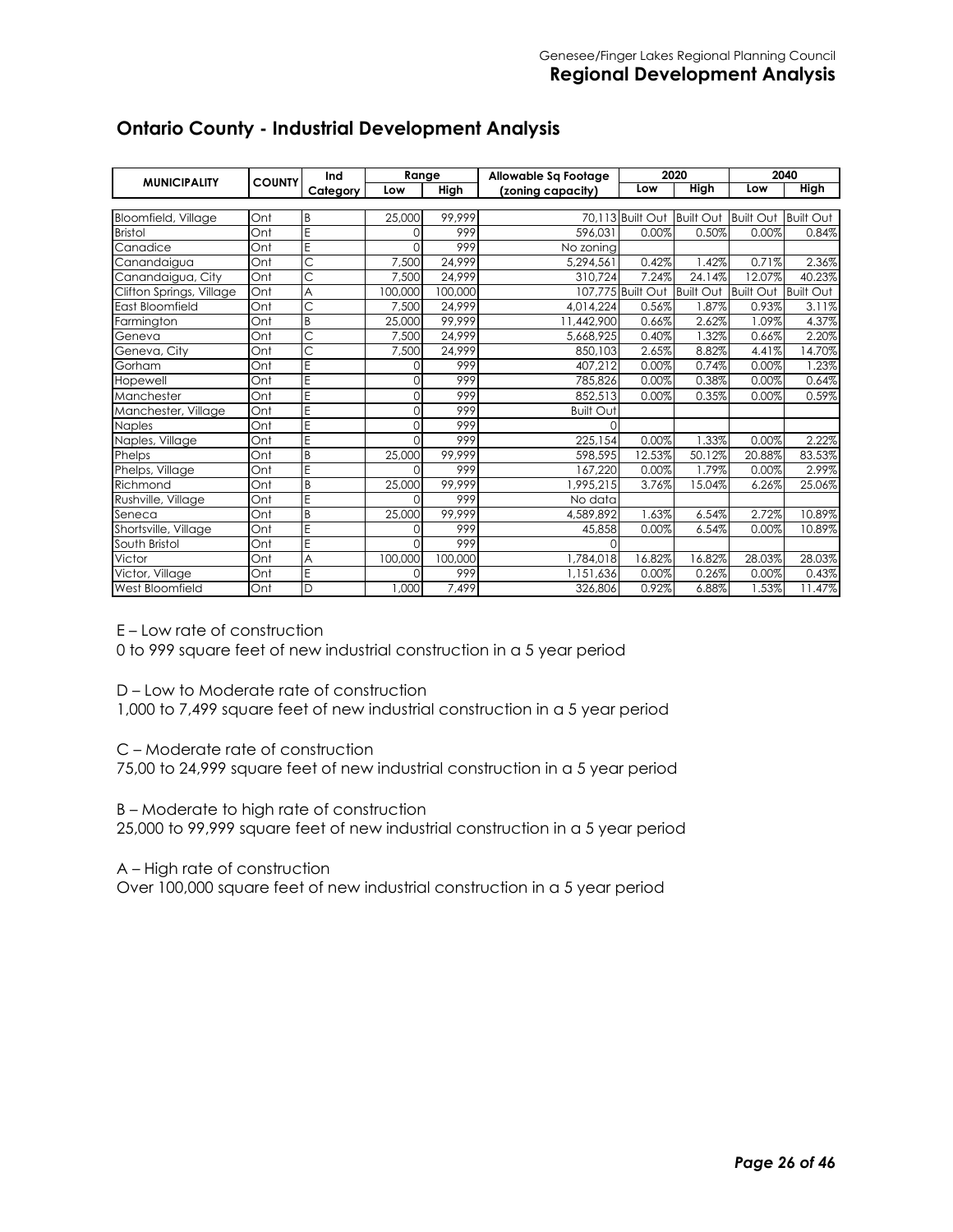| <b>MUNICIPALITY</b>      | <b>COUNTY</b> | Ind                     |          | Range<br>Allowable Sq Footage |                   | 2020              |                  | 2040             |                  |
|--------------------------|---------------|-------------------------|----------|-------------------------------|-------------------|-------------------|------------------|------------------|------------------|
|                          |               | Category                | Low      | High                          | (zoning capacity) | Low               | <b>High</b>      | Low              | <b>High</b>      |
|                          |               |                         |          |                               |                   |                   |                  |                  |                  |
| Bloomfield, Village      | Ont           | B                       | 25,000   | 99,999                        |                   | 70,113 Built Out  | <b>Built Out</b> | <b>Built Out</b> | <b>Built Out</b> |
| <b>Bristol</b>           | Ont           | E                       | $\Omega$ | 999                           | 596.031           | 0.00%             | 0.50%            | 0.00%            | 0.84%            |
| Canadice                 | Ont           | E                       | $\Omega$ | 999                           | No zoning         |                   |                  |                  |                  |
| Canandaigua              | Ont           | Ċ                       | 7,500    | 24.999                        | 5,294,561         | 0.42%             | .42%             | 0.71%            | 2.36%            |
| Canandaigua, City        | Ont           | C                       | 7.500    | 24,999                        | 310.724           | 7.24%             | 24.14%           | 12.07%           | 40.23%           |
| Clifton Springs, Village | Ont           | A                       | 100,000  | 100,000                       |                   | 107,775 Built Out | <b>Built Out</b> | <b>Built Out</b> | <b>Built Out</b> |
| East Bloomfield          | Ont           | Ć                       | 7,500    | 24.999                        | 4,014,224         | 0.56%             | .87%             | 0.93%            | 3.11%            |
| Farmington               | Ont           | B                       | 25,000   | 99,999                        | 11,442,900        | 0.66%             | 2.62%            | 1.09%            | 4.37%            |
| Geneva                   | Ont           | Ċ                       | 7.500    | 24.999                        | 5.668.925         | 0.40%             | 1.32%            | 0.66%            | 2.20%            |
| Geneva, City             | Ont           | $\overline{\mathsf{C}}$ | 7,500    | 24,999                        | 850,103           | 2.65%             | 8.82%            | 4.41%            | 14.70%           |
| Gorham                   | Ont           | E                       | $\Omega$ | 999                           | 407,212           | 0.00%             | 0.74%            | 0.00%            | 1.23%            |
| Hopewell                 | Ont           | E                       | $\Omega$ | 999                           | 785.826           | 0.00%             | 0.38%            | 0.00%            | 0.64%            |
| Manchester               | Ont           | Ë                       | $\Omega$ | 999                           | 852,513           | 0.00%             | 0.35%            | 0.00%            | 0.59%            |
| Manchester, Village      | Ont           | E                       | $\Omega$ | 999                           | <b>Built Out</b>  |                   |                  |                  |                  |
| Naples                   | Ont           | E                       | $\Omega$ | 999                           | $\Omega$          |                   |                  |                  |                  |
| Naples, Village          | Ont           | E                       | $\cap$   | 999                           | 225,154           | 0.00%             | .33%             | 0.00%            | 2.22%            |
| Phelps                   | Ont           | B                       | 25,000   | 99.999                        | 598.595           | 12.53%            | 50.12%           | 20.88%           | 83.53%           |
| Phelps, Village          | Ont           | E                       | $\Omega$ | 999                           | 167,220           | 0.00%             | 1.79%            | 0.00%            | 2.99%            |
| Richmond                 | Ont           | B                       | 25,000   | 99,999                        | 1,995,215         | 3.76%             | 15.04%           | 6.26%            | 25.06%           |
| Rushville, Village       | Ont           | E                       | $\Omega$ | 999                           | No data           |                   |                  |                  |                  |
| Seneca                   | Ont           | B                       | 25,000   | 99.999                        | 4,589,892         | 1.63%             | 6.54%            | 2.72%            | 10.89%           |
| Shortsville, Village     | Ont           | E                       | $\Omega$ | 999                           | 45,858            | 0.00%             | 6.54%            | 0.00%            | 10.89%           |
| South Bristol            | Ont           | E                       | $\cap$   | 999                           |                   |                   |                  |                  |                  |
| Victor                   | Ont           | A                       | 100,000  | 100,000                       | 1,784,018         | 16.82%            | 16.82%           | 28.03%           | 28.03%           |
| Victor, Village          | Ont           | E                       | $\Omega$ | 999                           | 1,151,636         | 0.00%             | 0.26%            | 0.00%            | 0.43%            |
| West Bloomfield          | Ont           | D                       | 1.000    | 7,499                         | 326,806           | 0.92%             | 6.88%            | 1.53%            | 11.47%           |

# **Ontario County - Industrial Development Analysis**

E – Low rate of construction

0 to 999 square feet of new industrial construction in a 5 year period

D – Low to Moderate rate of construction

1,000 to 7,499 square feet of new industrial construction in a 5 year period

C – Moderate rate of construction

75,00 to 24,999 square feet of new industrial construction in a 5 year period

B – Moderate to high rate of construction

25,000 to 99,999 square feet of new industrial construction in a 5 year period

A – High rate of construction

Over 100,000 square feet of new industrial construction in a 5 year period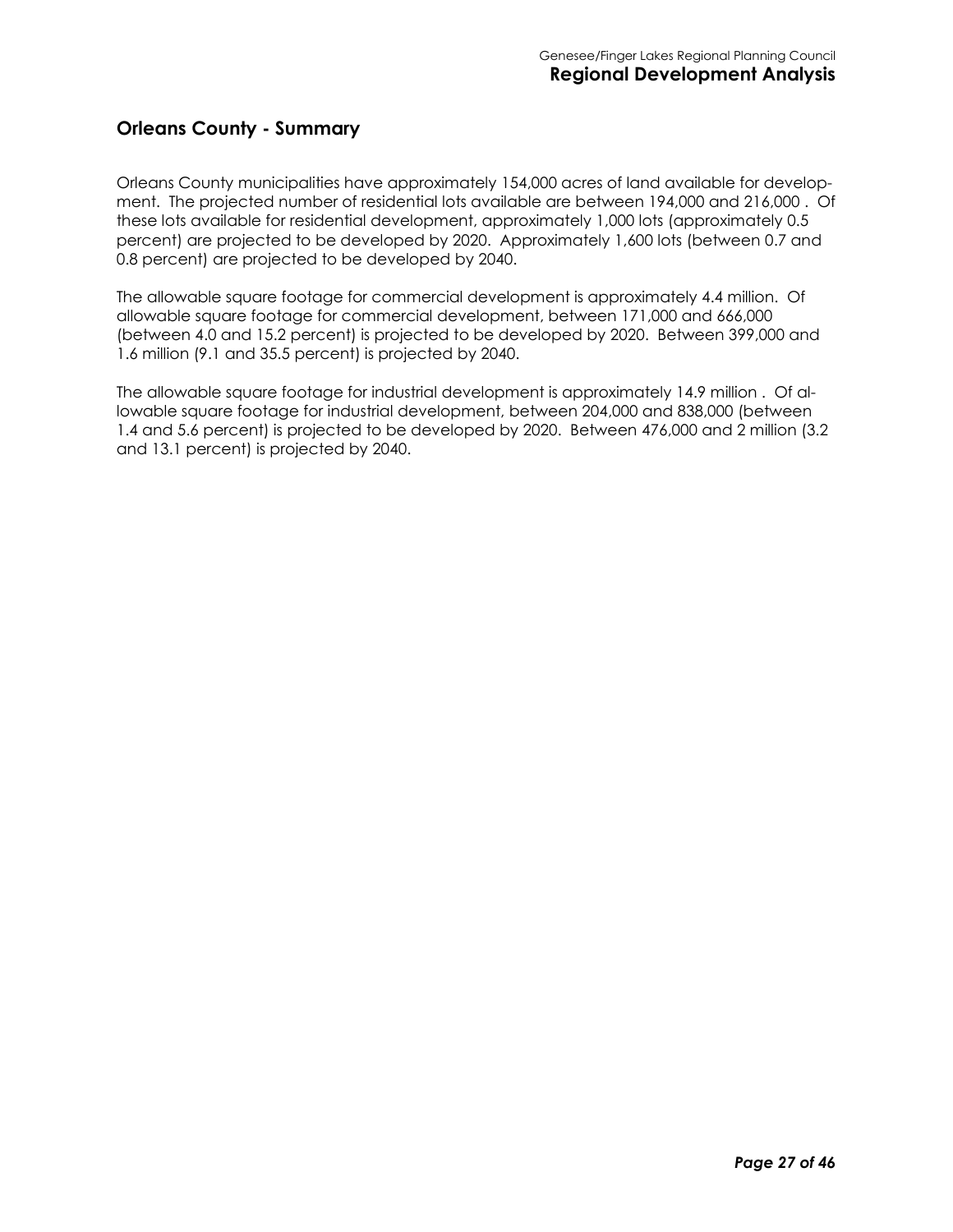#### **Orleans County - Summary**

Orleans County municipalities have approximately 154,000 acres of land available for development. The projected number of residential lots available are between 194,000 and 216,000 . Of these lots available for residential development, approximately 1,000 lots (approximately 0.5 percent) are projected to be developed by 2020. Approximately 1,600 lots (between 0.7 and 0.8 percent) are projected to be developed by 2040.

The allowable square footage for commercial development is approximately 4.4 million. Of allowable square footage for commercial development, between 171,000 and 666,000 (between 4.0 and 15.2 percent) is projected to be developed by 2020. Between 399,000 and 1.6 million (9.1 and 35.5 percent) is projected by 2040.

The allowable square footage for industrial development is approximately 14.9 million . Of allowable square footage for industrial development, between 204,000 and 838,000 (between 1.4 and 5.6 percent) is projected to be developed by 2020. Between 476,000 and 2 million (3.2 and 13.1 percent) is projected by 2040.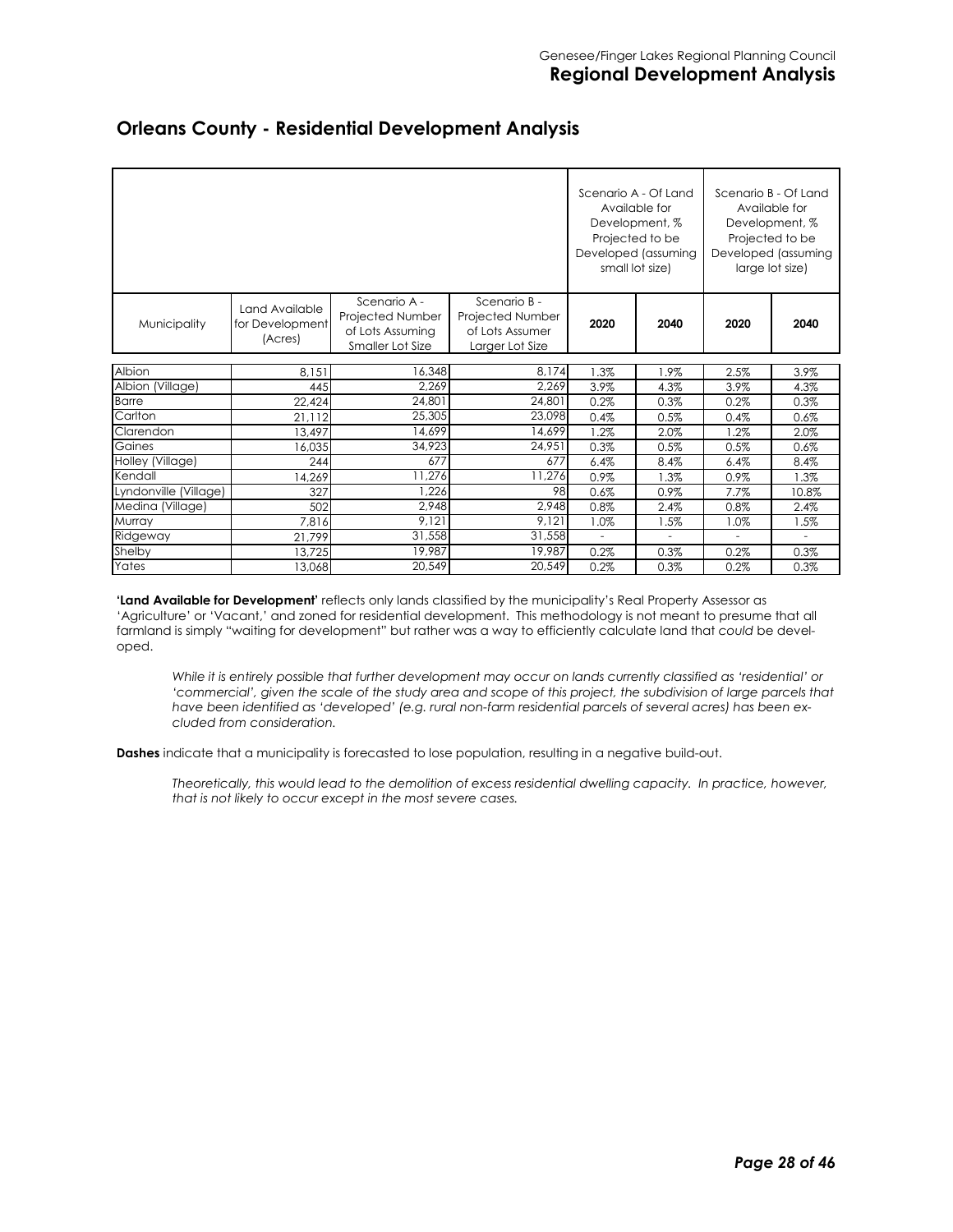|                       |                                              |                                                                          |                                                                        |         | Scenario A - Of Land<br>Available for<br>Development, %<br>Projected to be<br>Developed (assuming<br>small lot size) |                | Scenario B - Of Land<br>Available for<br>Development, %<br>Projected to be<br>Developed (assuming<br>large lot size) |
|-----------------------|----------------------------------------------|--------------------------------------------------------------------------|------------------------------------------------------------------------|---------|----------------------------------------------------------------------------------------------------------------------|----------------|----------------------------------------------------------------------------------------------------------------------|
| Municipality          | Land Available<br>for Development<br>(Acres) | Scenario A -<br>Projected Number<br>of Lots Assuming<br>Smaller Lot Size | Scenario B -<br>Projected Number<br>of Lots Assumer<br>Larger Lot Size | 2020    | 2040                                                                                                                 | 2020           | 2040                                                                                                                 |
| Albion                | 8,151                                        | 16,348                                                                   | 8,174                                                                  | 1.3%    | 1.9%                                                                                                                 | 2.5%           | 3.9%                                                                                                                 |
| Albion (Village)      | 445                                          | 2,269                                                                    | 2,269                                                                  | 3.9%    | 4.3%                                                                                                                 | 3.9%           | 4.3%                                                                                                                 |
| <b>Barre</b>          | 22,424                                       | 24,801                                                                   | 24,801                                                                 | 0.2%    | 0.3%                                                                                                                 | 0.2%           | 0.3%                                                                                                                 |
| Carlton               | 21,112                                       | 25,305                                                                   | 23,098                                                                 | 0.4%    | 0.5%                                                                                                                 | 0.4%           | 0.6%                                                                                                                 |
| Clarendon             | 13.497                                       | 14.699                                                                   | 14,699                                                                 | $1.2\%$ | 2.0%                                                                                                                 | 1.2%           | 2.0%                                                                                                                 |
| Gaines                | 16,035                                       | 34,923                                                                   | 24,951                                                                 | 0.3%    | 0.5%                                                                                                                 | 0.5%           | 0.6%                                                                                                                 |
| Holley (Village)      | 244                                          | 677                                                                      | 677                                                                    | 6.4%    | 8.4%                                                                                                                 | 6.4%           | 8.4%                                                                                                                 |
| Kendall               | 14,269                                       | 11,276                                                                   | 11,276                                                                 | 0.9%    | $1.3\%$                                                                                                              | 0.9%           | 1.3%                                                                                                                 |
| Lyndonville (Village) | 327                                          | 1,226                                                                    | 98                                                                     | 0.6%    | 0.9%                                                                                                                 | 7.7%           | 10.8%                                                                                                                |
| Medina (Village)      | 502                                          | 2,948                                                                    | 2,948                                                                  | 0.8%    | 2.4%                                                                                                                 | 0.8%           | 2.4%                                                                                                                 |
| Murray                | 7,816                                        | 9,121                                                                    | 9,121                                                                  | 1.0%    | 1.5%                                                                                                                 | 1.0%           | 1.5%                                                                                                                 |
| Ridgeway              | 21,799                                       | 31,558                                                                   | 31,558                                                                 | ÷.      | $\overline{\phantom{a}}$                                                                                             | $\blacksquare$ | ٠                                                                                                                    |
| Shelby                | 13.725                                       | 19,987                                                                   | 19,987                                                                 | 0.2%    | 0.3%                                                                                                                 | 0.2%           | 0.3%                                                                                                                 |
| Yates                 | 13,068                                       | 20,549                                                                   | 20,549                                                                 | 0.2%    | 0.3%                                                                                                                 | 0.2%           | 0.3%                                                                                                                 |

#### **Orleans County - Residential Development Analysis**

**'Land Available for Development'** reflects only lands classified by the municipality's Real Property Assessor as 'Agriculture' or 'Vacant,' and zoned for residential development. This methodology is not meant to presume that all farmland is simply "waiting for development" but rather was a way to efficiently calculate land that *could* be developed.

*While it is entirely possible that further development may occur on lands currently classified as 'residential' or*  'commercial', given the scale of the study area and scope of this project, the subdivision of large parcels that *have been identified as 'developed' (e.g. rural non-farm residential parcels of several acres) has been excluded from consideration.* 

**Dashes** indicate that a municipality is forecasted to lose population, resulting in a negative build-out.

*Theoretically, this would lead to the demolition of excess residential dwelling capacity. In practice, however, that is not likely to occur except in the most severe cases.*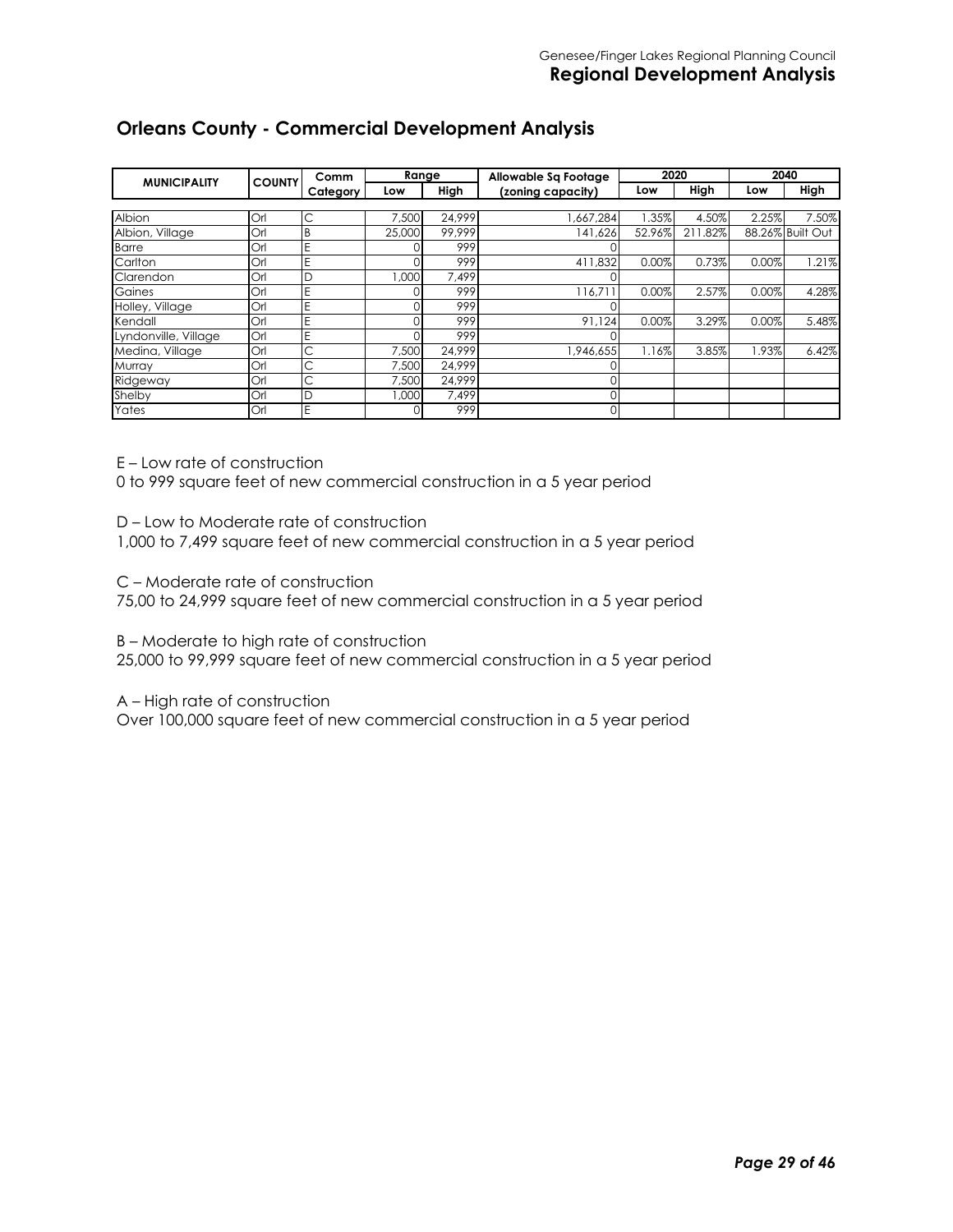#### **Orleans County - Commercial Development Analysis**

| <b>MUNICIPALITY</b>  | <b>COUNTY</b> | Comm     | Range  |        | Allowable Sq Footage | 2020   |         | 2040  |                  |
|----------------------|---------------|----------|--------|--------|----------------------|--------|---------|-------|------------------|
|                      |               | Category | Low    | High   | (zoning capacity)    | Low    | High    | Low   | High             |
|                      |               |          |        |        |                      |        |         |       |                  |
| Albion               | Orl           | С        | 7,500  | 24,999 | ,667,284             | .35%   | 4.50%   | 2.25% | 7.50%            |
| Albion, Village      | Orl           | B        | 25,000 | 99.999 | 141,626              | 52.96% | 211.82% |       | 88.26% Built Out |
| <b>Barre</b>         | Orl           | Е        |        | 999    |                      |        |         |       |                  |
| Carlton              | Orl           | E        |        | 999    | 411,832              | 0.00%  | 0.73%   | 0.00% | $1.21\%$         |
| Clarendon            | Orl           | D        | 1,000  | 7,499  |                      |        |         |       |                  |
| Gaines               | Orl           | Е        |        | 999    | 116,71               | 0.00%  | 2.57%   | 0.00% | 4.28%            |
| Holley, Village      | Orl           | E        |        | 999    |                      |        |         |       |                  |
| Kendall              | Orl           | E        |        | 999    | 91.124               | 0.00%  | 3.29%   | 0.00% | 5.48%            |
| Lyndonville, Village | Orl           | E        |        | 999    |                      |        |         |       |                  |
| Medina, Village      | Orl           | С        | 7.500  | 24.999 | 1,946,655            | 1.16%  | 3.85%   | 1.93% | 6.42%            |
| Murray               | Orl           | С        | 7,500  | 24.999 |                      |        |         |       |                  |
| Ridgeway             | Orl           | С        | 7.500  | 24.999 |                      |        |         |       |                  |
| Shelby               | Orl           | D        | 1,000  | 7,499  |                      |        |         |       |                  |
| Yates                | Orl           | E        |        | 999    | 0                    |        |         |       |                  |

E – Low rate of construction

0 to 999 square feet of new commercial construction in a 5 year period

D – Low to Moderate rate of construction

1,000 to 7,499 square feet of new commercial construction in a 5 year period

C – Moderate rate of construction

75,00 to 24,999 square feet of new commercial construction in a 5 year period

B – Moderate to high rate of construction

25,000 to 99,999 square feet of new commercial construction in a 5 year period

A – High rate of construction

Over 100,000 square feet of new commercial construction in a 5 year period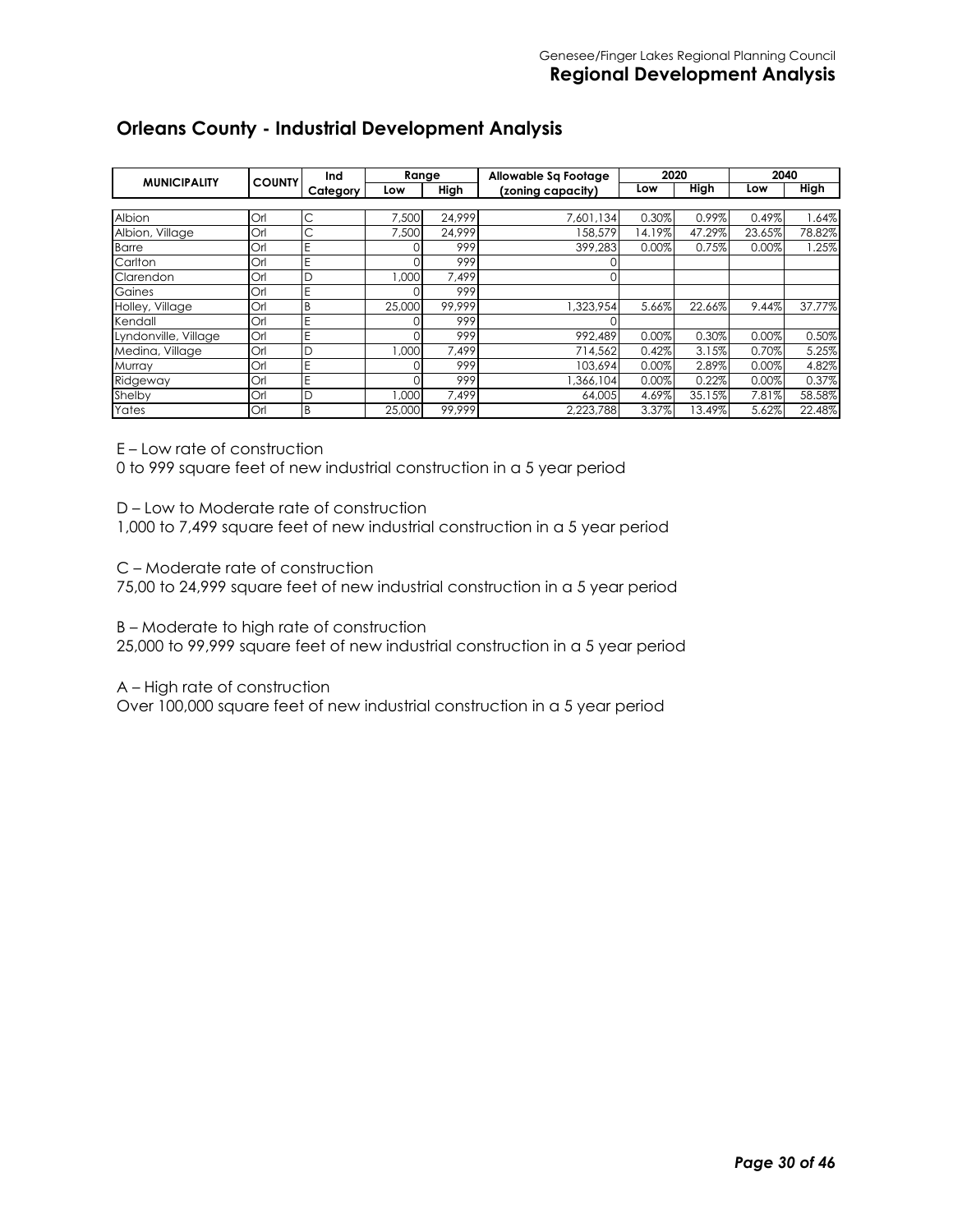#### **Orleans County - Industrial Development Analysis**

| <b>MUNICIPALITY</b>  | <b>COUNTY</b> | Ind      | Range  |        | Allowable Sa Footage | 2020   |        | 2040   |        |
|----------------------|---------------|----------|--------|--------|----------------------|--------|--------|--------|--------|
|                      |               | Category | Low    | High   | (zoning capacity)    | Low    | High   | Low    | High   |
|                      |               |          |        |        |                      |        |        |        |        |
| Albion               | Orl           | С        | 7,500  | 24.999 | 7,601,134            | 0.30%  | 0.99%  | 0.49%  | .64%   |
| Albion, Village      | Orl           | С        | 7.500  | 24.999 | 158,579              | 14.19% | 47.29% | 23.65% | 78.82% |
| <b>Barre</b>         | Orl           | E        |        | 999    | 399,283              | 0.00%  | 0.75%  | 0.00%  | 1.25%  |
| Carlton              | Orl           | E        |        | 999    |                      |        |        |        |        |
| Clarendon            | Orl           | D        | 000.1  | 7.499  |                      |        |        |        |        |
| Gaines               | Orl           | E        |        | 999    |                      |        |        |        |        |
| Holley, Village      | Orl           | B        | 25,000 | 99.999 | 323,954              | 5.66%  | 22.66% | 9.44%  | 37.77% |
| Kendall              | Orl           | Ë        |        | 999    |                      |        |        |        |        |
| Lyndonville, Village | Orl           | Ë        |        | 999    | 992.489              | 0.00%  | 0.30%  | 0.00%  | 0.50%  |
| Medina, Village      | Orl           | D        | 000.1  | 7.499  | 714,562              | 0.42%  | 3.15%  | 0.70%  | 5.25%  |
| Murray               | Orl           | E        |        | 999    | 103.694              | 0.00%  | 2.89%  | 0.00%  | 4.82%  |
| Ridgeway             | Orl           | E        |        | 999    | ,366,104             | 0.00%  | 0.22%  | 0.00%  | 0.37%  |
| Shelby               | Orl           | D        | .000   | 7.499  | 64,005               | 4.69%  | 35.15% | 7.81%  | 58.58% |
| Yates                | Orl           | B        | 25,000 | 99.999 | 2.223.788            | 3.37%  | 13.49% | 5.62%  | 22.48% |

E – Low rate of construction

0 to 999 square feet of new industrial construction in a 5 year period

D – Low to Moderate rate of construction

1,000 to 7,499 square feet of new industrial construction in a 5 year period

C – Moderate rate of construction

75,00 to 24,999 square feet of new industrial construction in a 5 year period

B – Moderate to high rate of construction

25,000 to 99,999 square feet of new industrial construction in a 5 year period

A – High rate of construction

Over 100,000 square feet of new industrial construction in a 5 year period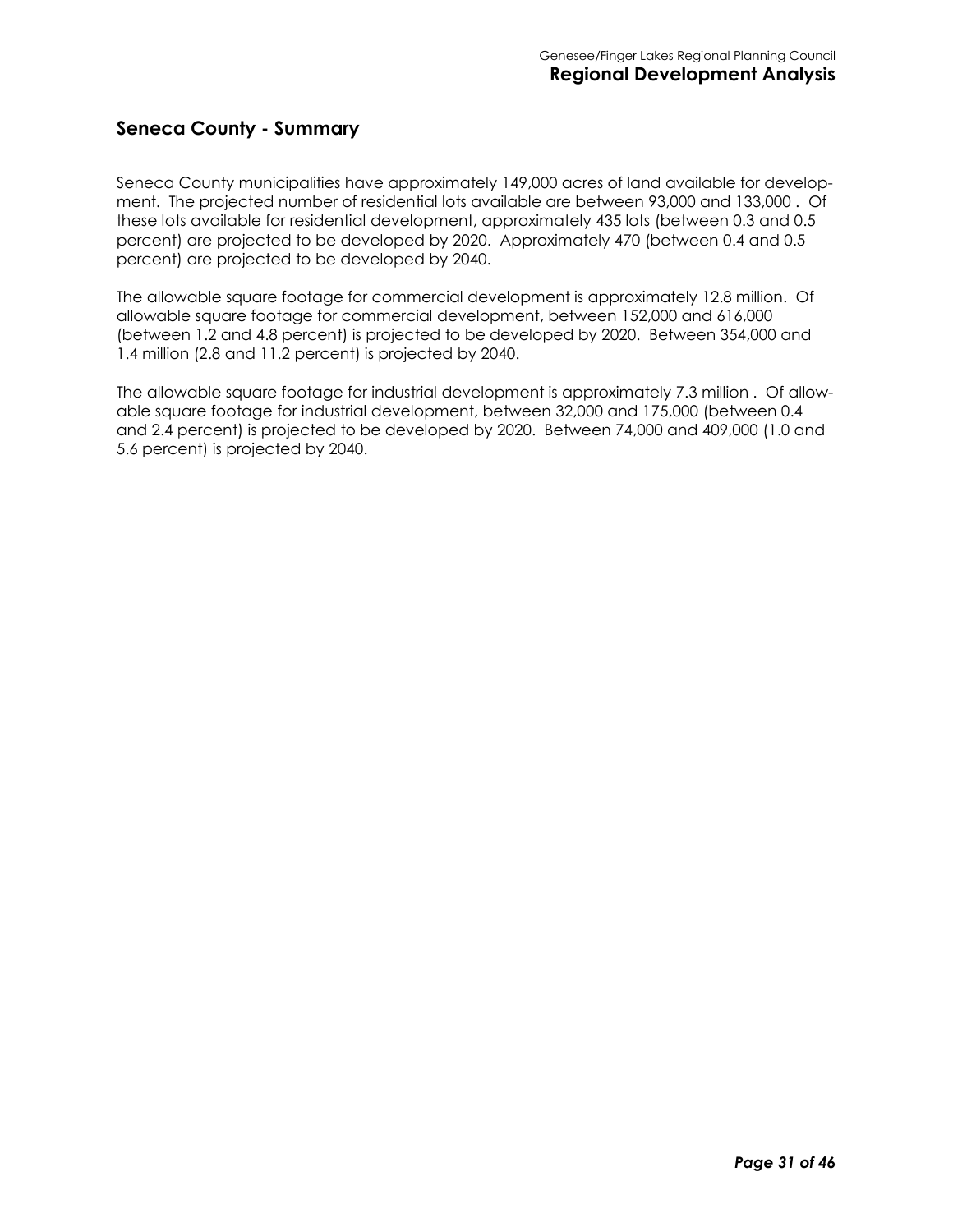#### **Seneca County - Summary**

Seneca County municipalities have approximately 149,000 acres of land available for development. The projected number of residential lots available are between 93,000 and 133,000 . Of these lots available for residential development, approximately 435 lots (between 0.3 and 0.5 percent) are projected to be developed by 2020. Approximately 470 (between 0.4 and 0.5 percent) are projected to be developed by 2040.

The allowable square footage for commercial development is approximately 12.8 million. Of allowable square footage for commercial development, between 152,000 and 616,000 (between 1.2 and 4.8 percent) is projected to be developed by 2020. Between 354,000 and 1.4 million (2.8 and 11.2 percent) is projected by 2040.

The allowable square footage for industrial development is approximately 7.3 million . Of allowable square footage for industrial development, between 32,000 and 175,000 (between 0.4 and 2.4 percent) is projected to be developed by 2020. Between 74,000 and 409,000 (1.0 and 5.6 percent) is projected by 2040.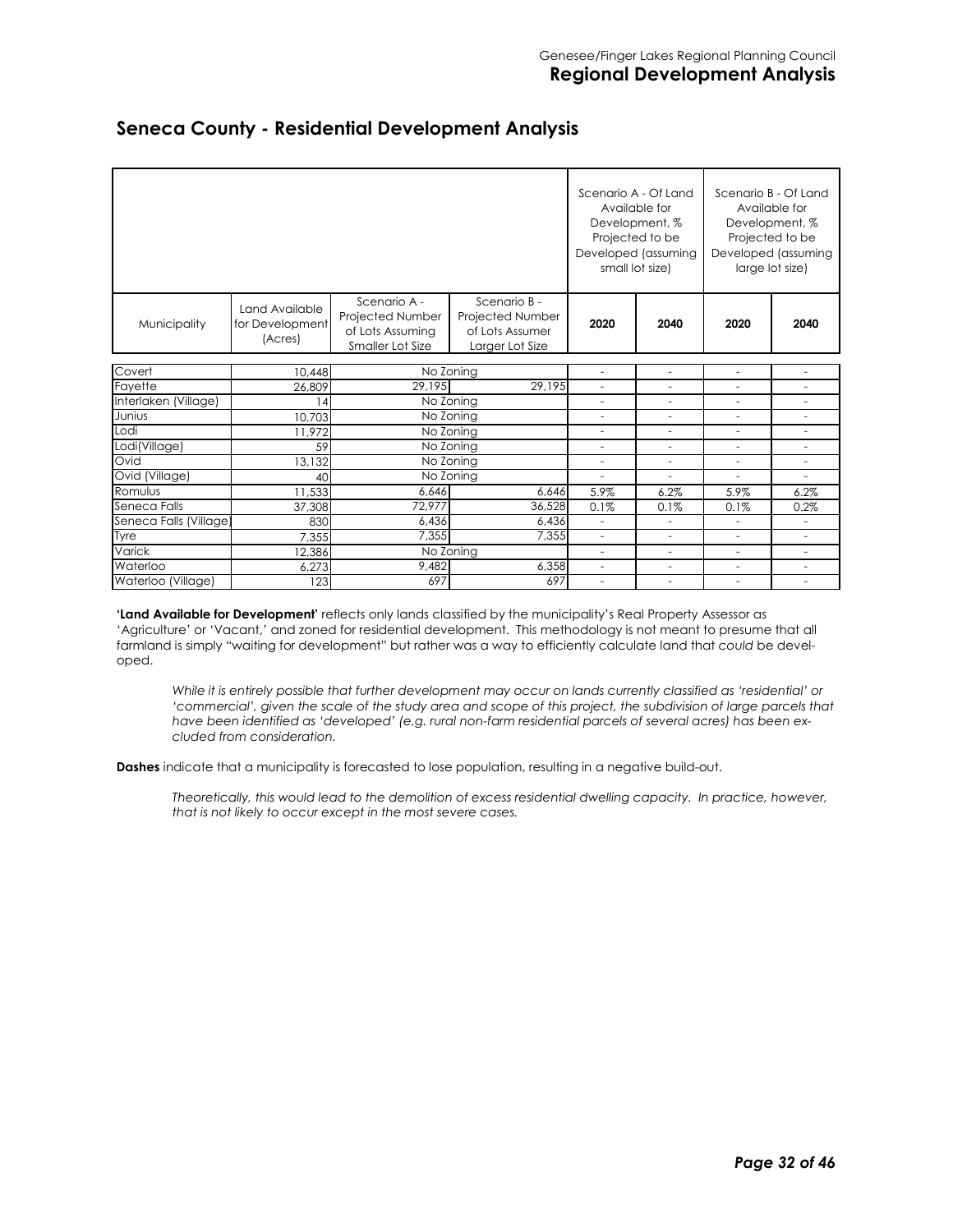|                        |                                              |                                                                          |                                                                        |                          | Scenario A - Of Land<br>Available for<br>Development, %<br>Projected to be<br>Developed (assuming<br>small lot size) |                          | Scenario B - Of Land<br>Available for<br>Development, %<br>Projected to be<br>Developed (assuming<br>large lot size) |
|------------------------|----------------------------------------------|--------------------------------------------------------------------------|------------------------------------------------------------------------|--------------------------|----------------------------------------------------------------------------------------------------------------------|--------------------------|----------------------------------------------------------------------------------------------------------------------|
| Municipality           | Land Available<br>for Development<br>(Acres) | Scenario A -<br>Projected Number<br>of Lots Assuming<br>Smaller Lot Size | Scenario B -<br>Projected Number<br>of Lots Assumer<br>Larger Lot Size | 2020                     | 2040                                                                                                                 | 2020                     | 2040                                                                                                                 |
| Covert                 | 10,448                                       |                                                                          | No Zoning                                                              | $\overline{\phantom{a}}$ | $\sim$                                                                                                               | $\bar{a}$                | ٠                                                                                                                    |
| Fayette                | 26.809                                       | 29.195                                                                   | 29,195                                                                 | $\overline{\phantom{a}}$ | $\sim$                                                                                                               | $\overline{\phantom{a}}$ |                                                                                                                      |
| Interlaken (Village)   | 14                                           |                                                                          | No Zoning                                                              |                          |                                                                                                                      |                          |                                                                                                                      |
| Junius                 | 10,703                                       |                                                                          | No Zoning                                                              | $\sim$                   | $\sim$                                                                                                               | $\bar{a}$                | ٠                                                                                                                    |
| Lodi                   | 11.972                                       |                                                                          | No Zoning                                                              | $\overline{\phantom{a}}$ | $\overline{\phantom{a}}$                                                                                             | $\overline{\phantom{a}}$ | ٠                                                                                                                    |
| Lodi(Village)          | 59                                           |                                                                          | No Zoning                                                              | ÷,                       | L,                                                                                                                   | ÷,                       |                                                                                                                      |
| Ovid                   | 13,132                                       |                                                                          | No Zoning                                                              | $\sim$                   | $\overline{\phantom{a}}$                                                                                             | ÷.                       | ÷                                                                                                                    |
| Ovid (Village)         | 40                                           |                                                                          | No Zoning                                                              | $\sim$                   | $\sim$                                                                                                               | $\overline{\phantom{a}}$ | ٠                                                                                                                    |
| Romulus                | 11,533                                       | 6,646                                                                    | 6,646                                                                  | 5.9%                     | 6.2%                                                                                                                 | 5.9%                     | 6.2%                                                                                                                 |
| Seneca Falls           | 37,308                                       | 72,977                                                                   | 36,528                                                                 | 0.1%                     | 0.1%                                                                                                                 | 0.1%                     | 0.2%                                                                                                                 |
| Seneca Falls (Village) | 830                                          | 6,436                                                                    | 6,436                                                                  | $\overline{\phantom{a}}$ | $\overline{\phantom{a}}$                                                                                             | $\overline{\phantom{a}}$ | ÷,                                                                                                                   |
| Tyre                   | 7,355                                        | 7,355                                                                    | 7,355                                                                  | $\overline{\phantom{a}}$ | ÷,                                                                                                                   |                          |                                                                                                                      |
| Varick                 | 12,386                                       |                                                                          | No Zoning                                                              | $\sim$                   | $\sim$                                                                                                               | $\sim$                   | ٠                                                                                                                    |
| Waterloo               | 6,273                                        | 9.482                                                                    | 6,358                                                                  | $\overline{\phantom{a}}$ | $\overline{\phantom{a}}$                                                                                             | $\overline{\phantom{a}}$ | ÷,                                                                                                                   |
| Waterloo (Village)     | 123                                          | 697                                                                      | 697                                                                    | ٠                        | $\overline{a}$                                                                                                       |                          |                                                                                                                      |

# **Seneca County - Residential Development Analysis**

**'Land Available for Development'** reflects only lands classified by the municipality's Real Property Assessor as 'Agriculture' or 'Vacant,' and zoned for residential development. This methodology is not meant to presume that all farmland is simply "waiting for development" but rather was a way to efficiently calculate land that *could* be developed.

*While it is entirely possible that further development may occur on lands currently classified as 'residential' or 'commercial', given the scale of the study area and scope of this project, the subdivision of large parcels that have been identified as 'developed' (e.g. rural non-farm residential parcels of several acres) has been excluded from consideration.* 

**Dashes** indicate that a municipality is forecasted to lose population, resulting in a negative build-out.

*Theoretically, this would lead to the demolition of excess residential dwelling capacity. In practice, however, that is not likely to occur except in the most severe cases.*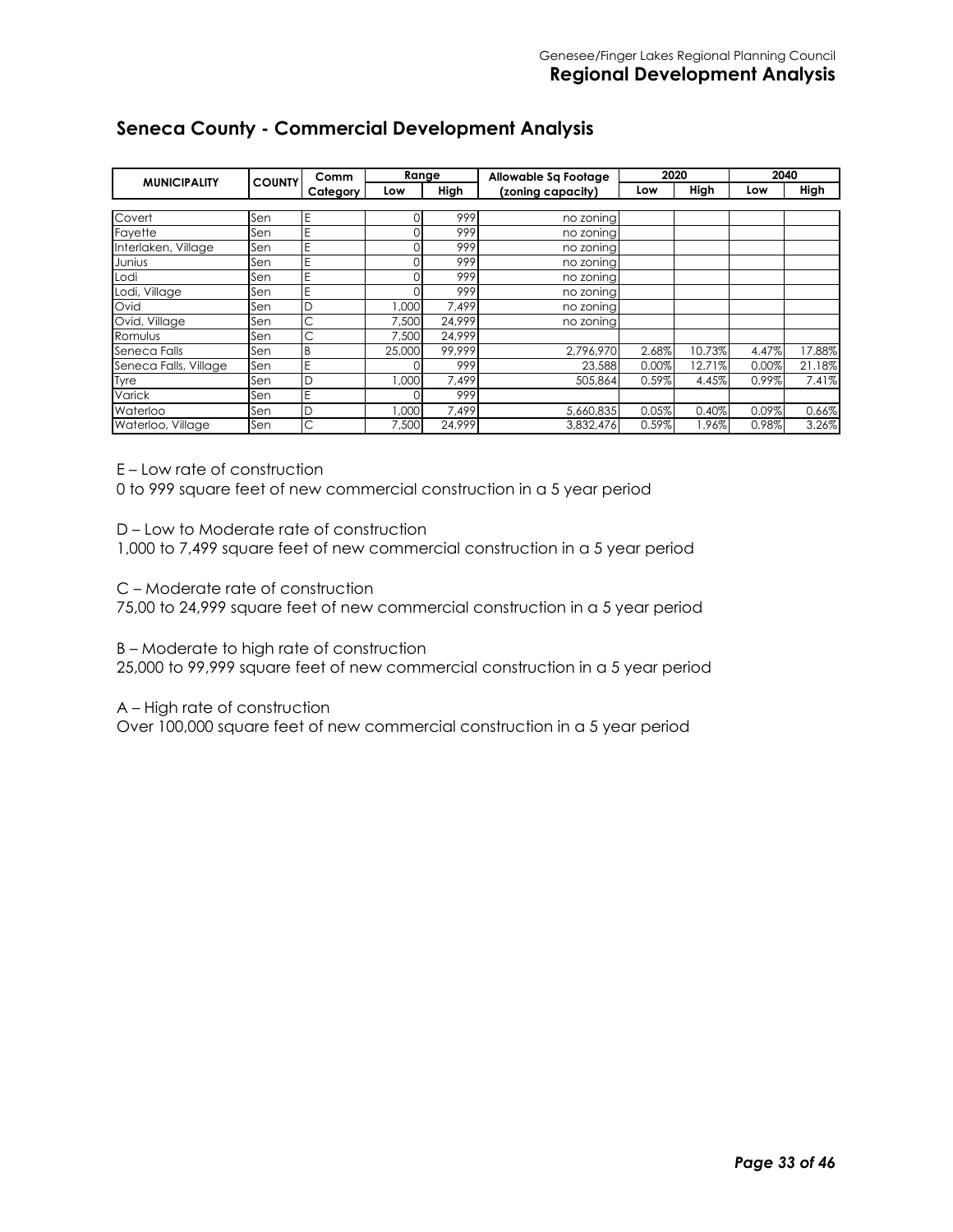#### **Seneca County - Commercial Development Analysis**

|                       |               | Comm     | Range   |        | Allowable Sa Footage | 2020  |        | 2040  |        |
|-----------------------|---------------|----------|---------|--------|----------------------|-------|--------|-------|--------|
| <b>MUNICIPALITY</b>   | <b>COUNTY</b> | Category | Low     | High   | (zoning capacity)    | Low   | High   | Low   | High   |
|                       |               |          |         |        |                      |       |        |       |        |
| Covert                | Sen           | Ε        | $^{()}$ | 999    | no zoning            |       |        |       |        |
| Fayette               | Sen           | E        | 0       | 999    | no zoning            |       |        |       |        |
| Interlaken, Village   | Sen           | E        | O       | 999    | no zoning            |       |        |       |        |
| Junius                | Sen           | E        | O       | 999    | no zoning            |       |        |       |        |
| Lodi                  | Sen           | E        | O       | 999    | no zoning            |       |        |       |        |
| Lodi, Village         | Sen           | E        |         | 999    | no zoning            |       |        |       |        |
| Ovid                  | Sen           | D        | 1,000   | 7.499  | no zoning            |       |        |       |        |
| Ovid, Village         | Sen           | С        | 7.500   | 24.999 | no zoning            |       |        |       |        |
| Romulus               | Sen           | С        | 7,500   | 24.999 |                      |       |        |       |        |
| Seneca Falls          | Sen           | Β        | 25,000  | 99.999 | 2,796,970            | 2.68% | 10.73% | 4.47% | 17.88% |
| Seneca Falls, Village | Sen           | E        |         | 999    | 23,588               | 0.00% | 12.71% | 0.00% | 21.18% |
| Tyre                  | Sen           | D        | 1,000   | 7.499  | 505.864              | 0.59% | 4.45%  | 0.99% | 7.41%  |
| Varick                | Sen           | E        |         | 999    |                      |       |        |       |        |
| Waterloo              | Sen           | D        | 000,    | 7,499  | 5,660,835            | 0.05% | 0.40%  | 0.09% | 0.66%  |
| Waterloo, Village     | Sen           | С        | 7,500   | 24,999 | 3,832,476            | 0.59% | 1.96%  | 0.98% | 3.26%  |

E – Low rate of construction

0 to 999 square feet of new commercial construction in a 5 year period

D – Low to Moderate rate of construction

1,000 to 7,499 square feet of new commercial construction in a 5 year period

C – Moderate rate of construction

75,00 to 24,999 square feet of new commercial construction in a 5 year period

B – Moderate to high rate of construction

25,000 to 99,999 square feet of new commercial construction in a 5 year period

A – High rate of construction

Over 100,000 square feet of new commercial construction in a 5 year period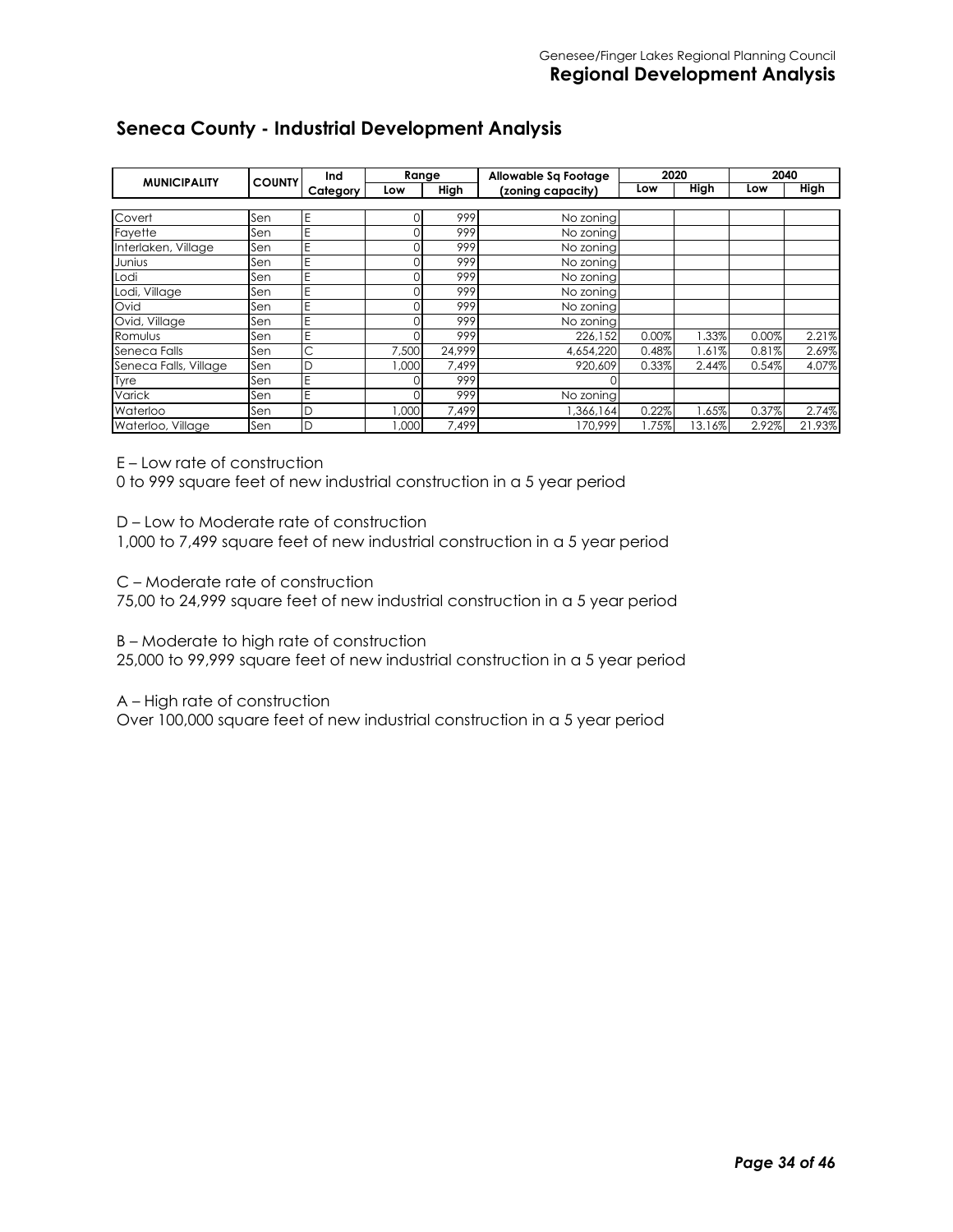#### **Seneca County - Industrial Development Analysis**

|                       | <b>COUNTY</b> | Ind      | Range  |        | Allowable Sa Footage | 2020  |             | 2040  |             |
|-----------------------|---------------|----------|--------|--------|----------------------|-------|-------------|-------|-------------|
| <b>MUNICIPALITY</b>   |               | Category | Low    | High   | (zoning capacity)    | Low   | <b>High</b> | Low   | <b>High</b> |
|                       |               |          |        |        |                      |       |             |       |             |
| Covert                | Sen           | Ε        |        | 999    | No zoning            |       |             |       |             |
| Fayette               | Sen           | Ē        |        | 999    | No zoning            |       |             |       |             |
| Interlaken, Village   | Sen           | Ε        |        | 999    | No zoning            |       |             |       |             |
| Junius                | Sen           | Е        |        | 999    | No zoning            |       |             |       |             |
| Lodi                  | Sen           | E        |        | 999    | No zoning            |       |             |       |             |
| Lodi, Village         | Sen           | E        |        | 999    | No zoning            |       |             |       |             |
| Ovid                  | Sen           | Е        |        | 999    | No zoning            |       |             |       |             |
| Ovid, Village         | Sen           | Е        |        | 999    | No zoning            |       |             |       |             |
| Romulus               | Sen           | E        |        | 999    | 226,152              | 0.00% | 1.33%       | 0.00% | 2.21%       |
| Seneca Falls          | Sen           | С        | 7,500  | 24.999 | 4,654,220            | 0.48% | .61%        | 0.81% | 2.69%       |
| Seneca Falls, Village | Sen           | D        | 1.000  | 7.499  | 920.609              | 0.33% | 2.44%       | 0.54% | 4.07%       |
| Tyre                  | Sen           | E        |        | 999    |                      |       |             |       |             |
| Varick                | Sen           | Ε        |        | 999    | No zoning            |       |             |       |             |
| Waterloo              | Sen           | D        | 000, I | 7,499  | 1,366,164            | 0.22% | .65%        | 0.37% | 2.74%       |
| Waterloo, Village     | Sen           | D        | 000.1  | 7.499  | 170.999              | .75%  | 13.16%      | 2.92% | 21.93%      |

E – Low rate of construction

0 to 999 square feet of new industrial construction in a 5 year period

D – Low to Moderate rate of construction

1,000 to 7,499 square feet of new industrial construction in a 5 year period

C – Moderate rate of construction

75,00 to 24,999 square feet of new industrial construction in a 5 year period

B – Moderate to high rate of construction

25,000 to 99,999 square feet of new industrial construction in a 5 year period

A – High rate of construction

Over 100,000 square feet of new industrial construction in a 5 year period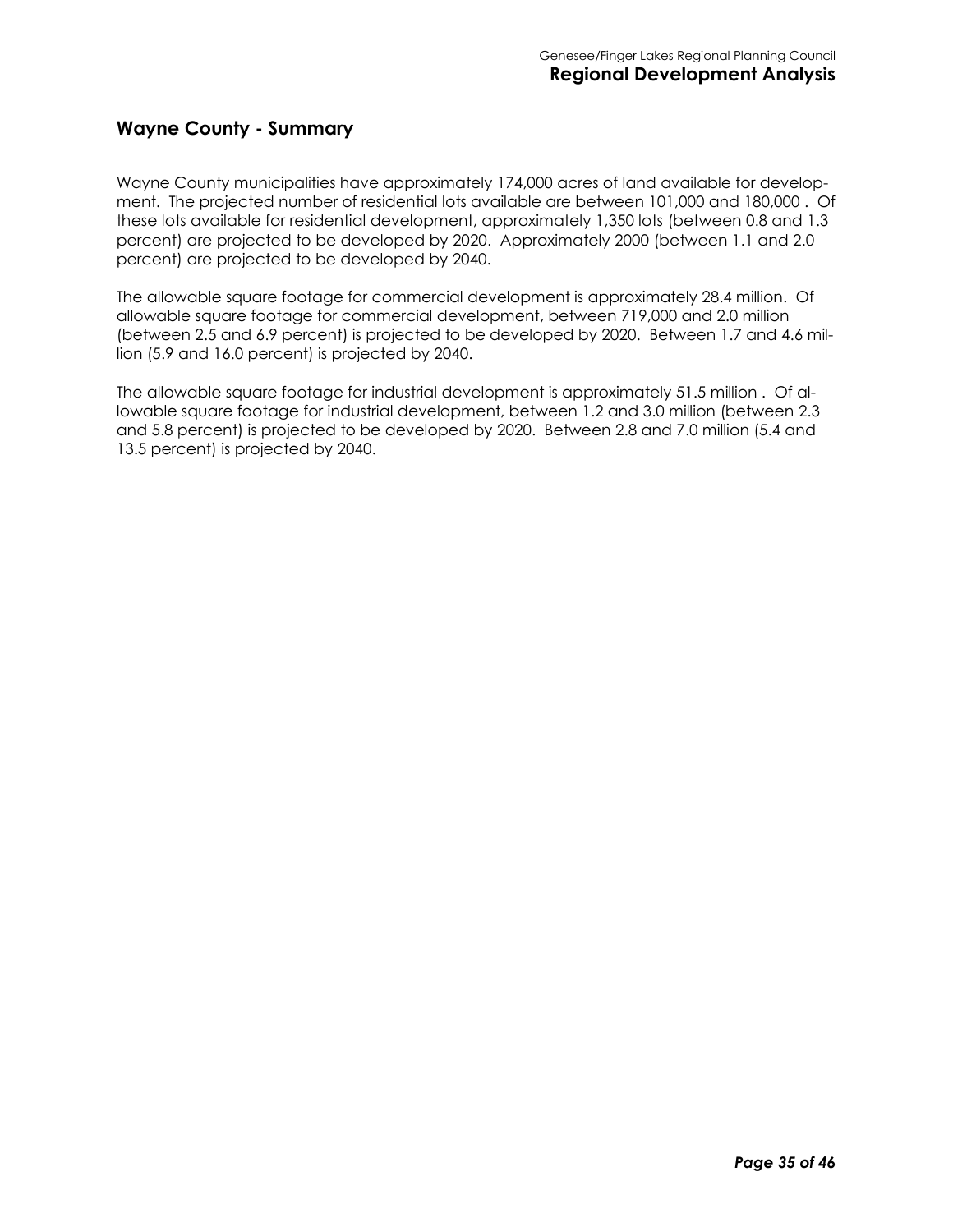#### **Wayne County - Summary**

Wayne County municipalities have approximately 174,000 acres of land available for development. The projected number of residential lots available are between 101,000 and 180,000 . Of these lots available for residential development, approximately 1,350 lots (between 0.8 and 1.3 percent) are projected to be developed by 2020. Approximately 2000 (between 1.1 and 2.0 percent) are projected to be developed by 2040.

The allowable square footage for commercial development is approximately 28.4 million. Of allowable square footage for commercial development, between 719,000 and 2.0 million (between 2.5 and 6.9 percent) is projected to be developed by 2020. Between 1.7 and 4.6 million (5.9 and 16.0 percent) is projected by 2040.

The allowable square footage for industrial development is approximately 51.5 million . Of allowable square footage for industrial development, between 1.2 and 3.0 million (between 2.3 and 5.8 percent) is projected to be developed by 2020. Between 2.8 and 7.0 million (5.4 and 13.5 percent) is projected by 2040.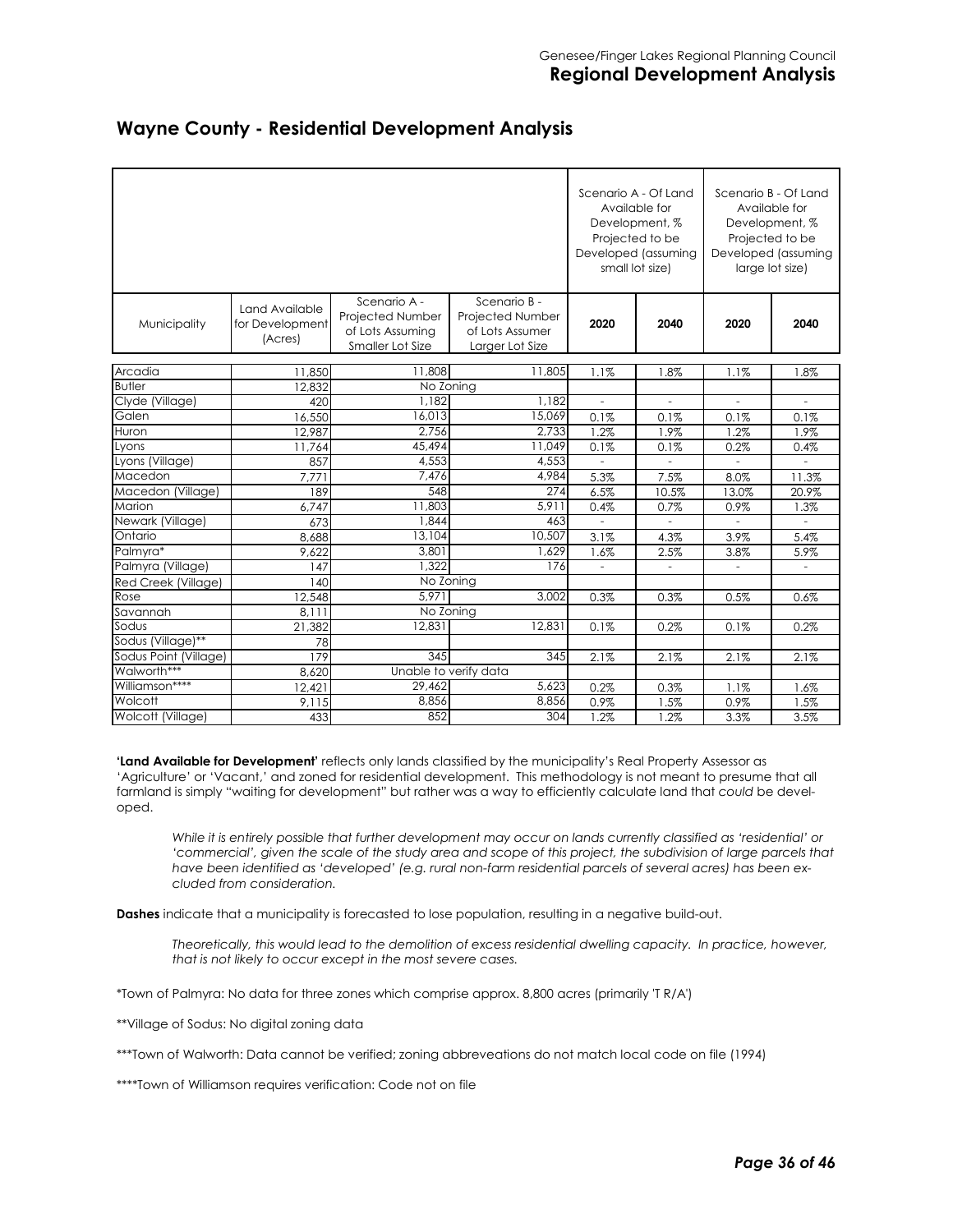|                       |                                              |                                                                          |                                                                        | Scenario A - Of Land<br>small lot size) | Available for<br>Development, %<br>Projected to be<br>Developed (assuming |                              | Scenario B - Of Land<br>Available for<br>Development, %<br>Projected to be<br>Developed (assuming<br>large lot size) |
|-----------------------|----------------------------------------------|--------------------------------------------------------------------------|------------------------------------------------------------------------|-----------------------------------------|---------------------------------------------------------------------------|------------------------------|----------------------------------------------------------------------------------------------------------------------|
| Municipality          | Land Available<br>for Development<br>(Acres) | Scenario A -<br>Projected Number<br>of Lots Assuming<br>Smaller Lot Size | Scenario B -<br>Projected Number<br>of Lots Assumer<br>Larger Lot Size | 2020                                    | 2040                                                                      | 2020                         | 2040                                                                                                                 |
| Arcadia               |                                              | 11,808                                                                   | 11,805                                                                 |                                         |                                                                           |                              |                                                                                                                      |
| <b>Butler</b>         | 11,850                                       | No Zoning                                                                |                                                                        | 1.1%                                    | 1.8%                                                                      | 1.1%                         | 1.8%                                                                                                                 |
| Clyde (Village)       | 12.832                                       | 1.182                                                                    | 1.182                                                                  | $\frac{1}{2}$                           | $\blacksquare$                                                            | $\qquad \qquad \blacksquare$ |                                                                                                                      |
| Galen                 | 420<br>16,550                                | 16,013                                                                   | 15,069                                                                 | 0.1%                                    | 0.1%                                                                      | 0.1%                         | 0.1%                                                                                                                 |
| Huron                 | 12,987                                       | 2,756                                                                    | 2,733                                                                  | 1.2%                                    | 1.9%                                                                      | 1.2%                         | 1.9%                                                                                                                 |
| Lyons                 | 11,764                                       | 45,494                                                                   | 11.049                                                                 | 0.1%                                    | 0.1%                                                                      | 0.2%                         | 0.4%                                                                                                                 |
| Lyons (Village)       | 857                                          | 4,553                                                                    | 4,553                                                                  |                                         |                                                                           |                              |                                                                                                                      |
| Macedon               | 7,77                                         | 7,476                                                                    | 4,984                                                                  | 5.3%                                    | 7.5%                                                                      | 8.0%                         | 11.3%                                                                                                                |
| Macedon (Village)     | 189                                          | 548                                                                      | 274                                                                    | 6.5%                                    | 10.5%                                                                     | 13.0%                        | 20.9%                                                                                                                |
| Marion                | 6,747                                        | 11,803                                                                   | 5.911                                                                  | 0.4%                                    | 0.7%                                                                      | 0.9%                         | 1.3%                                                                                                                 |
| Newark (Village)      | 673                                          | 1,844                                                                    | 463                                                                    | $\bar{a}$                               |                                                                           |                              |                                                                                                                      |
| Ontario               | 8,688                                        | 13,104                                                                   | 10,507                                                                 | 3.1%                                    | 4.3%                                                                      | 3.9%                         | 5.4%                                                                                                                 |
| Palmyra*              | 9,622                                        | 3,801                                                                    | 1,629                                                                  | 1.6%                                    | 2.5%                                                                      | 3.8%                         | 5.9%                                                                                                                 |
| Palmyra (Village)     | 147                                          | 1.322                                                                    | 176                                                                    | $\bar{a}$                               | $\overline{\phantom{a}}$                                                  | $\overline{\phantom{a}}$     |                                                                                                                      |
| Red Creek (Village)   | 140                                          | No Zoning                                                                |                                                                        |                                         |                                                                           |                              |                                                                                                                      |
| Rose                  | 12,548                                       | 5.971                                                                    | 3,002                                                                  | 0.3%                                    | 0.3%                                                                      | 0.5%                         | 0.6%                                                                                                                 |
| Savannah              | 8.111                                        | No Zoning                                                                |                                                                        |                                         |                                                                           |                              |                                                                                                                      |
| Sodus                 | 21,382                                       | 12,831                                                                   | 12,831                                                                 | 0.1%                                    | 0.2%                                                                      | 0.1%                         | 0.2%                                                                                                                 |
| Sodus (Village)**     | 78                                           |                                                                          |                                                                        |                                         |                                                                           |                              |                                                                                                                      |
| Sodus Point (Village) | 179                                          | 345                                                                      | 345                                                                    | 2.1%                                    | 2.1%                                                                      | 2.1%                         | 2.1%                                                                                                                 |
| Walworth***           | 8,620                                        | Unable to verify data                                                    |                                                                        |                                         |                                                                           |                              |                                                                                                                      |
| Williamson****        | 12,421                                       | 29,462                                                                   | 5,623                                                                  | 0.2%                                    | 0.3%                                                                      | 1.1%                         | 1.6%                                                                                                                 |
| Wolcott               | 9.115                                        | 8,856                                                                    | 8,856                                                                  | 0.9%                                    | 1.5%                                                                      | 0.9%                         | 1.5%                                                                                                                 |
| Wolcott (Village)     | 433                                          | 852                                                                      | 304                                                                    | 1.2%                                    | 1.2%                                                                      | 3.3%                         | 3.5%                                                                                                                 |

#### **Wayne County - Residential Development Analysis**

**'Land Available for Development'** reflects only lands classified by the municipality's Real Property Assessor as 'Agriculture' or 'Vacant,' and zoned for residential development. This methodology is not meant to presume that all farmland is simply "waiting for development" but rather was a way to efficiently calculate land that *could* be developed.

*While it is entirely possible that further development may occur on lands currently classified as 'residential' or 'commercial', given the scale of the study area and scope of this project, the subdivision of large parcels that have been identified as 'developed' (e.g. rural non-farm residential parcels of several acres) has been excluded from consideration.* 

**Dashes** indicate that a municipality is forecasted to lose population, resulting in a negative build-out.

*Theoretically, this would lead to the demolition of excess residential dwelling capacity. In practice, however, that is not likely to occur except in the most severe cases.* 

\*Town of Palmyra: No data for three zones which comprise approx. 8,800 acres (primarily 'T R/A')

\*\*Village of Sodus: No digital zoning data

\*\*\*Town of Walworth: Data cannot be verified; zoning abbreveations do not match local code on file (1994)

\*\*\*\*Town of Williamson requires verification: Code not on file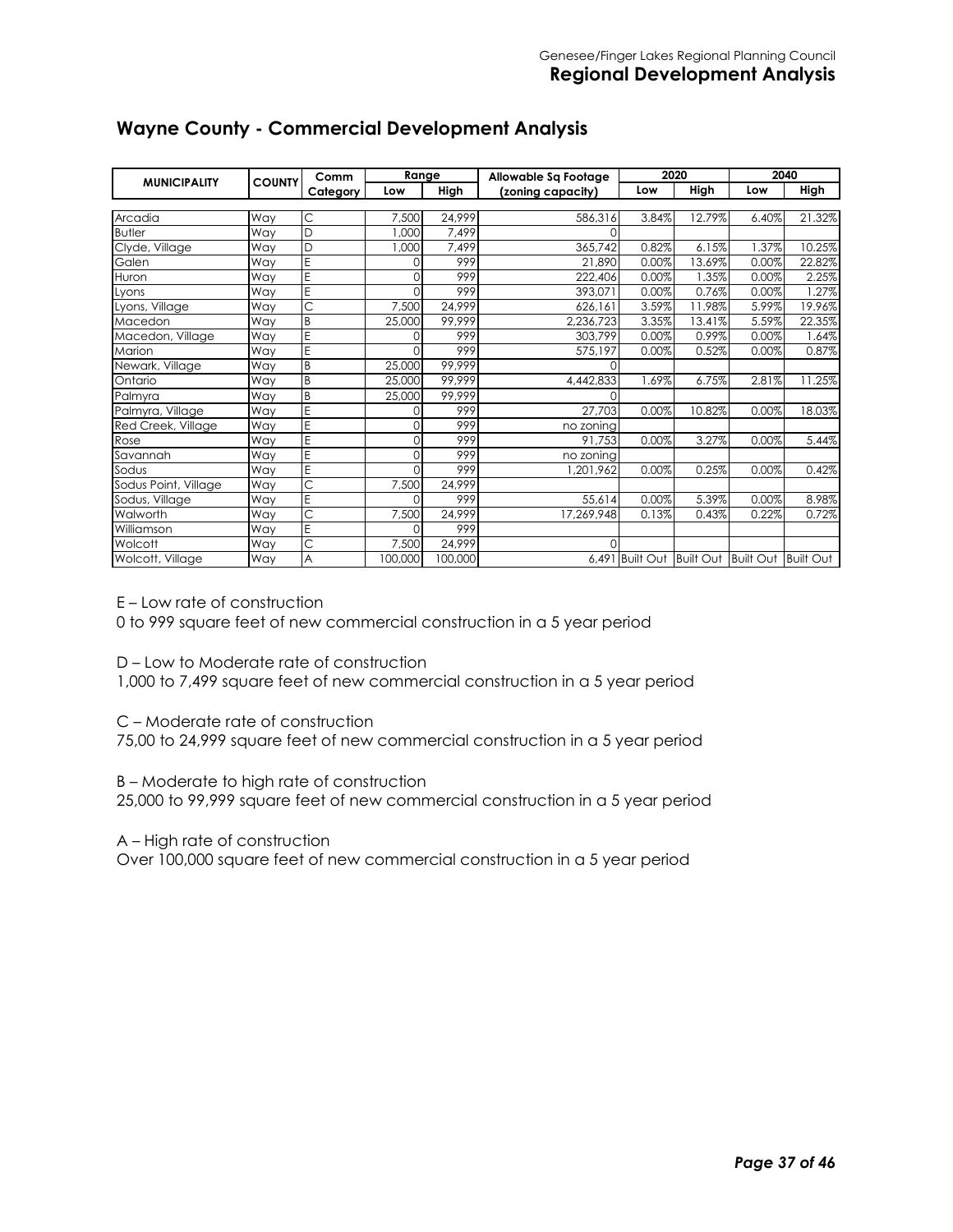| <b>MUNICIPALITY</b>  | <b>COUNTY</b> | Comm                  | Range    |         | Allowable Sq Footage |                 | 2020             | 2040                |        |
|----------------------|---------------|-----------------------|----------|---------|----------------------|-----------------|------------------|---------------------|--------|
|                      |               | Category              | Low      | High    | (zoning capacity)    | Low             | High             | Low                 | High   |
|                      |               |                       |          |         |                      |                 |                  |                     |        |
| Arcadia              | Way           | С                     | 7,500    | 24,999  | 586,316              | 3.84%           | 12.79%           | 6.40%               | 21.32% |
| <b>Butler</b>        | Way           | D                     | 1.000    | 7,499   |                      |                 |                  |                     |        |
| Clyde, Village       | Way           | D                     | 1,000    | 7,499   | 365,742              | 0.82%           | 6.15%            | .37%                | 10.25% |
| Galen                | Way           | Ē                     | O        | 999     | 21,890               | 0.00%           | 13.69%           | 0.00%               | 22.82% |
| Huron                | Way           | E                     | $\Omega$ | 999     | 222,406              | 0.00%           | .35%             | 0.00%               | 2.25%  |
| Lyons                | Way           | E                     | U        | 999     | 393.071              | 0.00%           | 0.76%            | 0.00%               | 1.27%  |
| Lyons, Village       | Way           | Ċ                     | 7,500    | 24.999  | 626,161              | 3.59%           | 1.98%            | 5.99%               | 19.96% |
| Macedon              | Way           | B                     | 25,000   | 99,999  | 2,236,723            | 3.35%           | 13.41%           | 5.59%               | 22.35% |
| Macedon, Village     | Way           | Ë                     | $\Omega$ | 999     | 303,799              | 0.00%           | 0.99%            | 0.00%               | 1.64%  |
| Marion               | Way           | E                     | $\cap$   | 999     | 575,197              | 0.00%           | 0.52%            | 0.00%               | 0.87%  |
| Newark, Village      | Way           | B                     | 25,000   | 99,999  |                      |                 |                  |                     |        |
| Ontario              | Way           | B                     | 25,000   | 99,999  | 4,442,833            | .69%            | 6.75%            | 2.81%               | 11.25% |
| Palmyra              | Way           | B                     | 25,000   | 99,999  | $\Omega$             |                 |                  |                     |        |
| Palmyra, Village     | Way           | E                     | O        | 999     | 27,703               | 0.00%           | 10.82%           | 0.00%               | 18.03% |
| Red Creek, Village   | Way           | E                     | $\Omega$ | 999     | no zoning            |                 |                  |                     |        |
| Rose                 | Way           | E                     | $\Omega$ | 999     | 91,753               | 0.00%           | 3.27%            | 0.00%               | 5.44%  |
| Savannah             | Way           | E                     | $\Omega$ | 999     | no zoning            |                 |                  |                     |        |
| Sodus                | Way           | E                     | U        | 999     | 1.201.962            | 0.00%           | 0.25%            | 0.00%               | 0.42%  |
| Sodus Point, Village | Way           | $\overline{\text{C}}$ | 7,500    | 24,999  |                      |                 |                  |                     |        |
| Sodus, Village       | Way           | E                     | $\Omega$ | 999     | 55,614               | 0.00%           | 5.39%            | 0.00%               | 8.98%  |
| Walworth             | Way           | Ċ                     | 7,500    | 24,999  | 17,269,948           | 0.13%           | 0.43%            | 0.22%               | 0.72%  |
| Williamson           | Way           | E                     | U        | 999     |                      |                 |                  |                     |        |
| Wolcott              | Way           | $\overline{\text{C}}$ | 7,500    | 24,999  | O                    |                 |                  |                     |        |
| Wolcott, Village     | Way           | A                     | 100,000  | 100,000 |                      | 6,491 Built Out | <b>Built Out</b> | Built Out Built Out |        |

# **Wayne County - Commercial Development Analysis**

E – Low rate of construction

0 to 999 square feet of new commercial construction in a 5 year period

D – Low to Moderate rate of construction

1,000 to 7,499 square feet of new commercial construction in a 5 year period

C – Moderate rate of construction

75,00 to 24,999 square feet of new commercial construction in a 5 year period

B – Moderate to high rate of construction

25,000 to 99,999 square feet of new commercial construction in a 5 year period

A – High rate of construction

Over 100,000 square feet of new commercial construction in a 5 year period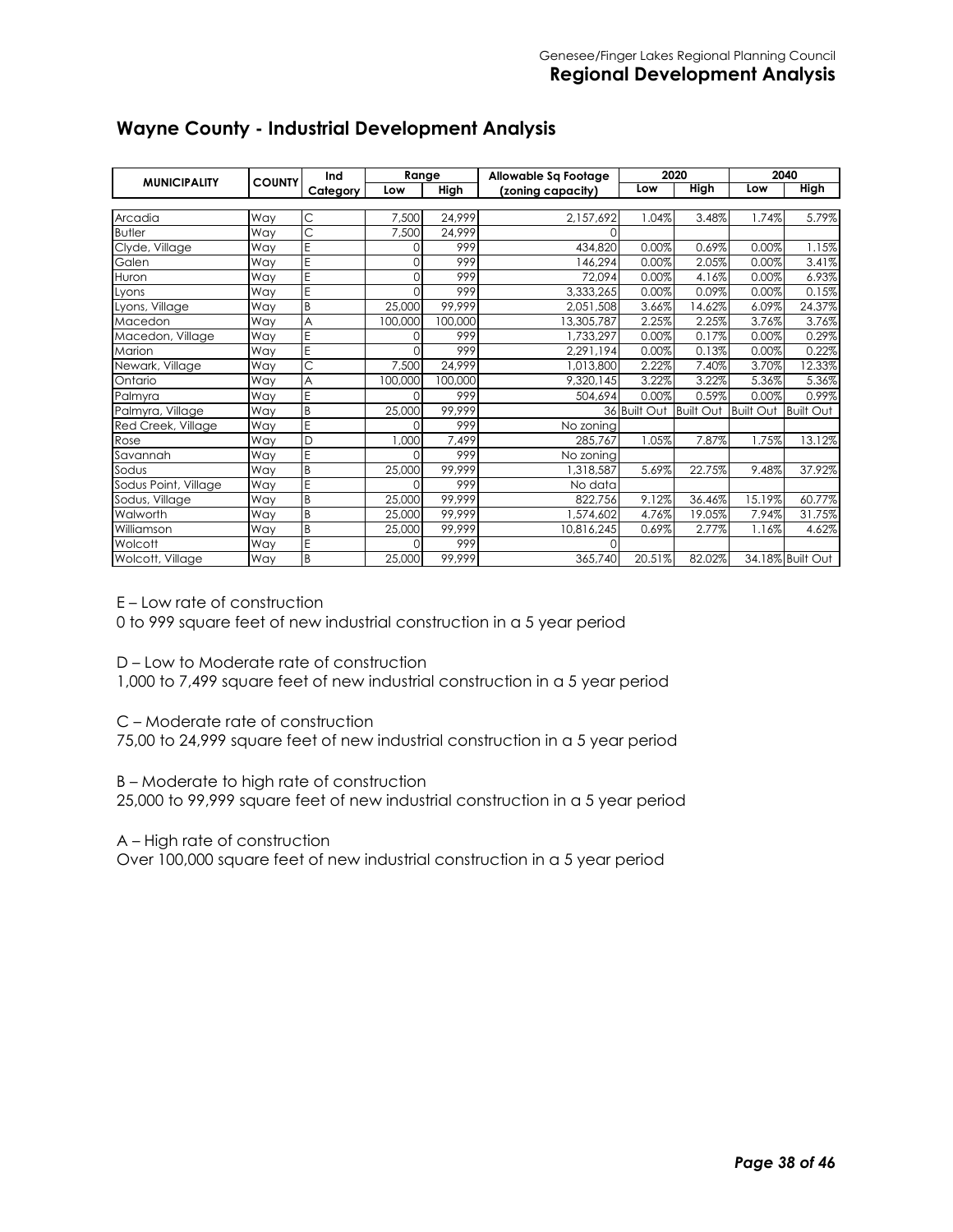| <b>COUNTY</b><br><b>MUNICIPALITY</b> |     | Ind                   | Range    |         | Allowable Sa Footage | 2020         |                  | 2040             |                  |
|--------------------------------------|-----|-----------------------|----------|---------|----------------------|--------------|------------------|------------------|------------------|
|                                      |     | Category              | Low      | High    | (zoning capacity)    | Low          | <b>High</b>      | Low              | <b>High</b>      |
|                                      |     |                       |          |         |                      |              |                  |                  |                  |
| Arcadia                              | Way | C                     | 7,500    | 24,999  | 2,157,692            | .04%         | 3.48%            | 1.74%            | 5.79%            |
| <b>Butler</b>                        | Way | $\overline{\text{C}}$ | 7,500    | 24,999  | 0                    |              |                  |                  |                  |
| Clyde, Village                       | Way | E                     | $\Omega$ | 999     | 434,820              | 0.00%        | 0.69%            | 0.00%            | 1.15%            |
| Galen                                | Way | Ē                     | $\Omega$ | 999     | 146,294              | 0.00%        | 2.05%            | 0.00%            | 3.41%            |
| Huron                                | Way | Ē                     | 0        | 999     | 72.094               | 0.00%        | 4.16%            | 0.00%            | 6.93%            |
| Lyons                                | Way | E                     | 0        | 999     | 3,333,265            | 0.00%        | 0.09%            | 0.00%            | 0.15%            |
| Lyons, Village                       | Way | B                     | 25,000   | 99.999  | 2,051,508            | 3.66%        | 14.62%           | 6.09%            | 24.37%           |
| Macedon                              | Way | A                     | 100,000  | 100,000 | 13,305,787           | 2.25%        | 2.25%            | 3.76%            | 3.76%            |
| Macedon, Village                     | Way | E                     |          | 999     | 1,733,297            | 0.00%        | 0.17%            | 0.00%            | 0.29%            |
| Marion                               | Way | E                     | 0        | 999     | 2,291,194            | 0.00%        | 0.13%            | 0.00%            | 0.22%            |
| Newark, Village                      | Way | Ċ                     | 7,500    | 24,999  | 1,013,800            | 2.22%        | 7.40%            | 3.70%            | 12.33%           |
| Ontario                              | Way | A                     | 100,000  | 100,000 | 9,320,145            | 3.22%        | 3.22%            | 5.36%            | 5.36%            |
| Palmyra                              | Way | E                     | $\Omega$ | 999     | 504,694              | 0.00%        | 0.59%            | 0.00%            | 0.99%            |
| Palmyra, Village                     | Way | B                     | 25,000   | 99,999  |                      | 36 Built Out | <b>Built Out</b> | <b>Built Out</b> | <b>Built Out</b> |
| Red Creek, Village                   | Way | E                     | Ωl       | 999     | No zoning            |              |                  |                  |                  |
| Rose                                 | Way | D                     | 000,     | 7,499   | 285.767              | 1.05%        | 7.87%            | 1.75%            | 13.12%           |
| Savannah                             | Way | E                     | $\Omega$ | 999     | No zoning            |              |                  |                  |                  |
| Sodus                                | Way | B                     | 25,000   | 99,999  | 1,318,587            | 5.69%        | 22.75%           | 9.48%            | 37.92%           |
| Sodus Point, Village                 | Way | E                     | Ωl       | 999     | No data              |              |                  |                  |                  |
| Sodus, Village                       | Way | B                     | 25,000   | 99,999  | 822,756              | 9.12%        | 36.46%           | 15.19%           | 60.77%           |
| Walworth                             | Way | B                     | 25,000   | 99,999  | ,574,602             | 4.76%        | 19.05%           | 7.94%            | 31.75%           |
| Williamson                           | Way | B                     | 25,000   | 99,999  | 10,816,245           | 0.69%        | 2.77%            | 1.16%            | 4.62%            |
| Wolcott                              | Way | E                     | Ωl       | 999     | O                    |              |                  |                  |                  |
| Wolcott, Village                     | Way | B                     | 25,000   | 99,999  | 365,740              | 20.51%       | 82.02%           |                  | 34.18% Built Out |

# **Wayne County - Industrial Development Analysis**

E – Low rate of construction

0 to 999 square feet of new industrial construction in a 5 year period

D – Low to Moderate rate of construction

1,000 to 7,499 square feet of new industrial construction in a 5 year period

C – Moderate rate of construction

75,00 to 24,999 square feet of new industrial construction in a 5 year period

B – Moderate to high rate of construction

25,000 to 99,999 square feet of new industrial construction in a 5 year period

A – High rate of construction

Over 100,000 square feet of new industrial construction in a 5 year period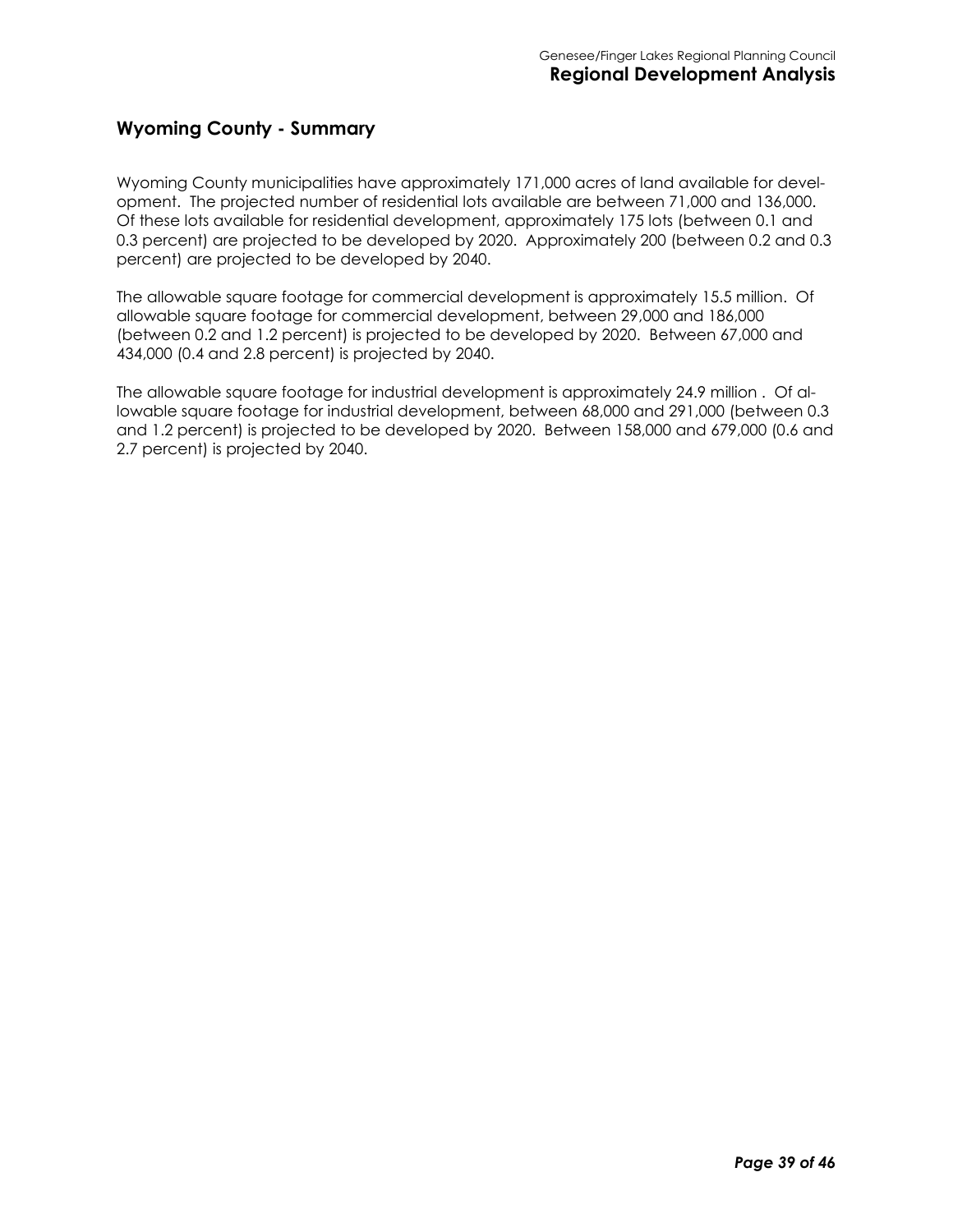#### **Wyoming County - Summary**

Wyoming County municipalities have approximately 171,000 acres of land available for development. The projected number of residential lots available are between 71,000 and 136,000. Of these lots available for residential development, approximately 175 lots (between 0.1 and 0.3 percent) are projected to be developed by 2020. Approximately 200 (between 0.2 and 0.3 percent) are projected to be developed by 2040.

The allowable square footage for commercial development is approximately 15.5 million. Of allowable square footage for commercial development, between 29,000 and 186,000 (between 0.2 and 1.2 percent) is projected to be developed by 2020. Between 67,000 and 434,000 (0.4 and 2.8 percent) is projected by 2040.

The allowable square footage for industrial development is approximately 24.9 million . Of allowable square footage for industrial development, between 68,000 and 291,000 (between 0.3 and 1.2 percent) is projected to be developed by 2020. Between 158,000 and 679,000 (0.6 and 2.7 percent) is projected by 2040.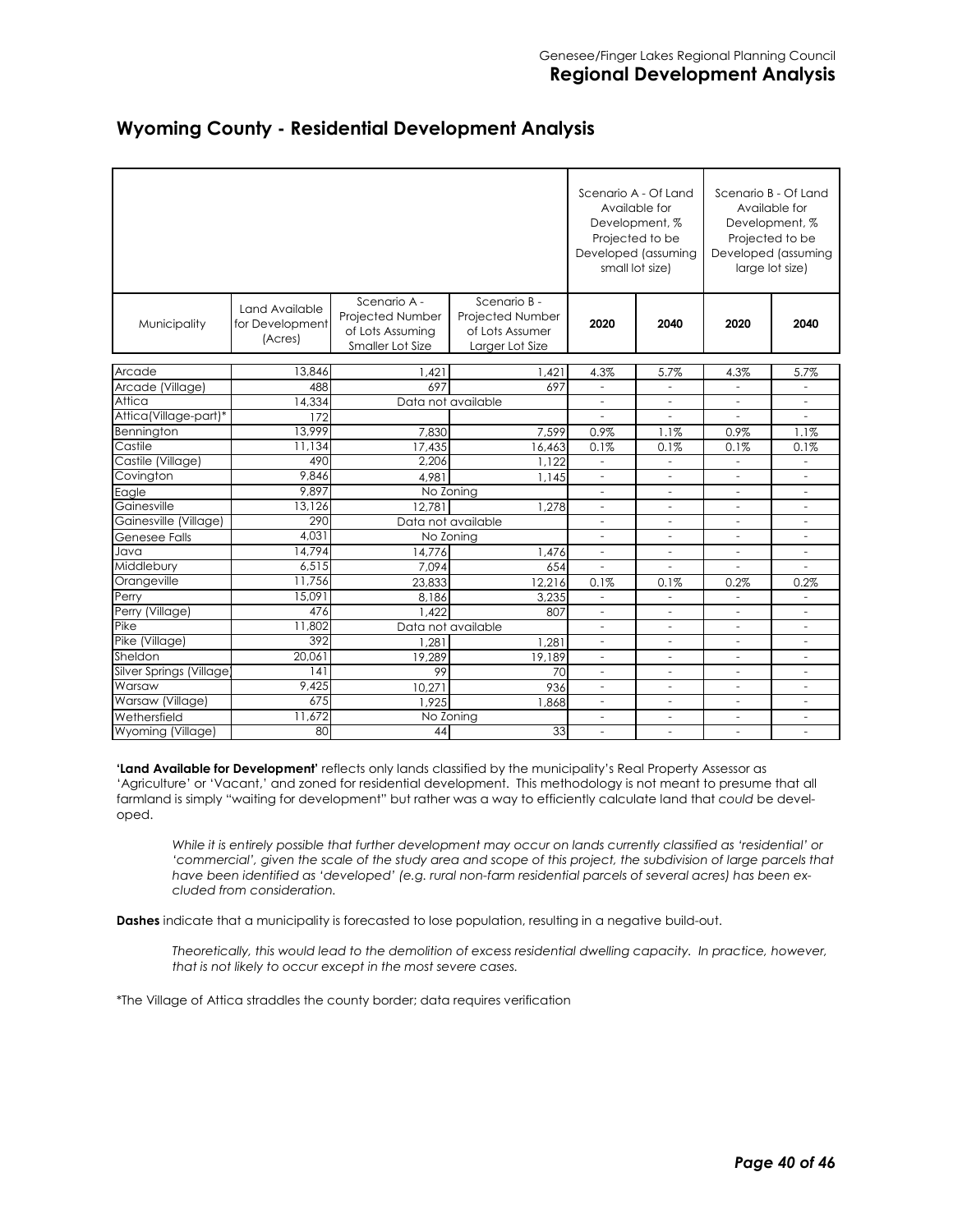|                                   |                                              |                                                                          |                                                                        |                                       | Scenario A - Of Land<br>Available for<br>Development, %<br>Projected to be<br>Developed (assuming<br>small lot size) | Scenario B - Of Land<br>Available for<br>Development, %<br>Projected to be<br>Developed (assuming<br>large lot size) |                          |  |
|-----------------------------------|----------------------------------------------|--------------------------------------------------------------------------|------------------------------------------------------------------------|---------------------------------------|----------------------------------------------------------------------------------------------------------------------|----------------------------------------------------------------------------------------------------------------------|--------------------------|--|
| Municipality                      | Land Available<br>for Development<br>(Acres) | Scenario A -<br>Projected Number<br>of Lots Assuming<br>Smaller Lot Size | Scenario B -<br>Projected Number<br>of Lots Assumer<br>Larger Lot Size | 2020                                  | 2040                                                                                                                 | 2020                                                                                                                 | 2040                     |  |
| Arcade                            | 13,846                                       | 1,421                                                                    | 1,421                                                                  | 4.3%                                  | 5.7%                                                                                                                 | 4.3%                                                                                                                 | 5.7%                     |  |
| Arcade (Village)                  | 488                                          | 697                                                                      | 697                                                                    |                                       |                                                                                                                      |                                                                                                                      |                          |  |
| Attica                            | 14,334                                       | Data not available                                                       |                                                                        | $\overline{\phantom{a}}$              |                                                                                                                      | ÷.                                                                                                                   |                          |  |
| Attica(Village-part)*             | 172                                          |                                                                          |                                                                        | ÷.                                    |                                                                                                                      | ÷.                                                                                                                   | $\sim$                   |  |
| Bennington                        | 13,999                                       | 7,830                                                                    | 7,599                                                                  | 0.9%                                  | 1.1%                                                                                                                 | 0.9%                                                                                                                 | 1.1%                     |  |
| Castile                           | 11,134                                       | 17,435                                                                   | 16,463                                                                 | 0.1%                                  | 0.1%                                                                                                                 | 0.1%                                                                                                                 | 0.1%                     |  |
| Castile (Village)                 | 490                                          | 2,206                                                                    | 1,122                                                                  | ÷                                     | $\sim$                                                                                                               | $\sim$                                                                                                               | $\sim$                   |  |
| Covington                         | 9,846                                        | 4.981                                                                    | 1.145                                                                  | $\overline{\phantom{a}}$              |                                                                                                                      | $\overline{a}$                                                                                                       |                          |  |
| Eagle                             | 9.897                                        | No Zoning                                                                |                                                                        | $\overline{a}$                        |                                                                                                                      |                                                                                                                      |                          |  |
| Gainesville                       | 13.126                                       | 12,781                                                                   | 1,278                                                                  | $\sim$                                | ÷.                                                                                                                   | ÷.                                                                                                                   | ÷                        |  |
| Gainesville (Village)             | 290                                          |                                                                          | Data not available                                                     | ÷.                                    | ÷.                                                                                                                   | ÷.                                                                                                                   | ÷                        |  |
| <b>Genesee Falls</b>              | 4,031                                        | No Zoning                                                                |                                                                        | $\sim$                                | ÷.                                                                                                                   | $\sim$                                                                                                               | $\sim$                   |  |
| Java                              | 14,794                                       | 14,776                                                                   | 1,476                                                                  | $\sim$                                | $\sim$                                                                                                               | $\sim$                                                                                                               | $\sim$                   |  |
| Middlebury                        | 6,515                                        | 7,094                                                                    | 654                                                                    | $\overline{\phantom{a}}$              | ÷.                                                                                                                   | ä,                                                                                                                   | ÷.                       |  |
| Orangeville                       | 11,756                                       | 23.833                                                                   | 12.216                                                                 | 0.1%                                  | 0.1%                                                                                                                 | 0.2%                                                                                                                 | 0.2%                     |  |
| Perry                             | 15,091                                       | 8.186                                                                    | 3.235                                                                  | $\overline{\phantom{a}}$              |                                                                                                                      |                                                                                                                      |                          |  |
| Perry (Village)                   | 476                                          | 1.422                                                                    | 807                                                                    | $\overline{\phantom{a}}$              | $\overline{\phantom{a}}$                                                                                             | $\sim$                                                                                                               | $\overline{\phantom{a}}$ |  |
| Pike                              | 11,802                                       | Data not available                                                       |                                                                        | $\sim$                                | $\sim$                                                                                                               | $\overline{\phantom{a}}$                                                                                             | $\overline{\phantom{a}}$ |  |
| Pike (Village)                    | 392                                          | 1,281                                                                    | 1,281                                                                  | $\overline{\phantom{a}}$              | $\overline{\phantom{a}}$                                                                                             | $\overline{\phantom{a}}$                                                                                             | $\overline{\phantom{a}}$ |  |
| Sheldon                           | 20.061<br> 4                                 | 19,289                                                                   | 19,189                                                                 | $\overline{\phantom{a}}$              | $\overline{\phantom{a}}$                                                                                             | $\overline{\phantom{a}}$                                                                                             | ٠                        |  |
| Silver Springs (Village<br>Warsaw | 9,425                                        | 99                                                                       | 70                                                                     | $\overline{\phantom{a}}$<br>$\bar{a}$ | ÷.                                                                                                                   | $\overline{\phantom{a}}$                                                                                             |                          |  |
| Warsaw (Village)                  | 675                                          | 10,271<br>1.925                                                          | 936<br>1.868                                                           | $\sim$                                |                                                                                                                      | $\overline{\phantom{a}}$                                                                                             |                          |  |
| Wethersfield                      | 11,672                                       | No Zoning                                                                |                                                                        | $\overline{\phantom{a}}$              | $\overline{\phantom{a}}$                                                                                             | $\sim$                                                                                                               |                          |  |
| Wyoming (Village)                 | 80                                           | 44                                                                       | 33                                                                     | $\sim$                                | $\sim$                                                                                                               | $\sim$                                                                                                               | $\overline{a}$           |  |
|                                   |                                              |                                                                          |                                                                        |                                       |                                                                                                                      |                                                                                                                      |                          |  |

#### **Wyoming County - Residential Development Analysis**

**'Land Available for Development'** reflects only lands classified by the municipality's Real Property Assessor as 'Agriculture' or 'Vacant,' and zoned for residential development. This methodology is not meant to presume that all farmland is simply "waiting for development" but rather was a way to efficiently calculate land that *could* be developed.

*While it is entirely possible that further development may occur on lands currently classified as 'residential' or*  'commercial', given the scale of the study area and scope of this project, the subdivision of large parcels that *have been identified as 'developed' (e.g. rural non-farm residential parcels of several acres) has been excluded from consideration.* 

**Dashes** indicate that a municipality is forecasted to lose population, resulting in a negative build-out.

*Theoretically, this would lead to the demolition of excess residential dwelling capacity. In practice, however, that is not likely to occur except in the most severe cases.* 

\*The Village of Attica straddles the county border; data requires verification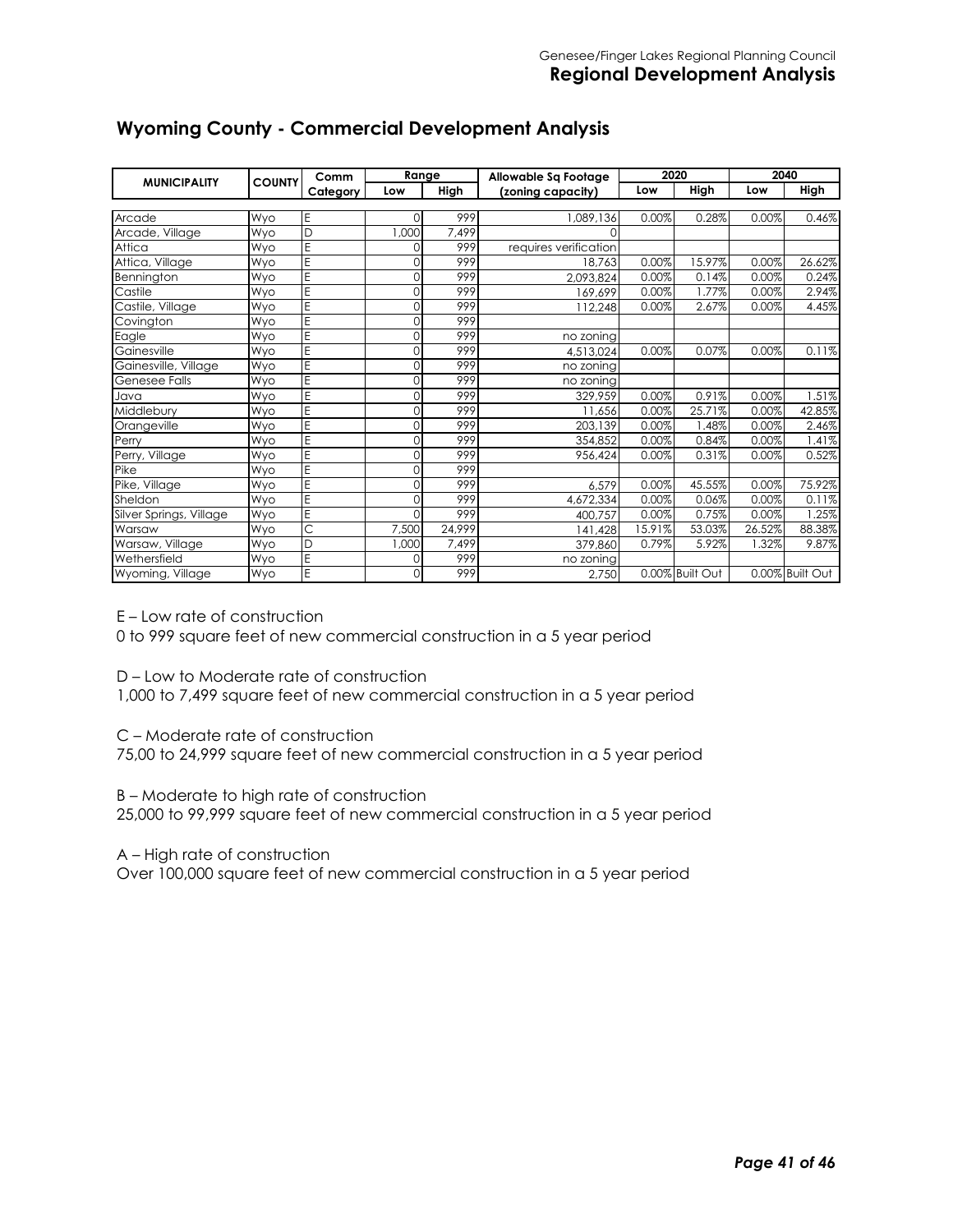| <b>MUNICIPALITY</b>     | <b>COUNTY</b> | Comm     | Range    |        | Allowable Sq Footage  | 2020   |                 | 2040   |                 |
|-------------------------|---------------|----------|----------|--------|-----------------------|--------|-----------------|--------|-----------------|
|                         |               | Category | Low      | High   | (zoning capacity)     | Low    | High            | Low    | High            |
|                         |               |          |          | 999    |                       |        |                 | 0.00%  |                 |
| Arcade                  | Wyo           | Ε        | Ωl       |        | 1,089,136             | 0.00%  | 0.28%           |        | 0.46%           |
| Arcade, Village         | Wyo           | D        | 1,000    | 7,499  | 0                     |        |                 |        |                 |
| Attica                  | Wyo           | E        | 0        | 999    | requires verification |        |                 |        |                 |
| Attica, Village         | Wyo           | E        | 0        | 999    | 18.763                | 0.00%  | 15.97%          | 0.00%  | 26.62%          |
| Bennington              | Wyo           | E        | $\Omega$ | 999    | 2,093,824             | 0.00%  | 0.14%           | 0.00%  | 0.24%           |
| Castile                 | Wyo           | E        | 0        | 999    | 169,699               | 0.00%  | 1.77%           | 0.00%  | 2.94%           |
| Castile, Village        | Wyo           | E        | $\Omega$ | 999    | 112,248               | 0.00%  | 2.67%           | 0.00%  | 4.45%           |
| Covington               | Wyo           | E        | $\Omega$ | 999    |                       |        |                 |        |                 |
| Eagle                   | Wyo           | E        | 0        | 999    | no zoning             |        |                 |        |                 |
| Gainesville             | Wyo           | E        | $\Omega$ | 999    | 4,513,024             | 0.00%  | 0.07%           | 0.00%  | 0.11%           |
| Gainesville, Village    | Wyo           | E        | $\Omega$ | 999    | no zoning             |        |                 |        |                 |
| Genesee Falls           | Wyo           | E        | 0        | 999    | no zoning             |        |                 |        |                 |
| Java                    | Wyo           | E        | $\Omega$ | 999    | 329,959               | 0.00%  | 0.91%           | 0.00%  | 1.51%           |
| Middlebury              | Wyo           | E        | 0        | 999    | 11,656                | 0.00%  | 25.71%          | 0.00%  | 42.85%          |
| Orangeville             | Wyo           | E        | $\Omega$ | 999    | 203,139               | 0.00%  | .48%            | 0.00%  | 2.46%           |
| Perry                   | Wyo           | E        | $\Omega$ | 999    | 354,852               | 0.00%  | 0.84%           | 0.00%  | 1.41%           |
| Perry, Village          | Wyo           | E        | 0        | 999    | 956,424               | 0.00%  | 0.31%           | 0.00%  | 0.52%           |
| Pike                    | Wyo           | E        | $\Omega$ | 999    |                       |        |                 |        |                 |
| Pike, Village           | Wyo           | E        | $\Omega$ | 999    | 6.579                 | 0.00%  | 45.55%          | 0.00%  | 75.92%          |
| Sheldon                 | Wyo           | E        | 0        | 999    | 4,672,334             | 0.00%  | 0.06%           | 0.00%  | 0.11%           |
| Silver Springs, Village | Wyo           | E        | $\Omega$ | 999    | 400,757               | 0.00%  | 0.75%           | 0.00%  | 1.25%           |
| Warsaw                  | Wyo           | Ċ        | 7,500    | 24,999 | 141,428               | 15.91% | 53.03%          | 26.52% | 88.38%          |
| Warsaw, Village         | Wyo           | D        | 1,000    | 7,499  | 379,860               | 0.79%  | 5.92%           | 1.32%  | 9.87%           |
| Wethersfield            | Wyo           | E        | 0        | 999    | no zoning             |        |                 |        |                 |
| Wyoming, Village        | Wyo           | E        | $\Omega$ | 999    | 2,750                 |        | 0.00% Built Out |        | 0.00% Built Out |

# **Wyoming County - Commercial Development Analysis**

E – Low rate of construction

0 to 999 square feet of new commercial construction in a 5 year period

D – Low to Moderate rate of construction

1,000 to 7,499 square feet of new commercial construction in a 5 year period

C – Moderate rate of construction

75,00 to 24,999 square feet of new commercial construction in a 5 year period

B – Moderate to high rate of construction

25,000 to 99,999 square feet of new commercial construction in a 5 year period

A – High rate of construction

Over 100,000 square feet of new commercial construction in a 5 year period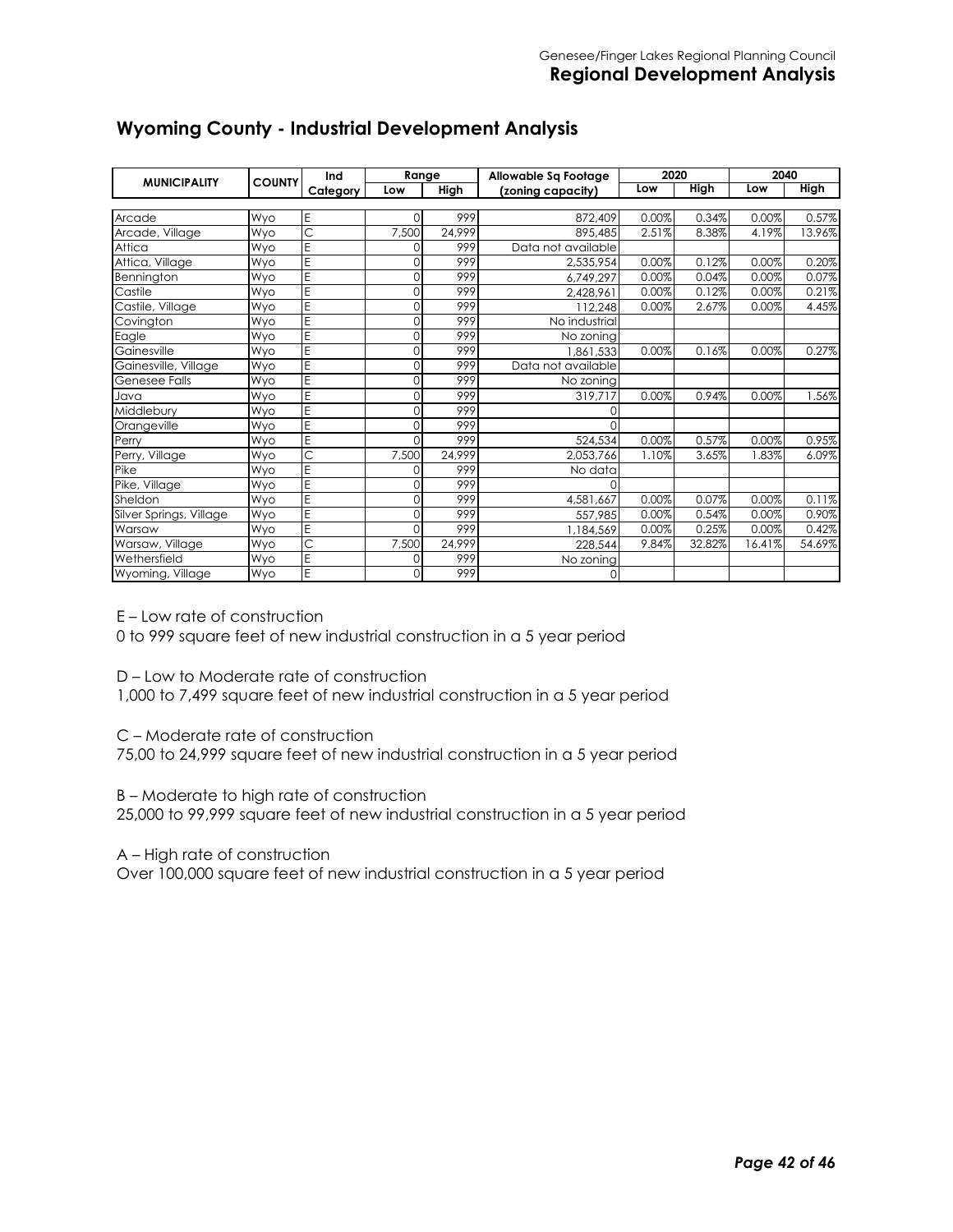| <b>MUNICIPALITY</b>     | <b>COUNTY</b> | Ind      | Range    |        | Allowable Sq Footage | 2020  |        | 2040   |             |  |
|-------------------------|---------------|----------|----------|--------|----------------------|-------|--------|--------|-------------|--|
|                         |               | Category | Low      | High   | (zoning capacity)    | Low   | High   | Low    | <b>High</b> |  |
|                         |               |          |          |        |                      |       |        |        |             |  |
| Arcade                  | Wyo           | E        | $\Omega$ | 999    | 872,409              | 0.00% | 0.34%  | 0.00%  | 0.57%       |  |
| Arcade, Village         | Wyo           | Ċ        | 7,500    | 24,999 | 895,485              | 2.51% | 8.38%  | 4.19%  | 13.96%      |  |
| Attica                  | Wvo           | E        | $\Omega$ | 999    | Data not available   |       |        |        |             |  |
| Attica, Village         | Wyo           | E        | 0        | 999    | 2,535,954            | 0.00% | 0.12%  | 0.00%  | 0.20%       |  |
| Bennington              | Wyo           | E        | 0        | 999    | 6,749,297            | 0.00% | 0.04%  | 0.00%  | 0.07%       |  |
| Castile                 | Wyo           | E        | 0        | 999    | 2.428.961            | 0.00% | 0.12%  | 0.00%  | 0.21%       |  |
| Castile, Village        | Wyo           | E        | 0        | 999    | 112.248              | 0.00% | 2.67%  | 0.00%  | 4.45%       |  |
| Covington               | Wvo           | E        | 0        | 999    | No industrial        |       |        |        |             |  |
| Eagle                   | Wyo           | E        | 0        | 999    | No zonina            |       |        |        |             |  |
| Gainesville             | Wyo           | E        | $\Omega$ | 999    | 1.861.533            | 0.00% | 0.16%  | 0.00%  | 0.27%       |  |
| Gainesville, Village    | Wyo           | E        | $\Omega$ | 999    | Data not available   |       |        |        |             |  |
| Genesee Falls           | Wyo           | E        | $\Omega$ | 999    | No zoning            |       |        |        |             |  |
| Java                    | Wyo           | E        | 0        | 999    | 319,717              | 0.00% | 0.94%  | 0.00%  | 1.56%       |  |
| Middlebury              | Wyo           | E        | 0        | 999    |                      |       |        |        |             |  |
| Orangeville             | Wyo           | E        | 0        | 999    |                      |       |        |        |             |  |
| Perry                   | Wyo           | E        | $\Omega$ | 999    | 524,534              | 0.00% | 0.57%  | 0.00%  | 0.95%       |  |
| Perry, Village          | Wyo           | C        | 7,500    | 24,999 | 2,053,766            | 1.10% | 3.65%  | 1.83%  | 6.09%       |  |
| Pike                    | Wyo           | E        | Ωl       | 999    | No data              |       |        |        |             |  |
| Pike, Village           | Wyo           | E        | $\Omega$ | 999    |                      |       |        |        |             |  |
| Sheldon                 | Wyo           | E        | 0        | 999    | 4,581,667            | 0.00% | 0.07%  | 0.00%  | 0.11%       |  |
| Silver Springs, Village | Wyo           | E        | 0        | 999    | 557.985              | 0.00% | 0.54%  | 0.00%  | 0.90%       |  |
| Warsaw                  | Wyo           | E        | 0        | 999    | 1.184.569            | 0.00% | 0.25%  | 0.00%  | 0.42%       |  |
| Warsaw, Village         | Wyo           | Ċ        | 7,500    | 24,999 | 228,544              | 9.84% | 32.82% | 16.41% | 54.69%      |  |
| Wethersfield            | Wyo           | E        | 01       | 999    | No zoning            |       |        |        |             |  |
| Wyoming, Village        | Wyo           | E        | $\Omega$ | 999    | 0                    |       |        |        |             |  |

# **Wyoming County - Industrial Development Analysis**

E – Low rate of construction

0 to 999 square feet of new industrial construction in a 5 year period

D – Low to Moderate rate of construction

1,000 to 7,499 square feet of new industrial construction in a 5 year period

C – Moderate rate of construction

75,00 to 24,999 square feet of new industrial construction in a 5 year period

B – Moderate to high rate of construction

25,000 to 99,999 square feet of new industrial construction in a 5 year period

A – High rate of construction

Over 100,000 square feet of new industrial construction in a 5 year period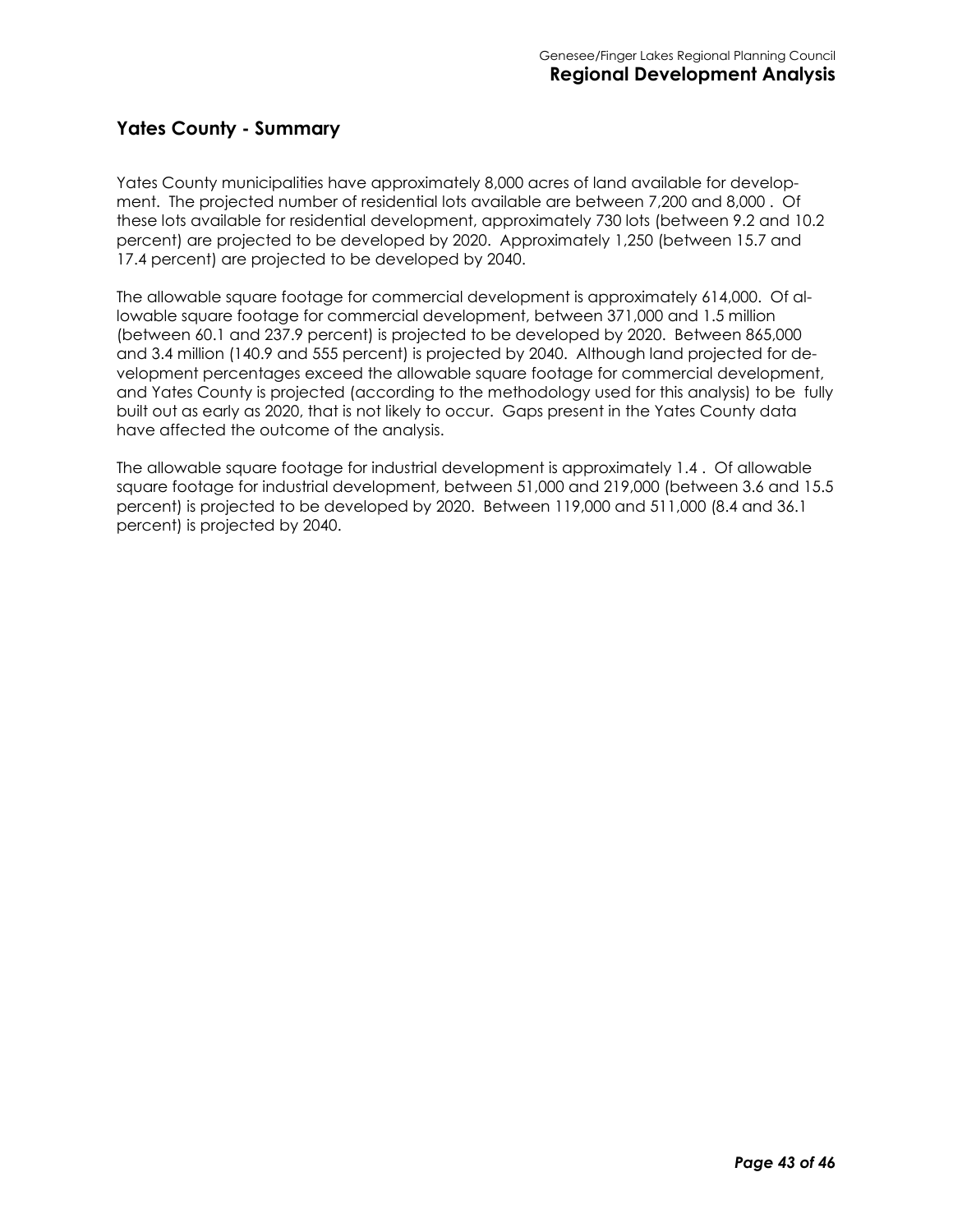#### **Yates County - Summary**

Yates County municipalities have approximately 8,000 acres of land available for development. The projected number of residential lots available are between 7,200 and 8,000 . Of these lots available for residential development, approximately 730 lots (between 9.2 and 10.2 percent) are projected to be developed by 2020. Approximately 1,250 (between 15.7 and 17.4 percent) are projected to be developed by 2040.

The allowable square footage for commercial development is approximately 614,000. Of allowable square footage for commercial development, between 371,000 and 1.5 million (between 60.1 and 237.9 percent) is projected to be developed by 2020. Between 865,000 and 3.4 million (140.9 and 555 percent) is projected by 2040. Although land projected for development percentages exceed the allowable square footage for commercial development, and Yates County is projected (according to the methodology used for this analysis) to be fully built out as early as 2020, that is not likely to occur. Gaps present in the Yates County data have affected the outcome of the analysis.

The allowable square footage for industrial development is approximately 1.4 . Of allowable square footage for industrial development, between 51,000 and 219,000 (between 3.6 and 15.5 percent) is projected to be developed by 2020. Between 119,000 and 511,000 (8.4 and 36.1 percent) is projected by 2040.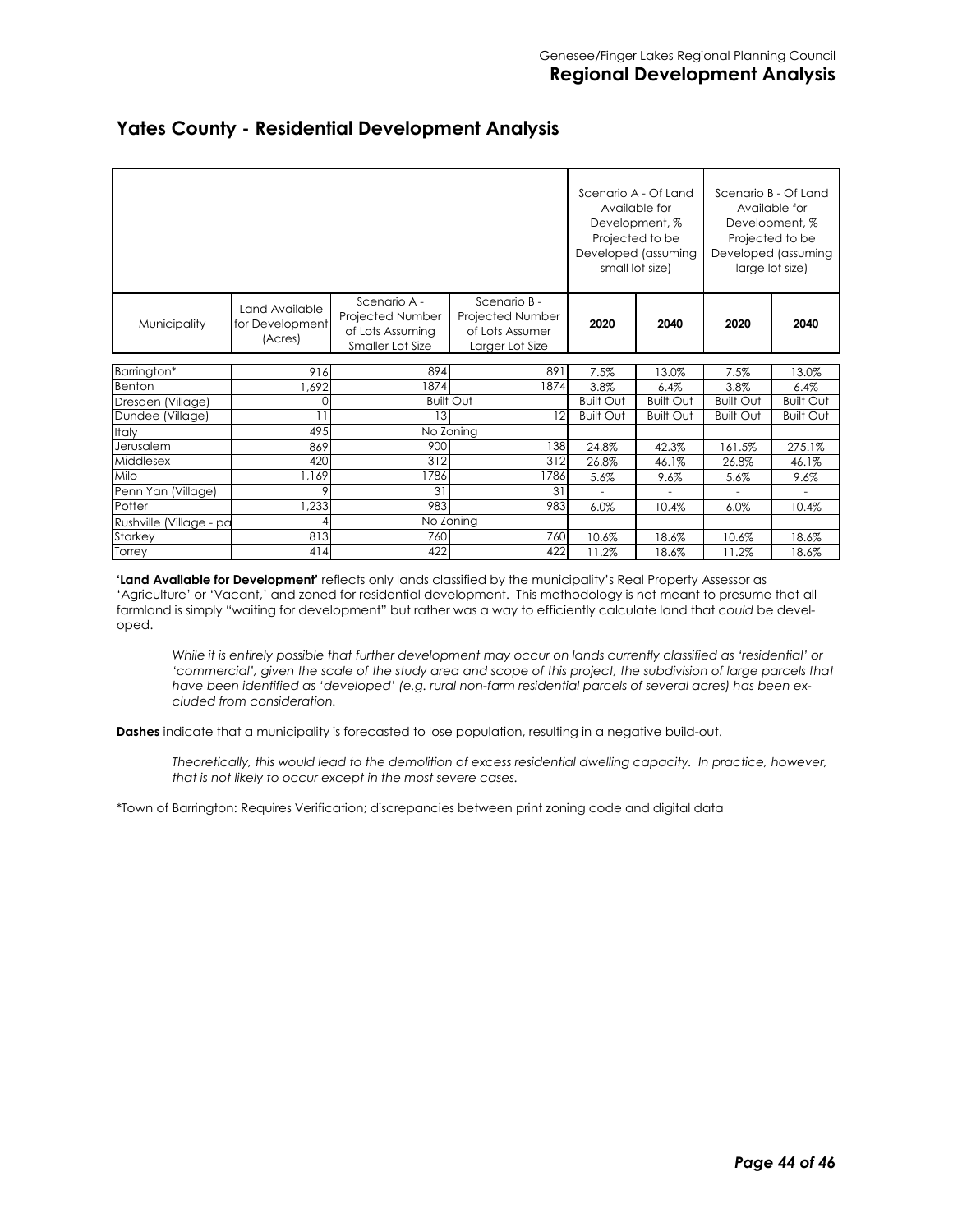|                         |                                              |                                                                          |                                                                        | Scenario A - Of Land | Available for<br>Development, %<br>Projected to be<br>Developed (assuming<br>small lot size) |                  | Scenario B - Of Land<br>Available for<br>Development, %<br>Projected to be<br>Developed (assuming<br>large lot size) |
|-------------------------|----------------------------------------------|--------------------------------------------------------------------------|------------------------------------------------------------------------|----------------------|----------------------------------------------------------------------------------------------|------------------|----------------------------------------------------------------------------------------------------------------------|
| Municipality            | Land Available<br>for Development<br>(Acres) | Scenario A -<br>Projected Number<br>of Lots Assuming<br>Smaller Lot Size | Scenario B -<br>Projected Number<br>of Lots Assumer<br>Larger Lot Size | 2020                 | 2040                                                                                         | 2020             | 2040                                                                                                                 |
| Barrington*             | 916                                          | 894                                                                      | 891                                                                    | 7.5%                 | 13.0%                                                                                        | 7.5%             | 13.0%                                                                                                                |
| Benton                  | ,692                                         | 1874                                                                     | 1874                                                                   | 3.8%                 | 6.4%                                                                                         | 3.8%             | 6.4%                                                                                                                 |
| Dresden (Village)       |                                              |                                                                          | <b>Built Out</b>                                                       | <b>Built Out</b>     | <b>Built Out</b>                                                                             | <b>Built Out</b> | <b>Built Out</b>                                                                                                     |
| Dundee (Village)        |                                              | 13                                                                       | 12                                                                     | <b>Built Out</b>     | <b>Built Out</b>                                                                             | <b>Built Out</b> | <b>Built Out</b>                                                                                                     |
| Italy                   | 495                                          |                                                                          | No Zoning                                                              |                      |                                                                                              |                  |                                                                                                                      |
| Jerusalem               | 869                                          | 900                                                                      | 138                                                                    | 24.8%                | 42.3%                                                                                        | 161.5%           | 275.1%                                                                                                               |
| Middlesex               | 420                                          | 312                                                                      | 312                                                                    | 26.8%                | 46.1%                                                                                        | 26.8%            | 46.1%                                                                                                                |
| Milo                    | 1,169                                        | 1786                                                                     | 1786                                                                   | 5.6%                 | 9.6%                                                                                         | 5.6%             | 9.6%                                                                                                                 |
| Penn Yan (Village)      | 9                                            | 31                                                                       | 31                                                                     | $\sim$               | $\overline{\phantom{a}}$                                                                     |                  | $\overline{\phantom{a}}$                                                                                             |
| Potter                  | ,233                                         | 983                                                                      | 983                                                                    | 6.0%                 | 10.4%                                                                                        | $6.0\%$          | 10.4%                                                                                                                |
| Rushville (Village - pa |                                              |                                                                          | No Zoning                                                              |                      |                                                                                              |                  |                                                                                                                      |
| Starkey                 | 813                                          | 760                                                                      | 760                                                                    | 10.6%                | 18.6%                                                                                        | 10.6%            | 18.6%                                                                                                                |
| Torrey                  | 414                                          | 422                                                                      | 422                                                                    | 11.2%                | 18.6%                                                                                        | 11.2%            | 18.6%                                                                                                                |

#### **Yates County - Residential Development Analysis**

**'Land Available for Development'** reflects only lands classified by the municipality's Real Property Assessor as 'Agriculture' or 'Vacant,' and zoned for residential development. This methodology is not meant to presume that all farmland is simply "waiting for development" but rather was a way to efficiently calculate land that *could* be developed.

*While it is entirely possible that further development may occur on lands currently classified as 'residential' or*  'commercial', given the scale of the study area and scope of this project, the subdivision of large parcels that *have been identified as 'developed' (e.g. rural non-farm residential parcels of several acres) has been excluded from consideration.* 

**Dashes** indicate that a municipality is forecasted to lose population, resulting in a negative build-out.

*Theoretically, this would lead to the demolition of excess residential dwelling capacity. In practice, however, that is not likely to occur except in the most severe cases.* 

\*Town of Barrington: Requires Verification; discrepancies between print zoning code and digital data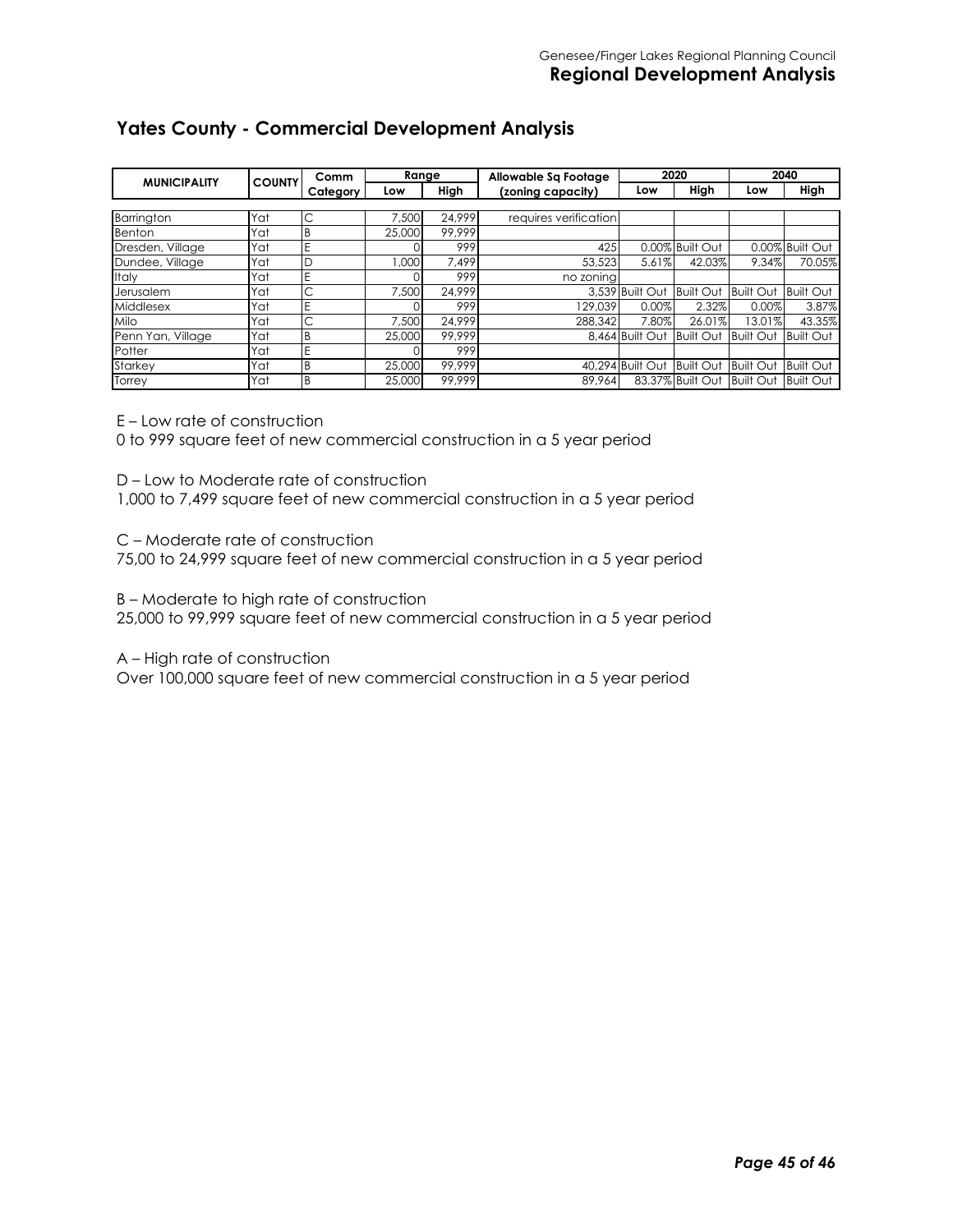#### **Yates County - Commercial Development Analysis**

| <b>MUNICIPALITY</b> | <b>COUNTY</b> | Comm     | Range  |        | 2020<br>Allowable Sq Footage |                            |                  | 2040             |                  |
|---------------------|---------------|----------|--------|--------|------------------------------|----------------------------|------------------|------------------|------------------|
|                     |               | Category | Low    | High   | (zoning capacity)            | Low                        | High             | Low              | High             |
|                     |               |          |        |        |                              |                            |                  |                  |                  |
| Barrington          | Yat           | С        | 7.500  | 24.999 | requires verification        |                            |                  |                  |                  |
| Benton              | Yat           | B        | 25,000 | 99.999 |                              |                            |                  |                  |                  |
| Dresden, Village    | Yat           | E        |        | 999    | 425                          |                            | 0.00% Built Out  |                  | 0.00% Built Out  |
| Dundee, Village     | Yat           | D        | 000.1  | 7.499  | 53,523                       | 5.61%                      | 42.03%           | 9.34%            | 70.05%           |
| Italy               | Yat           | E        |        | 999    | no zoning                    |                            |                  |                  |                  |
| Jerusalem           | Yat           | Ć        | 7.500  | 24.999 |                              | 3.539 Built Out Built Out  |                  | <b>Built Out</b> | <b>Built Out</b> |
| Middlesex           | Yat           | E        |        | 999    | 129.039                      | 0.00%                      | 2.32%            | 0.00%            | 3.87%            |
| <b>Milo</b>         | Yat           | С        | 7.500  | 24.999 | 288,342                      | 7.80%                      | 26.01%           | 13.01%           | 43.35%           |
| Penn Yan, Village   | Yat           | B        | 25,000 | 99.999 |                              | 8.464 Built Out            | <b>Built Out</b> | <b>Built Out</b> | <b>Built Out</b> |
| Potter              | Yat           | E        |        | 999    |                              |                            |                  |                  |                  |
| Starkey             | Yat           | B        | 25,000 | 99.999 |                              | 40.294 Built Out Built Out |                  | <b>Built Out</b> | <b>Built Out</b> |
| Torrey              | Yat           | B        | 25,000 | 99.999 | 89,964                       |                            | 83.37% Built Out | <b>Built Out</b> | <b>Built Out</b> |

E – Low rate of construction

0 to 999 square feet of new commercial construction in a 5 year period

D – Low to Moderate rate of construction

1,000 to 7,499 square feet of new commercial construction in a 5 year period

C – Moderate rate of construction

75,00 to 24,999 square feet of new commercial construction in a 5 year period

B – Moderate to high rate of construction

25,000 to 99,999 square feet of new commercial construction in a 5 year period

A – High rate of construction

Over 100,000 square feet of new commercial construction in a 5 year period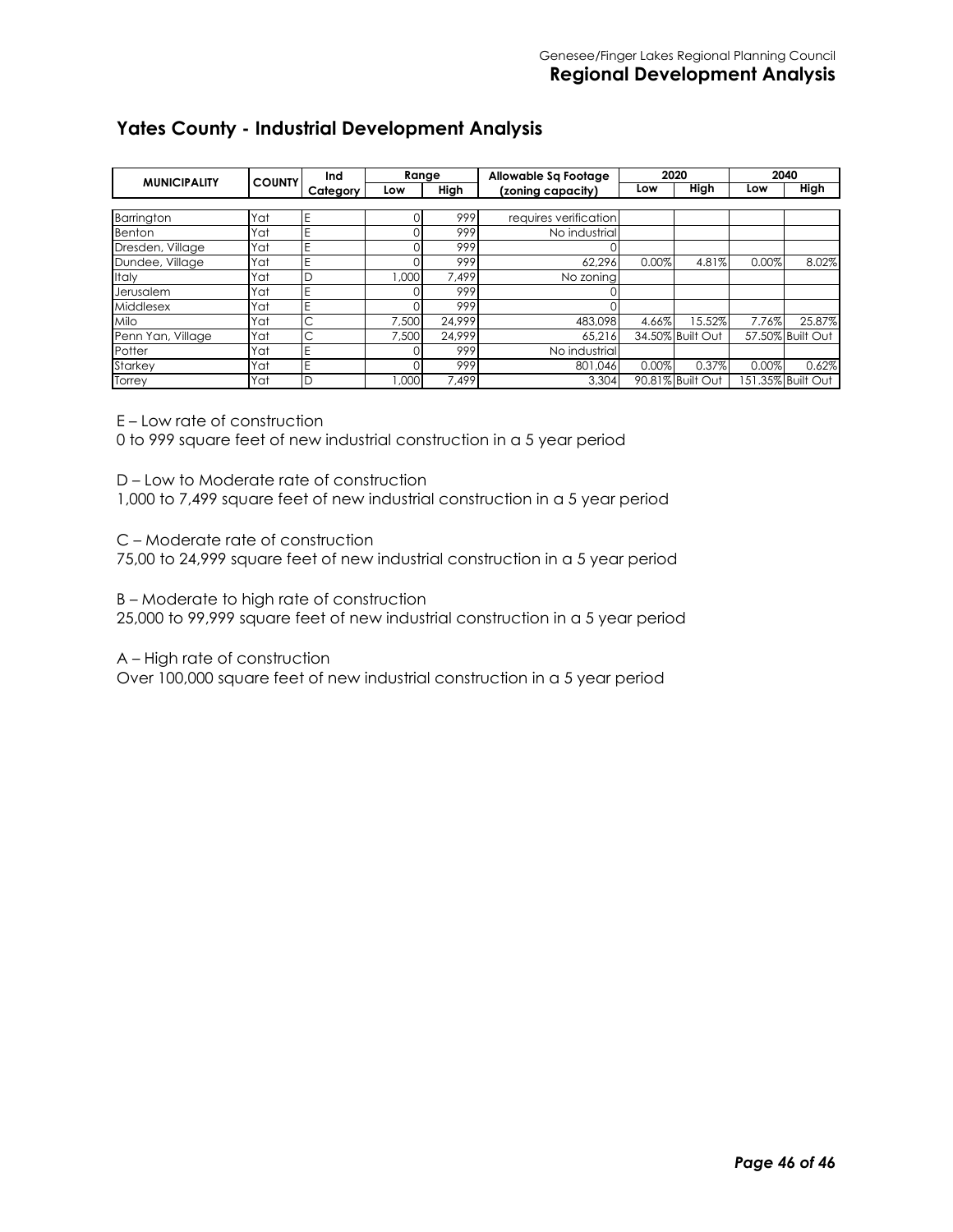#### **Yates County - Industrial Development Analysis**

|                     |               | Ind      | Range |        | Allowable Sq Footage  |       | 2020             |       | 2040              |
|---------------------|---------------|----------|-------|--------|-----------------------|-------|------------------|-------|-------------------|
| <b>MUNICIPALITY</b> | <b>COUNTY</b> | Category | Low   | High   | (zoning capacity)     | Low   | High             | Low   | High              |
|                     |               |          |       |        |                       |       |                  |       |                   |
| Barrington          | Yat           | E        |       | 999    | requires verification |       |                  |       |                   |
| <b>Benton</b>       | Yat           |          |       | 999    | No industrial         |       |                  |       |                   |
| Dresden, Village    | Yat           |          |       | 999    |                       |       |                  |       |                   |
| Dundee, Village     | Yat           |          |       | 999    | 62.296                | 0.00% | 4.81%            | 0.00% | 8.02%             |
| Italy               | Yat           | D        | .000  | 7.499  | No zoning             |       |                  |       |                   |
| Jerusalem           | Yat           |          |       | 999    |                       |       |                  |       |                   |
| Middlesex           | Yat           |          |       | 999    |                       |       |                  |       |                   |
| <b>Milo</b>         | Yat           | С        | 7.500 | 24.999 | 483.098               | 4.66% | 15.52%           | 7.76% | 25.87%            |
| Penn Yan, Village   | Yat           | С        | 7.500 | 24.999 | 65.216                |       | 34.50% Built Out |       | 57.50% Built Out  |
| Potter              | Yat           | F        |       | 999    | No industrial         |       |                  |       |                   |
| Starkey             | Yat           |          |       | 999    | 801.046               | 0.00% | 0.37%            | 0.00% | 0.62%             |
| Torrey              | Yat           | D        | 000.1 | 7.499  | 3.304                 |       | 90.81% Built Out |       | 151.35% Built Out |

E – Low rate of construction

0 to 999 square feet of new industrial construction in a 5 year period

D – Low to Moderate rate of construction

1,000 to 7,499 square feet of new industrial construction in a 5 year period

C – Moderate rate of construction

75,00 to 24,999 square feet of new industrial construction in a 5 year period

B – Moderate to high rate of construction

25,000 to 99,999 square feet of new industrial construction in a 5 year period

A – High rate of construction

Over 100,000 square feet of new industrial construction in a 5 year period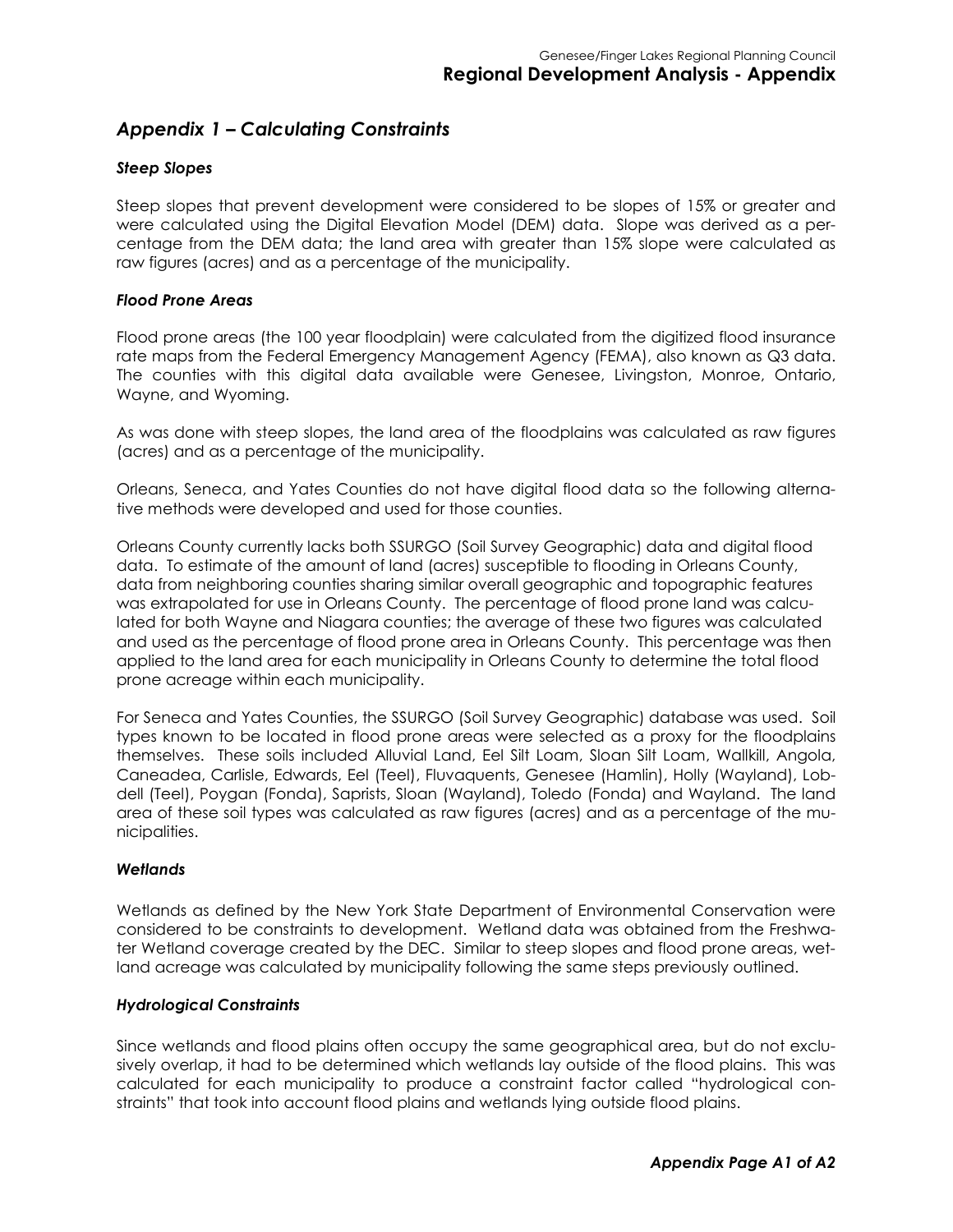#### *Appendix 1 – Calculating Constraints*

#### *Steep Slopes*

Steep slopes that prevent development were considered to be slopes of 15% or greater and were calculated using the Digital Elevation Model (DEM) data. Slope was derived as a percentage from the DEM data; the land area with greater than 15% slope were calculated as raw figures (acres) and as a percentage of the municipality.

#### *Flood Prone Areas*

Flood prone areas (the 100 year floodplain) were calculated from the digitized flood insurance rate maps from the Federal Emergency Management Agency (FEMA), also known as Q3 data. The counties with this digital data available were Genesee, Livingston, Monroe, Ontario, Wayne, and Wyoming.

As was done with steep slopes, the land area of the floodplains was calculated as raw figures (acres) and as a percentage of the municipality.

Orleans, Seneca, and Yates Counties do not have digital flood data so the following alternative methods were developed and used for those counties.

Orleans County currently lacks both SSURGO (Soil Survey Geographic) data and digital flood data. To estimate of the amount of land (acres) susceptible to flooding in Orleans County, data from neighboring counties sharing similar overall geographic and topographic features was extrapolated for use in Orleans County. The percentage of flood prone land was calculated for both Wayne and Niagara counties; the average of these two figures was calculated and used as the percentage of flood prone area in Orleans County. This percentage was then applied to the land area for each municipality in Orleans County to determine the total flood prone acreage within each municipality.

For Seneca and Yates Counties, the SSURGO (Soil Survey Geographic) database was used. Soil types known to be located in flood prone areas were selected as a proxy for the floodplains themselves. These soils included Alluvial Land, Eel Silt Loam, Sloan Silt Loam, Wallkill, Angola, Caneadea, Carlisle, Edwards, Eel (Teel), Fluvaquents, Genesee (Hamlin), Holly (Wayland), Lobdell (Teel), Poygan (Fonda), Saprists, Sloan (Wayland), Toledo (Fonda) and Wayland. The land area of these soil types was calculated as raw figures (acres) and as a percentage of the municipalities.

#### *Wetlands*

Wetlands as defined by the New York State Department of Environmental Conservation were considered to be constraints to development. Wetland data was obtained from the Freshwater Wetland coverage created by the DEC. Similar to steep slopes and flood prone areas, wetland acreage was calculated by municipality following the same steps previously outlined.

#### *Hydrological Constraints*

Since wetlands and flood plains often occupy the same geographical area, but do not exclusively overlap, it had to be determined which wetlands lay outside of the flood plains. This was calculated for each municipality to produce a constraint factor called "hydrological constraints" that took into account flood plains and wetlands lying outside flood plains.